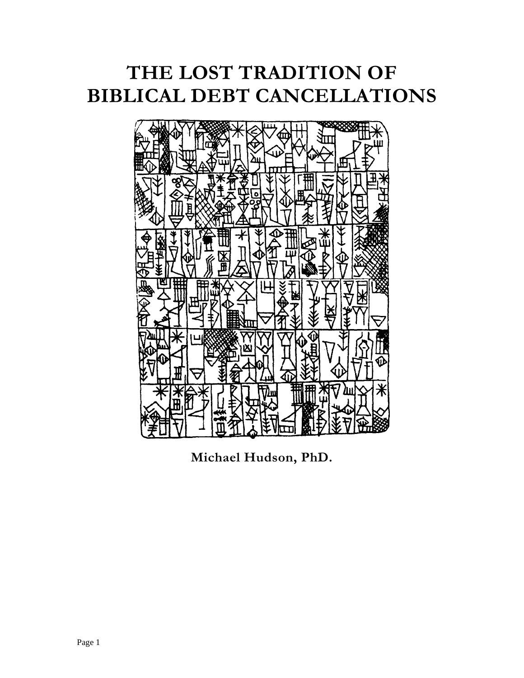# **THE LOST TRADITION OF BIBLICAL DEBT CANCELLATIONS**



**Michael Hudson, PhD.**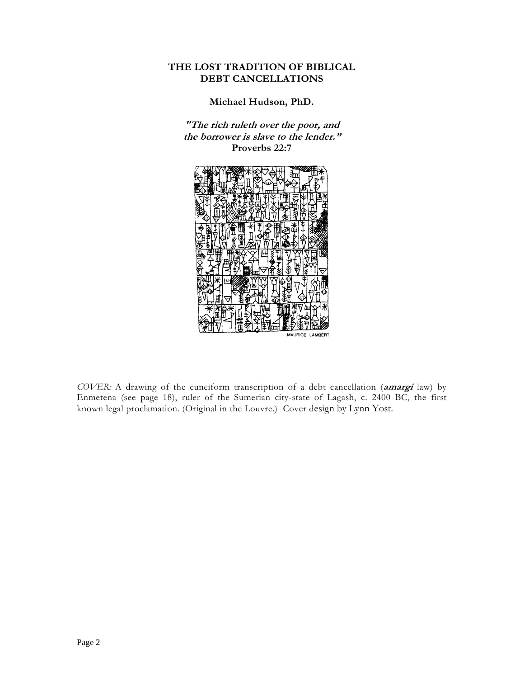## **THE LOST TRADITION OF BIBLICAL DEBT CANCELLATIONS**

**Michael Hudson, PhD.** 

**"The rich ruleth over the poor, and the borrower is slave to the lender." Proverbs 22:7** 



*COVER:* A drawing of the cuneiform transcription of a debt cancellation (**amargi** law) by Enmetena (see page 18), ruler of the Sumerian city-state of Lagash, c. 2400 BC, the first known legal proclamation. (Original in the Louvre.) Cover design by Lynn Yost.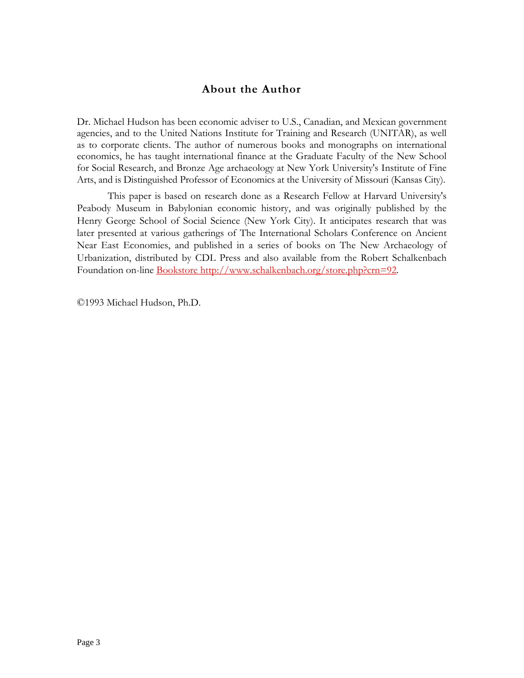## **About the Author**

Dr. Michael Hudson has been economic adviser to U.S., Canadian, and Mexican government agencies, and to the United Nations Institute for Training and Research (UNITAR), as well as to corporate clients. The author of numerous books and monographs on international economics, he has taught international finance at the Graduate Faculty of the New School for Social Research, and Bronze Age archaeology at New York University's Institute of Fine Arts, and is Distinguished Professor of Economics at the University of Missouri (Kansas City).

This paper is based on research done as a Research Fellow at Harvard University's Peabody Museum in Babylonian economic history, and was originally published by the Henry George School of Social Science (New York City). It anticipates research that was later presented at various gatherings of The International Scholars Conference on Ancient Near East Economies, and published in a series of books on The New Archaeology of Urbanization, distributed by CDL Press and also available from the Robert Schalkenbach Foundation on-line Bookstore http://www.schalkenbach.org/store.php?crn=92.

©1993 Michael Hudson, Ph.D.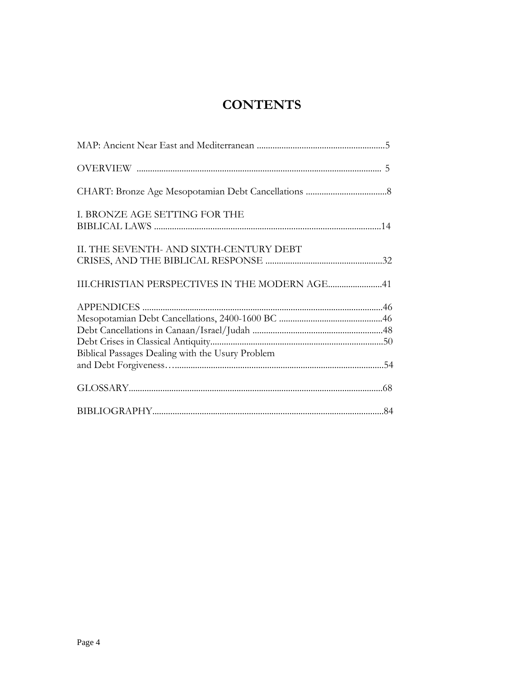# **CONTENTS**

| I. BRONZE AGE SETTING FOR THE                    |
|--------------------------------------------------|
| II. THE SEVENTH- AND SIXTH-CENTURY DEBT          |
| III.CHRISTIAN PERSPECTIVES IN THE MODERN AGE41   |
|                                                  |
|                                                  |
|                                                  |
|                                                  |
| Biblical Passages Dealing with the Usury Problem |
|                                                  |
|                                                  |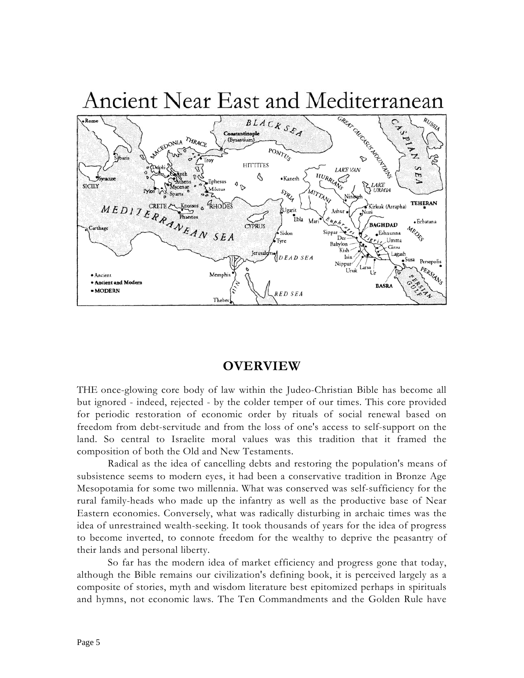

## **OVERVIEW**

THE once-glowing core body of law within the Judeo-Christian Bible has become all but ignored - indeed, rejected - by the colder temper of our times. This core provided for periodic restoration of economic order by rituals of social renewal based on freedom from debt-servitude and from the loss of one's access to self-support on the land. So central to Israelite moral values was this tradition that it framed the composition of both the Old and New Testaments.

Radical as the idea of cancelling debts and restoring the population's means of subsistence seems to modern eyes, it had been a conservative tradition in Bronze Age Mesopotamia for some two millennia. What was conserved was self-sufficiency for the rural family-heads who made up the infantry as well as the productive base of Near Eastern economies. Conversely, what was radically disturbing in archaic times was the idea of unrestrained wealth-seeking. It took thousands of years for the idea of progress to become inverted, to connote freedom for the wealthy to deprive the peasantry of their lands and personal liberty.

So far has the modern idea of market efficiency and progress gone that today, although the Bible remains our civilization's defining book, it is perceived largely as a composite of stories, myth and wisdom literature best epitomized perhaps in spirituals and hymns, not economic laws. The Ten Commandments and the Golden Rule have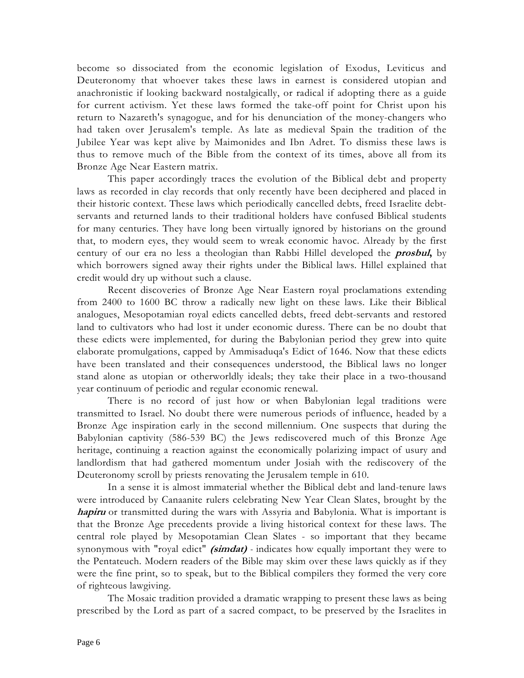become so dissociated from the economic legislation of Exodus, Leviticus and Deuteronomy that whoever takes these laws in earnest is considered utopian and anachronistic if looking backward nostalgically, or radical if adopting there as a guide for current activism. Yet these laws formed the take-off point for Christ upon his return to Nazareth's synagogue, and for his denunciation of the money-changers who had taken over Jerusalem's temple. As late as medieval Spain the tradition of the Jubilee Year was kept alive by Maimonides and Ibn Adret. To dismiss these laws is thus to remove much of the Bible from the context of its times, above all from its Bronze Age Near Eastern matrix.

This paper accordingly traces the evolution of the Biblical debt and property laws as recorded in clay records that only recently have been deciphered and placed in their historic context. These laws which periodically cancelled debts, freed Israelite debtservants and returned lands to their traditional holders have confused Biblical students for many centuries. They have long been virtually ignored by historians on the ground that, to modern eyes, they would seem to wreak economic havoc. Already by the first century of our era no less a theologian than Rabbi Hillel developed the **prosbul,** by which borrowers signed away their rights under the Biblical laws. Hillel explained that credit would dry up without such a clause.

Recent discoveries of Bronze Age Near Eastern royal proclamations extending from 2400 to 1600 BC throw a radically new light on these laws. Like their Biblical analogues, Mesopotamian royal edicts cancelled debts, freed debt-servants and restored land to cultivators who had lost it under economic duress. There can be no doubt that these edicts were implemented, for during the Babylonian period they grew into quite elaborate promulgations, capped by Ammisaduqa's Edict of 1646. Now that these edicts have been translated and their consequences understood, the Biblical laws no longer stand alone as utopian or otherworldly ideals; they take their place in a two-thousand year continuum of periodic and regular economic renewal.

There is no record of just how or when Babylonian legal traditions were transmitted to Israel. No doubt there were numerous periods of influence, headed by a Bronze Age inspiration early in the second millennium. One suspects that during the Babylonian captivity (586-539 BC) the Jews rediscovered much of this Bronze Age heritage, continuing a reaction against the economically polarizing impact of usury and landlordism that had gathered momentum under Josiah with the rediscovery of the Deuteronomy scroll by priests renovating the Jerusalem temple in 610.

In a sense it is almost immaterial whether the Biblical debt and land-tenure laws were introduced by Canaanite rulers celebrating New Year Clean Slates, brought by the **hapiru** or transmitted during the wars with Assyria and Babylonia. What is important is that the Bronze Age precedents provide a living historical context for these laws. The central role played by Mesopotamian Clean Slates - so important that they became synonymous with "royal edict" **(simdat)** *-* indicates how equally important they were to the Pentateuch. Modern readers of the Bible may skim over these laws quickly as if they were the fine print, so to speak, but to the Biblical compilers they formed the very core of righteous lawgiving.

The Mosaic tradition provided a dramatic wrapping to present these laws as being prescribed by the Lord as part of a sacred compact, to be preserved by the Israelites in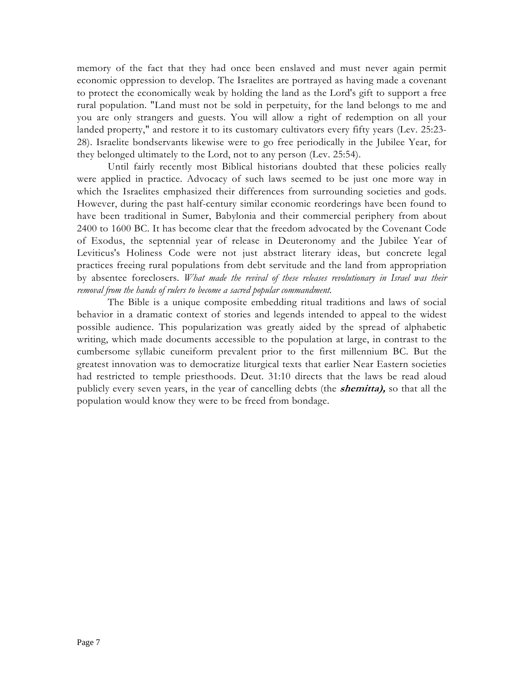memory of the fact that they had once been enslaved and must never again permit economic oppression to develop. The Israelites are portrayed as having made a covenant to protect the economically weak by holding the land as the Lord's gift to support a free rural population. "Land must not be sold in perpetuity, for the land belongs to me and you are only strangers and guests. You will allow a right of redemption on all your landed property," and restore it to its customary cultivators every fifty years (Lev. 25:23- 28). Israelite bondservants likewise were to go free periodically in the Jubilee Year, for they belonged ultimately to the Lord, not to any person (Lev. 25:54).

Until fairly recently most Biblical historians doubted that these policies really were applied in practice. Advocacy of such laws seemed to be just one more way in which the Israelites emphasized their differences from surrounding societies and gods. However, during the past half-century similar economic reorderings have been found to have been traditional in Sumer, Babylonia and their commercial periphery from about 2400 to 1600 BC. It has become clear that the freedom advocated by the Covenant Code of Exodus, the septennial year of release in Deuteronomy and the Jubilee Year of Leviticus's Holiness Code were not just abstract literary ideas, but concrete legal practices freeing rural populations from debt servitude and the land from appropriation by absentee foreclosers. *What made the revival of these releases revolutionary in Israel was their removal from the hands of rulers to become a sacred popular commandment.* 

The Bible is a unique composite embedding ritual traditions and laws of social behavior in a dramatic context of stories and legends intended to appeal to the widest possible audience. This popularization was greatly aided by the spread of alphabetic writing, which made documents accessible to the population at large, in contrast to the cumbersome syllabic cuneiform prevalent prior to the first millennium BC. But the greatest innovation was to democratize liturgical texts that earlier Near Eastern societies had restricted to temple priesthoods. Deut. 31:10 directs that the laws be read aloud publicly every seven years, in the year of cancelling debts (the **shemitta),** so that all the population would know they were to be freed from bondage.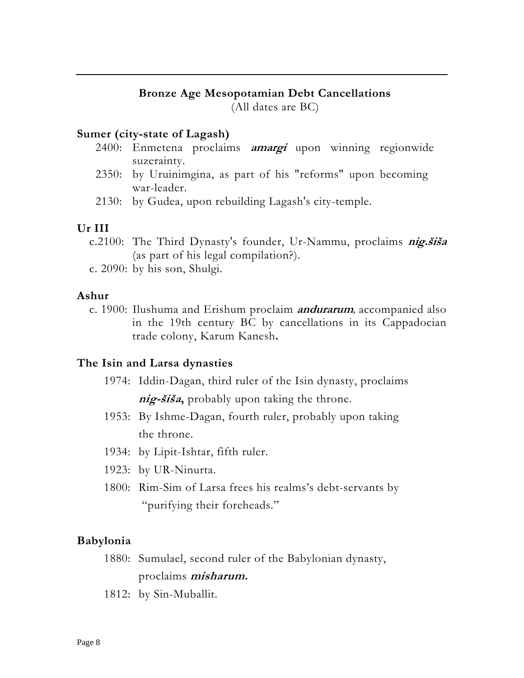## **Bronze Age Mesopotamian Debt Cancellations**

(All dates are BC)

## **Sumer (city-state of Lagash)**

- 2400: Enmetena proclaims **amargi** upon winning regionwide suzerainty.
- 2350: by Uruinimgina, as part of his "reforms" upon becoming war-leader.
- 2130: by Gudea, upon rebuilding Lagash's city-temple.

## **Ur III**

- c.2100: The Third Dynasty's founder, Ur-Nammu, proclaims **nig.šiša** (as part of his legal compilation?).
- c. 2090: by his son, Shulgi.

## **Ashur**

c. 1900: Ilushuma and Erishum proclaim **andurarum***,* accompanied also in the 19th century BC by cancellations in its Cappadocian trade colony, Karum Kanesh**.** 

## **The Isin and Larsa dynasties**

- 1974: Iddin-Dagan, third ruler of the Isin dynasty, proclaims **nig-šiša,** probably upon taking the throne.
- 1953: By Ishme-Dagan, fourth ruler, probably upon taking the throne.
- 1934: by Lipit-Ishtar, fifth ruler.
- 1923: by UR-Ninurta.
- 1800: Rim-Sim of Larsa frees his realms's debt-servants by "purifying their foreheads."

## **Babylonia**

- 1880: Sumulael, second ruler of the Babylonian dynasty, proclaims **misharum.**
- 1812: by Sin-Muballit.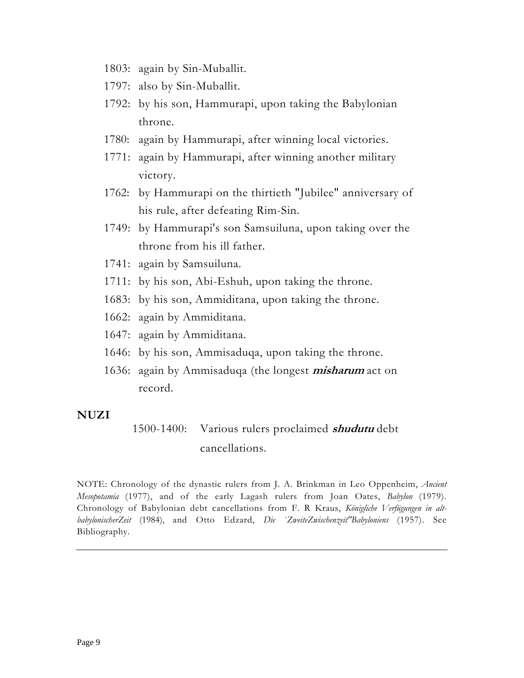- 1803: again by Sin-Muballit.
- 1797: also by Sin-Muballit.
- 1792: by his son, Hammurapi, upon taking the Babylonian throne.
- 1780: again by Hammurapi, after winning local victories.
- 1771: again by Hammurapi, after winning another military victory.
- 1762: by Hammurapi on the thirtieth "Jubilee" anniversary of his rule, after defeating Rim-Sin.
- 1749: by Hammurapi's son Samsuiluna, upon taking over the throne from his ill father.
- 1741: again by Samsuiluna.
- 1711: by his son, Abi-Eshuh, upon taking the throne.
- 1683: by his son, Ammiditana, upon taking the throne.
- 1662: again by Ammiditana.
- 1647: again by Ammiditana.
- 1646: by his son, Ammisaduqa, upon taking the throne.
- 1636: again by Ammisaduqa (the longest **misharum** act on record.

## **NUZI**

# 1500-1400: Various rulers proclaimed **shudutu** debt cancellations.

NOTE: Chronology of the dynastic rulers from J. A. Brinkman in Leo Oppenheim, *Ancient Mesopotamia* (1977), and of the early Lagash rulers from Joan Oates, *Babylon* (1979). Chronology of Babylonian debt cancellations from F. R Kraus, *Königliche Verfügungen in altbabylonischerZeit* (1984), and Otto Edzard, *Die `ZweiteZwischenzeit"Babyloniens* (1957). See Bibliography.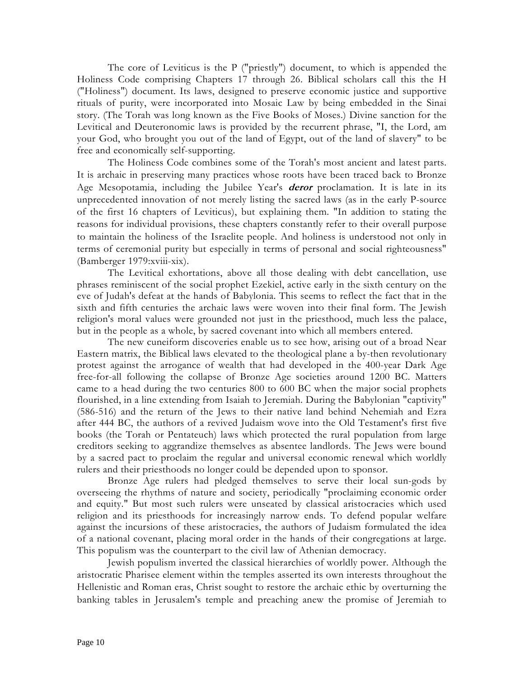The core of Leviticus is the P ("priestly") document, to which is appended the Holiness Code comprising Chapters 17 through 26. Biblical scholars call this the H ("Holiness") document. Its laws, designed to preserve economic justice and supportive rituals of purity, were incorporated into Mosaic Law by being embedded in the Sinai story. (The Torah was long known as the Five Books of Moses.) Divine sanction for the Levitical and Deuteronomic laws is provided by the recurrent phrase, "I, the Lord, am your God, who brought you out of the land of Egypt, out of the land of slavery" to be free and economically self-supporting.

The Holiness Code combines some of the Torah's most ancient and latest parts. It is archaic in preserving many practices whose roots have been traced back to Bronze Age Mesopotamia, including the Jubilee Year's **deror** proclamation. It is late in its unprecedented innovation of not merely listing the sacred laws (as in the early P-source of the first 16 chapters of Leviticus), but explaining them. "In addition to stating the reasons for individual provisions, these chapters constantly refer to their overall purpose to maintain the holiness of the Israelite people. And holiness is understood not only in terms of ceremonial purity but especially in terms of personal and social righteousness" (Bamberger 1979:xviii-xix).

The Levitical exhortations, above all those dealing with debt cancellation, use phrases reminiscent of the social prophet Ezekiel, active early in the sixth century on the eve of Judah's defeat at the hands of Babylonia. This seems to reflect the fact that in the sixth and fifth centuries the archaic laws were woven into their final form. The Jewish religion's moral values were grounded not just in the priesthood, much less the palace, but in the people as a whole, by sacred covenant into which all members entered.

The new cuneiform discoveries enable us to see how, arising out of a broad Near Eastern matrix, the Biblical laws elevated to the theological plane a by-then revolutionary protest against the arrogance of wealth that had developed in the 400-year Dark Age free-for-all following the collapse of Bronze Age societies around 1200 BC. Matters came to a head during the two centuries 800 to 600 BC when the major social prophets flourished, in a line extending from Isaiah to Jeremiah. During the Babylonian "captivity" (586-516) and the return of the Jews to their native land behind Nehemiah and Ezra after 444 BC, the authors of a revived Judaism wove into the Old Testament's first five books (the Torah or Pentateuch) laws which protected the rural population from large creditors seeking to aggrandize themselves as absentee landlords. The Jews were bound by a sacred pact to proclaim the regular and universal economic renewal which worldly rulers and their priesthoods no longer could be depended upon to sponsor.

Bronze Age rulers had pledged themselves to serve their local sun-gods by overseeing the rhythms of nature and society, periodically "proclaiming economic order and equity." But most such rulers were unseated by classical aristocracies which used religion and its priesthoods for increasingly narrow ends. To defend popular welfare against the incursions of these aristocracies, the authors of Judaism formulated the idea of a national covenant, placing moral order in the hands of their congregations at large. This populism was the counterpart to the civil law of Athenian democracy.

Jewish populism inverted the classical hierarchies of worldly power. Although the aristocratic Pharisee element within the temples asserted its own interests throughout the Hellenistic and Roman eras, Christ sought to restore the archaic ethic by overturning the banking tables in Jerusalem's temple and preaching anew the promise of Jeremiah to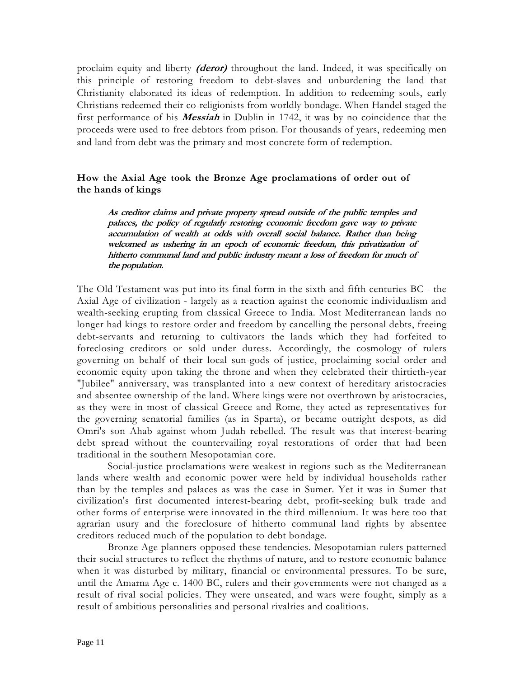proclaim equity and liberty **(deror)** throughout the land. Indeed, it was specifically on this principle of restoring freedom to debt-slaves and unburdening the land that Christianity elaborated its ideas of redemption. In addition to redeeming souls, early Christians redeemed their co-religionists from worldly bondage. When Handel staged the first performance of his **Messiah** in Dublin in 1742, it was by no coincidence that the proceeds were used to free debtors from prison. For thousands of years, redeeming men and land from debt was the primary and most concrete form of redemption.

## **How the Axial Age took the Bronze Age proclamations of order out of the hands of kings**

**As creditor claims and private property spread outside of the public temples and** palaces, the policy of regularly restoring economic freedom gave way to private **accumulation of wealth at odds with overall social balance. Rather than being**  welcomed as ushering in an epoch of economic freedom, this privatization of **hitherto communal land and public industry meant a loss of freedom for much of**  the population.

The Old Testament was put into its final form in the sixth and fifth centuries BC - the Axial Age of civilization - largely as a reaction against the economic individualism and wealth-seeking erupting from classical Greece to India. Most Mediterranean lands no longer had kings to restore order and freedom by cancelling the personal debts, freeing debt-servants and returning to cultivators the lands which they had forfeited to foreclosing creditors or sold under duress. Accordingly, the cosmology of rulers governing on behalf of their local sun-gods of justice, proclaiming social order and economic equity upon taking the throne and when they celebrated their thirtieth-year "Jubilee" anniversary, was transplanted into a new context of hereditary aristocracies and absentee ownership of the land. Where kings were not overthrown by aristocracies, as they were in most of classical Greece and Rome, they acted as representatives for the governing senatorial families (as in Sparta), or became outright despots, as did Omri's son Ahab against whom Judah rebelled. The result was that interest-bearing debt spread without the countervailing royal restorations of order that had been traditional in the southern Mesopotamian core.

Social-justice proclamations were weakest in regions such as the Mediterranean lands where wealth and economic power were held by individual households rather than by the temples and palaces as was the case in Sumer. Yet it was in Sumer that civilization's first documented interest-bearing debt, profit-seeking bulk trade and other forms of enterprise were innovated in the third millennium. It was here too that agrarian usury and the foreclosure of hitherto communal land rights by absentee creditors reduced much of the population to debt bondage.

Bronze Age planners opposed these tendencies. Mesopotamian rulers patterned their social structures to reflect the rhythms of nature, and to restore economic balance when it was disturbed by military, financial or environmental pressures. To be sure, until the Amarna Age c. 1400 BC, rulers and their governments were not changed as a result of rival social policies. They were unseated, and wars were fought, simply as a result of ambitious personalities and personal rivalries and coalitions.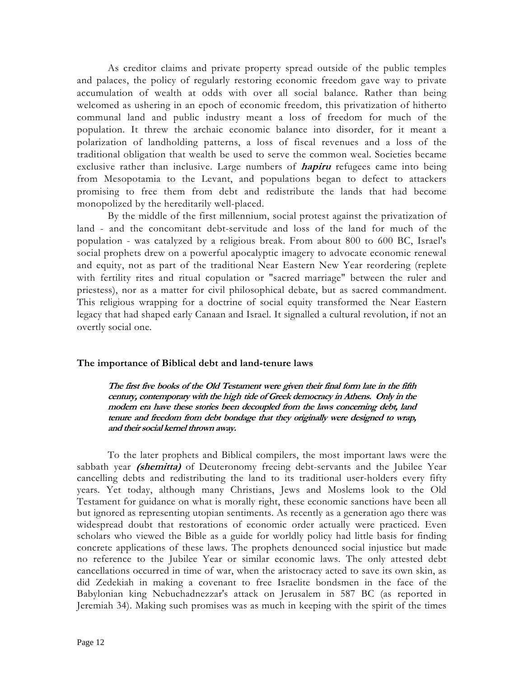As creditor claims and private property spread outside of the public temples and palaces, the policy of regularly restoring economic freedom gave way to private accumulation of wealth at odds with over all social balance. Rather than being welcomed as ushering in an epoch of economic freedom, this privatization of hitherto communal land and public industry meant a loss of freedom for much of the population. It threw the archaic economic balance into disorder, for it meant a polarization of landholding patterns, a loss of fiscal revenues and a loss of the traditional obligation that wealth be used to serve the common weal. Societies became exclusive rather than inclusive. Large numbers of **hapiru** refugees came into being from Mesopotamia to the Levant, and populations began to defect to attackers promising to free them from debt and redistribute the lands that had become monopolized by the hereditarily well-placed.

By the middle of the first millennium, social protest against the privatization of land - and the concomitant debt-servitude and loss of the land for much of the population - was catalyzed by a religious break. From about 800 to 600 BC, Israel's social prophets drew on a powerful apocalyptic imagery to advocate economic renewal and equity, not as part of the traditional Near Eastern New Year reordering (replete with fertility rites and ritual copulation or "sacred marriage" between the ruler and priestess), nor as a matter for civil philosophical debate, but as sacred commandment. This religious wrapping for a doctrine of social equity transformed the Near Eastern legacy that had shaped early Canaan and Israel. It signalled a cultural revolution, if not an overtly social one.

#### **The importance of Biblical debt and land-tenure laws**

**The first five books of the Old Testament were given their final form late in the fifth** century, contemporary with the high tide of Greek democracy in Athens. Only in the modern era have these stories been decoupled from the laws concerning debt, land tenure and freedom from debt bondage that they originally were designed to wrap, **and their social kernel thrown away.** 

To the later prophets and Biblical compilers, the most important laws were the sabbath year **(shemitta)** of Deuteronomy freeing debt-servants and the Jubilee Year cancelling debts and redistributing the land to its traditional user-holders every fifty years. Yet today, although many Christians, Jews and Moslems look to the Old Testament for guidance on what is morally right, these economic sanctions have been all but ignored as representing utopian sentiments. As recently as a generation ago there was widespread doubt that restorations of economic order actually were practiced. Even scholars who viewed the Bible as a guide for worldly policy had little basis for finding concrete applications of these laws. The prophets denounced social injustice but made no reference to the Jubilee Year or similar economic laws. The only attested debt cancellations occurred in time of war, when the aristocracy acted to save its own skin, as did Zedekiah in making a covenant to free Israelite bondsmen in the face of the Babylonian king Nebuchadnezzar's attack on Jerusalem in 587 BC (as reported in Jeremiah 34). Making such promises was as much in keeping with the spirit of the times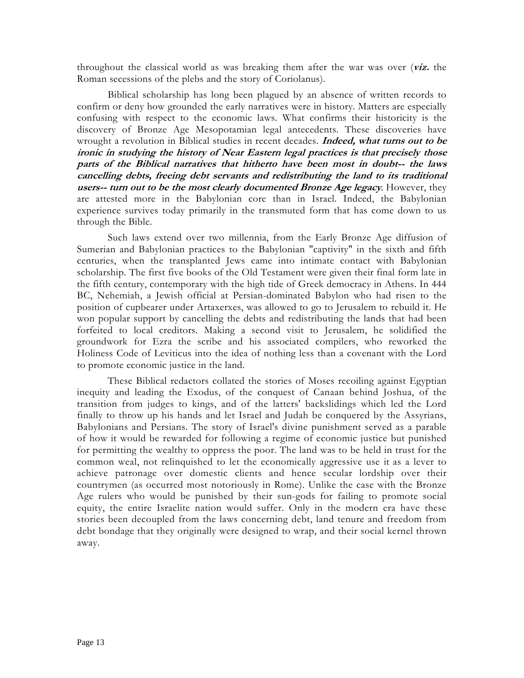throughout the classical world as was breaking them after the war was over (**viz.** the Roman secessions of the plebs and the story of Coriolanus).

Biblical scholarship has long been plagued by an absence of written records to confirm or deny how grounded the early narratives were in history. Matters are especially confusing with respect to the economic laws. What confirms their historicity is the discovery of Bronze Age Mesopotamian legal antecedents. These discoveries have wrought a revolution in Biblical studies in recent decades. **Indeed, what turns out to be ironic in studying the history of Near Eastern legal practices is that precisely those parts of the Biblical narratives that hitherto have been most in doubt-- the laws cancelling debts, freeing debt servants and redistributing the land to its traditional users-- turn out to be the most clearly documented Bronze Age legacy***.* However, they are attested more in the Babylonian core than in Israel. Indeed, the Babylonian experience survives today primarily in the transmuted form that has come down to us through the Bible.

Such laws extend over two millennia, from the Early Bronze Age diffusion of Sumerian and Babylonian practices to the Babylonian "captivity" in the sixth and fifth centuries, when the transplanted Jews came into intimate contact with Babylonian scholarship. The first five books of the Old Testament were given their final form late in the fifth century, contemporary with the high tide of Greek democracy in Athens. In 444 BC, Nehemiah, a Jewish official at Persian-dominated Babylon who had risen to the position of cupbearer under Artaxerxes, was allowed to go to Jerusalem to rebuild it. He won popular support by cancelling the debts and redistributing the lands that had been forfeited to local creditors. Making a second visit to Jerusalem, he solidified the groundwork for Ezra the scribe and his associated compilers, who reworked the Holiness Code of Leviticus into the idea of nothing less than a covenant with the Lord to promote economic justice in the land.

These Biblical redactors collated the stories of Moses recoiling against Egyptian inequity and leading the Exodus, of the conquest of Canaan behind Joshua, of the transition from judges to kings, and of the latters' backslidings which led the Lord finally to throw up his hands and let Israel and Judah be conquered by the Assyrians, Babylonians and Persians. The story of Israel's divine punishment served as a parable of how it would be rewarded for following a regime of economic justice but punished for permitting the wealthy to oppress the poor. The land was to be held in trust for the common weal, not relinquished to let the economically aggressive use it as a lever to achieve patronage over domestic clients and hence secular lordship over their countrymen (as occurred most notoriously in Rome). Unlike the case with the Bronze Age rulers who would be punished by their sun-gods for failing to promote social equity, the entire Israelite nation would suffer. Only in the modern era have these stories been decoupled from the laws concerning debt, land tenure and freedom from debt bondage that they originally were designed to wrap, and their social kernel thrown away.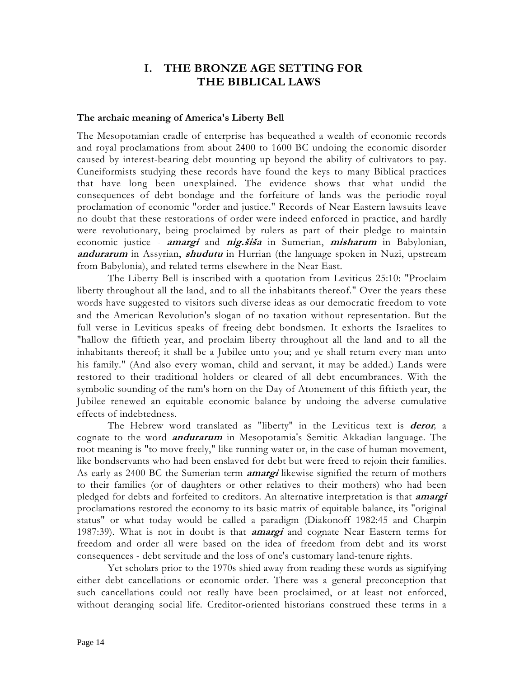## **I. THE BRONZE AGE SETTING FOR THE BIBLICAL LAWS**

#### **The archaic meaning of America's Liberty Bell**

The Mesopotamian cradle of enterprise has bequeathed a wealth of economic records and royal proclamations from about 2400 to 1600 BC undoing the economic disorder caused by interest-bearing debt mounting up beyond the ability of cultivators to pay. Cuneiformists studying these records have found the keys to many Biblical practices that have long been unexplained. The evidence shows that what undid the consequences of debt bondage and the forfeiture of lands was the periodic royal proclamation of economic "order and justice." Records of Near Eastern lawsuits leave no doubt that these restorations of order were indeed enforced in practice, and hardly were revolutionary, being proclaimed by rulers as part of their pledge to maintain economic justice - **amargi** and **nig.šiša** in Sumerian, **misharum** in Babylonian, **andurarum** in Assyrian, **shudutu** in Hurrian (the language spoken in Nuzi, upstream from Babylonia), and related terms elsewhere in the Near East.

The Liberty Bell is inscribed with a quotation from Leviticus 25:10: "Proclaim liberty throughout all the land, and to all the inhabitants thereof." Over the years these words have suggested to visitors such diverse ideas as our democratic freedom to vote and the American Revolution's slogan of no taxation without representation. But the full verse in Leviticus speaks of freeing debt bondsmen. It exhorts the Israelites to "hallow the fiftieth year, and proclaim liberty throughout all the land and to all the inhabitants thereof; it shall be a Jubilee unto you; and ye shall return every man unto his family." (And also every woman, child and servant, it may be added.) Lands were restored to their traditional holders or cleared of all debt encumbrances. With the symbolic sounding of the ram's horn on the Day of Atonement of this fiftieth year, the Jubilee renewed an equitable economic balance by undoing the adverse cumulative effects of indebtedness.

The Hebrew word translated as "liberty" in the Leviticus text is **deror***,* a cognate to the word **andurarum** in Mesopotamia's Semitic Akkadian language. The root meaning is "to move freely," like running water or, in the case of human movement, like bondservants who had been enslaved for debt but were freed to rejoin their families. As early as 2400 BC the Sumerian term **amargi** likewise signified the return of mothers to their families (or of daughters or other relatives to their mothers) who had been pledged for debts and forfeited to creditors. An alternative interpretation is that **amargi** proclamations restored the economy to its basic matrix of equitable balance, its "original status" or what today would be called a paradigm (Diakonoff 1982:45 and Charpin 1987:39). What is not in doubt is that **amargi** and cognate Near Eastern terms for freedom and order all were based on the idea of freedom from debt and its worst consequences - debt servitude and the loss of one's customary land-tenure rights.

Yet scholars prior to the 1970s shied away from reading these words as signifying either debt cancellations or economic order. There was a general preconception that such cancellations could not really have been proclaimed, or at least not enforced, without deranging social life. Creditor-oriented historians construed these terms in a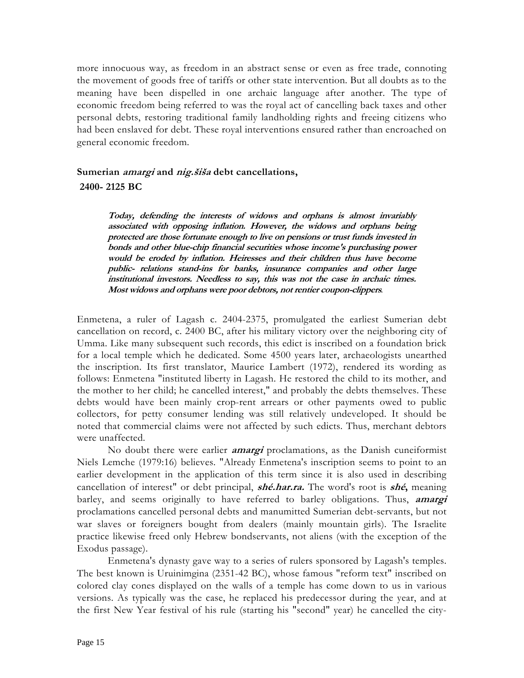more innocuous way, as freedom in an abstract sense or even as free trade, connoting the movement of goods free of tariffs or other state intervention. But all doubts as to the meaning have been dispelled in one archaic language after another. The type of economic freedom being referred to was the royal act of cancelling back taxes and other personal debts, restoring traditional family landholding rights and freeing citizens who had been enslaved for debt. These royal interventions ensured rather than encroached on general economic freedom.

## **Sumerian amargi and nig.šiša debt cancellations, 2400- 2125 BC**

**Today, defending the interests of w dows and orphans is almost invariably i associated with opposing inflation. However, the widows and orphans being protected are those fortunate enough to live on pensions or trust funds invested in bonds and other blue-chip financial securities whose income's purchasing power would be eroded by inflation. Heiresses and their children thus have become public- relations stand-ins for banks, insurance companies and other large**  institutional investors. Needless to say, this was not the case in archaic times. **Most widows and orphans were poor debtors, not rentier coupon-clippers***.* 

Enmetena, a ruler of Lagash c. 2404-2375, promulgated the earliest Sumerian debt cancellation on record, c. 2400 BC, after his military victory over the neighboring city of Umma. Like many subsequent such records, this edict is inscribed on a foundation brick for a local temple which he dedicated. Some 4500 years later, archaeologists unearthed the inscription. Its first translator, Maurice Lambert (1972), rendered its wording as follows: Enmetena "instituted liberty in Lagash. He restored the child to its mother, and the mother to her child; he cancelled interest," and probably the debts themselves. These debts would have been mainly crop-rent arrears or other payments owed to public collectors, for petty consumer lending was still relatively undeveloped. It should be noted that commercial claims were not affected by such edicts. Thus, merchant debtors were unaffected.

No doubt there were earlier **amargi** proclamations, as the Danish cuneiformist Niels Lemche (1979:16) believes. "Already Enmetena's inscription seems to point to an earlier development in the application of this term since it is also used in describing cancellation of interest" or debt principal, **shé.har.ra.** The word's root is **shé,** meaning barley, and seems originally to have referred to barley obligations. Thus, **amargi** proclamations cancelled personal debts and manumitted Sumerian debt-servants, but not war slaves or foreigners bought from dealers (mainly mountain girls). The Israelite practice likewise freed only Hebrew bondservants, not aliens (with the exception of the Exodus passage).

Enmetena's dynasty gave way to a series of rulers sponsored by Lagash's temples. The best known is Uruinimgina (2351-42 BC), whose famous "reform text" inscribed on colored clay cones displayed on the walls of a temple has come down to us in various versions. As typically was the case, he replaced his predecessor during the year, and at the first New Year festival of his rule (starting his "second" year) he cancelled the city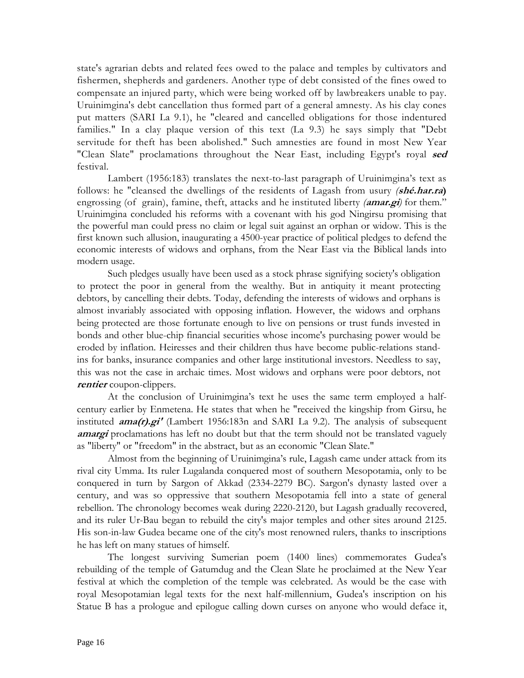state's agrarian debts and related fees owed to the palace and temples by cultivators and fishermen, shepherds and gardeners. Another type of debt consisted of the fines owed to compensate an injured party, which were being worked off by lawbreakers unable to pay. Uruinimgina's debt cancellation thus formed part of a general amnesty. As his clay cones put matters (SARI La 9.1), he "cleared and cancelled obligations for those indentured families." In a clay plaque version of this text (La 9.3) he says simply that "Debt servitude for theft has been abolished." Such amnesties are found in most New Year "Clean Slate" proclamations throughout the Near East, including Egypt's royal **sed** festival.

Lambert (1956:183) translates the next-to-last paragraph of Uruinimgina's text as follows: he "cleansed the dwellings of the residents of Lagash from usury *(***shé.har.ra)** engrossing (of grain), famine, theft, attacks and he instituted liberty *(***amar.gi***)* for them." Uruinimgina concluded his reforms with a covenant with his god Ningirsu promising that the powerful man could press no claim or legal suit against an orphan or widow. This is the first known such allusion, inaugurating a 4500-year practice of political pledges to defend the economic interests of widows and orphans, from the Near East via the Biblical lands into modern usage.

Such pledges usually have been used as a stock phrase signifying society's obligation to protect the poor in general from the wealthy. But in antiquity it meant protecting debtors, by cancelling their debts. Today, defending the interests of widows and orphans is almost invariably associated with opposing inflation. However, the widows and orphans being protected are those fortunate enough to live on pensions or trust funds invested in bonds and other blue-chip financial securities whose income's purchasing power would be eroded by inflation. Heiresses and their children thus have become public-relations standins for banks, insurance companies and other large institutional investors. Needless to say, this was not the case in archaic times. Most widows and orphans were poor debtors, not **rentier** coupon-clippers.

At the conclusion of Uruinimgina's text he uses the same term employed a halfcentury earlier by Enmetena. He states that when he "received the kingship from Girsu, he instituted **ama(r).gi'** (Lambert 1956:183n and SARI La 9.2). The analysis of subsequent **amargi** proclamations has left no doubt but that the term should not be translated vaguely as "liberty" or "freedom" in the abstract, but as an economic "Clean Slate."

Almost from the beginning of Uruinimgina's rule, Lagash came under attack from its rival city Umma. Its ruler Lugalanda conquered most of southern Mesopotamia, only to be conquered in turn by Sargon of Akkad (2334-2279 BC). Sargon's dynasty lasted over a century, and was so oppressive that southern Mesopotamia fell into a state of general rebellion. The chronology becomes weak during 2220-2120, but Lagash gradually recovered, and its ruler Ur-Bau began to rebuild the city's major temples and other sites around 2125. His son-in-law Gudea became one of the city's most renowned rulers, thanks to inscriptions he has left on many statues of himself.

The longest surviving Sumerian poem (1400 lines) commemorates Gudea's rebuilding of the temple of Gatumdug and the Clean Slate he proclaimed at the New Year festival at which the completion of the temple was celebrated. As would be the case with royal Mesopotamian legal texts for the next half-millennium, Gudea's inscription on his Statue B has a prologue and epilogue calling down curses on anyone who would deface it,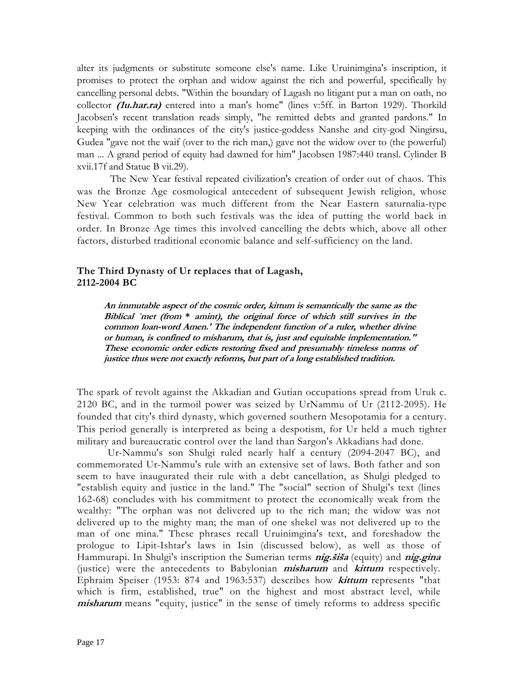alter its judgments or substitute someone else's name. Like Uruinimgina's inscription, it promises to protect the orphan and widow against the rich and powerful, specifically by cancelling personal debts. "Within the boundary of Lagash no litigant put a man on oath, no collector **(1u.har.ra)** entered into a man's home" (lines v:5ff. in Barton 1929). Thorkild Jacobsen's recent translation reads simply, "he remitted debts and granted pardons." In keeping with the ordinances of the city's justice-goddess Nanshe and city-god Ningirsu, Gudea "gave not the waif (over to the rich man,) gave not the widow over to (the powerful) man ... A grand period of equity had dawned for him" Jacobsen 1987:440 transl. Cylinder B xvii.17f and Statue B vii.29).

The New Year festival repeated civilization's creation of order out of chaos. This was the Bronze Age cosmological antecedent of subsequent Jewish religion, whose New Year celebration was much different from the Near Eastern saturnalia-type festival. Common to both such festivals was the idea of putting the world back in order. In Bronze Age times this involved cancelling the debts which, above all other factors, disturbed traditional economic balance and self-sufficiency on the land.

#### **The Third Dynasty of Ur replaces that of Lagash, 2112-2004 BC**

**An immutable aspect of the cosmic order, kittum is semantically the same as the Biblical `met (from \* amint), the original force of which still survives in the common loan-word Amen.' The independent function of a ruler, whether divine or human, is confined to misharum, that is, just and equitable implementation." These economic order edicts restoring fixed and presumably timeless norms of justice thus were not exactly reforms, but part of a long established tradition.** 

The spark of revolt against the Akkadian and Gutian occupations spread from Uruk c. 2120 BC, and in the turmoil power was seized by UrNammu of Ur (2112-2095). He founded that city's third dynasty, which governed southern Mesopotamia for a century. This period generally is interpreted as being a despotism, for Ur held a much tighter military and bureaucratic control over the land than Sargon's Akkadians had done.

Ur-Nammu's son Shulgi ruled nearly half a century (2094-2047 BC), and commemorated Ur-Nammu's rule with an extensive set of laws. Both father and son seem to have inaugurated their rule with a debt cancellation, as Shulgi pledged to "establish equity and justice in the land." The "social" section of Shulgi's text (lines 162-68) concludes with his commitment to protect the economically weak from the wealthy: "The orphan was not delivered up to the rich man; the widow was not delivered up to the mighty man; the man of one shekel was not delivered up to the man of one mina." These phrases recall Uruinimgina's text, and foreshadow the prologue to Lipit-Ishtar's laws in Isin (discussed below), as well as those of Hammurapi. In Shulgi's inscription the Sumerian terms **nig.šiša** (equity) and **nig.gina** (justice) were the antecedents to Babylonian **misharum** and **kittum** respectively. Ephraim Speiser (1953: 874 and 1963:537) describes how **kittum** represents "that which is firm, established, true" on the highest and most abstract level, while **misharum** means "equity, justice" in the sense of timely reforms to address specific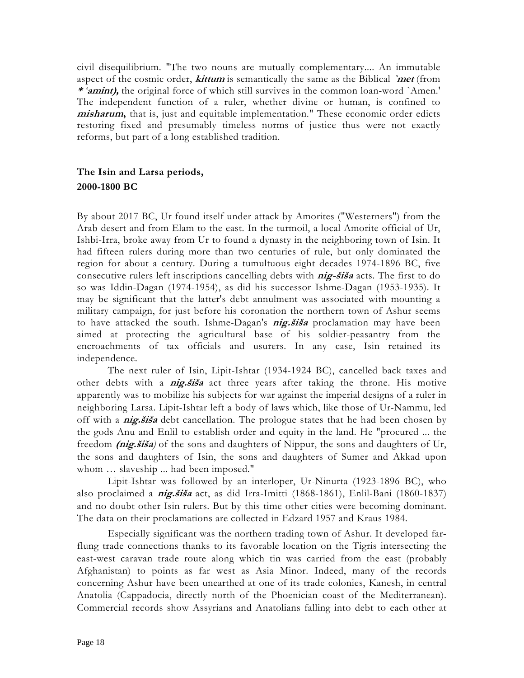civil disequilibrium. "The two nouns are mutually complementary.... An immutable aspect of the cosmic order, **kittum** is semantically the same as the Biblical **`met** (from **\*** *'***amint),** the original force of which still survives in the common loan-word `Amen.' The independent function of a ruler, whether divine or human, is confined to **misharum,** that is, just and equitable implementation." These economic order edicts restoring fixed and presumably timeless norms of justice thus were not exactly reforms, but part of a long established tradition.

## **The Isin and Larsa periods, 2000-1800 BC**

By about 2017 BC, Ur found itself under attack by Amorites ("Westerners") from the Arab desert and from Elam to the east. In the turmoil, a local Amorite official of Ur, Ishbi-Irra, broke away from Ur to found a dynasty in the neighboring town of Isin. It had fifteen rulers during more than two centuries of rule, but only dominated the region for about a century. During a tumultuous eight decades 1974-1896 BC, five consecutive rulers left inscriptions cancelling debts with **nig-šiša** acts. The first to do so was Iddin-Dagan (1974-1954), as did his successor Ishme-Dagan (1953-1935). It may be significant that the latter's debt annulment was associated with mounting a military campaign, for just before his coronation the northern town of Ashur seems to have attacked the south. Ishme-Dagan's **nig.šiša** proclamation may have been aimed at protecting the agricultural base of his soldier-peasantry from the encroachments of tax officials and usurers. In any case, Isin retained its independence.

The next ruler of Isin, Lipit-Ishtar (1934-1924 BC), cancelled back taxes and other debts with a **nig.šiša** act three years after taking the throne. His motive apparently was to mobilize his subjects for war against the imperial designs of a ruler in neighboring Larsa. Lipit-Ishtar left a body of laws which, like those of Ur-Nammu, led off with a **nig.šiša** debt cancellation. The prologue states that he had been chosen by the gods Anu and Enlil to establish order and equity in the land. He "procured ... the freedom **(nig.šiša***)* of the sons and daughters of Nippur, the sons and daughters of Ur, the sons and daughters of Isin, the sons and daughters of Sumer and Akkad upon whom … slaveship ... had been imposed."

Lipit-Ishtar was followed by an interloper, Ur-Ninurta (1923-1896 BC), who also proclaimed a **nig.šiša** act, as did Irra-Imitti (1868-1861), Enlil-Bani (1860-1837) and no doubt other Isin rulers. But by this time other cities were becoming dominant. The data on their proclamations are collected in Edzard 1957 and Kraus 1984.

Especially significant was the northern trading town of Ashur. It developed farflung trade connections thanks to its favorable location on the Tigris intersecting the east-west caravan trade route along which tin was carried from the east (probably Afghanistan) to points as far west as Asia Minor. Indeed, many of the records concerning Ashur have been unearthed at one of its trade colonies, Kanesh, in central Anatolia (Cappadocia, directly north of the Phoenician coast of the Mediterranean). Commercial records show Assyrians and Anatolians falling into debt to each other at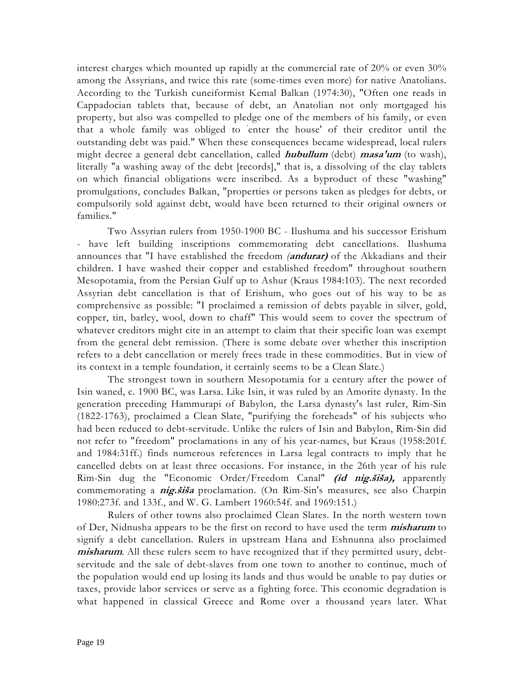interest charges which mounted up rapidly at the commercial rate of 20% or even 30% among the Assyrians, and twice this rate (some-times even more) for native Anatolians. According to the Turkish cuneiformist Kemal Balkan (1974:30), "Often one reads in Cappadocian tablets that, because of debt, an Anatolian not only mortgaged his property, but also was compelled to pledge one of the members of his family, or even that a whole family was obliged to ' enter the house' of their creditor until the outstanding debt was paid." When these consequences became widespread, local rulers might decree a general debt cancellation, called **hubullum** (debt) **masa'um** (to wash), literally "a washing away of the debt [records]," that is, a dissolving of the clay tablets on which financial obligations were inscribed. As a byproduct of these "washing" promulgations, concludes Balkan, "properties or persons taken as pledges for debts, or compulsorily sold against debt, would have been returned to their original owners or families."

Two Assyrian rulers from 1950-1900 BC - Ilushuma and his successor Erishum - have left building inscriptions commemorating debt cancellations. Ilushuma announces that "I have established the freedom *(***andurar)** of the Akkadians and their children. I have washed their copper and established freedom" throughout southern Mesopotamia, from the Persian Gulf up to Ashur (Kraus 1984:103). The next recorded Assyrian debt cancellation is that of Erishum, who goes out of his way to be as comprehensive as possible: "I proclaimed a remission of debts payable in silver, gold, copper, tin, barley, wool, down to chaff" This would seem to cover the spectrum of whatever creditors might cite in an attempt to claim that their specific loan was exempt from the general debt remission. (There is some debate over whether this inscription refers to a debt cancellation or merely frees trade in these commodities. But in view of its context in a temple foundation, it certainly seems to be a Clean Slate.)

The strongest town in southern Mesopotamia for a century after the power of Isin waned, c. 1900 BC, was Larsa. Like Isin, it was ruled by an Amorite dynasty. In the generation preceding Hammurapi of Babylon, the Larsa dynasty's last ruler, Rim-Sin (1822-1763), proclaimed a Clean Slate, "purifying the foreheads" of his subjects who had been reduced to debt-servitude. Unlike the rulers of Isin and Babylon, Rim-Sin did not refer to "freedom" proclamations in any of his year-names, but Kraus (1958:201f. and 1984:31ff.) finds numerous references in Larsa legal contracts to imply that he cancelled debts on at least three occasions. For instance, in the 26th year of his rule Rim-Sin dug the "Economic Order/Freedom Canal" **(id nig.šiša),** apparently commemorating a **nig.šiša** proclamation. (On Rim-Sin's measures, see also Charpin 1980:273f. and 133f., and W. G. Lambert 1960:54f. and 1969:151.)

Rulers of other towns also proclaimed Clean Slates. In the north western town of Der, Nidnusha appears to be the first on record to have used the term **misharum** to signify a debt cancellation. Rulers in upstream Hana and Eshnunna also proclaimed **misharum***.* All these rulers seem to have recognized that if they permitted usury, debtservitude and the sale of debt-slaves from one town to another to continue, much of the population would end up losing its lands and thus would be unable to pay duties or taxes, provide labor services or serve as a fighting force. This economic degradation is what happened in classical Greece and Rome over a thousand years later. What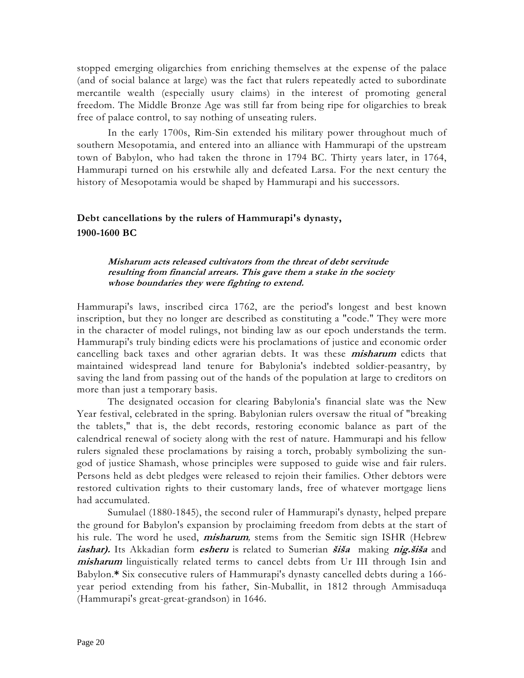stopped emerging oligarchies from enriching themselves at the expense of the palace (and of social balance at large) was the fact that rulers repeatedly acted to subordinate mercantile wealth (especially usury claims) in the interest of promoting general freedom. The Middle Bronze Age was still far from being ripe for oligarchies to break free of palace control, to say nothing of unseating rulers.

In the early 1700s, Rim-Sin extended his military power throughout much of southern Mesopotamia, and entered into an alliance with Hammurapi of the upstream town of Babylon, who had taken the throne in 1794 BC. Thirty years later, in 1764, Hammurapi turned on his erstwhile ally and defeated Larsa. For the next century the history of Mesopotamia would be shaped by Hammurapi and his successors.

## **Debt cancellations by the rulers of Hammurapi's dynasty, 1900-1600 BC**

#### **Misharum acts released cultivators from he threat of debt servitude t resulting from financial arrears. This gave them a stake in the society whose boundaries they were fighting to extend.**

Hammurapi's laws, inscribed circa 1762, are the period's longest and best known inscription, but they no longer are described as constituting a "code." They were more in the character of model rulings, not binding law as our epoch understands the term. Hammurapi's truly binding edicts were his proclamations of justice and economic order cancelling back taxes and other agrarian debts. It was these **misharum** edicts that maintained widespread land tenure for Babylonia's indebted soldier-peasantry, by saving the land from passing out of the hands of the population at large to creditors on more than just a temporary basis.

The designated occasion for clearing Babylonia's financial slate was the New Year festival, celebrated in the spring. Babylonian rulers oversaw the ritual of "breaking the tablets," that is, the debt records, restoring economic balance as part of the calendrical renewal of society along with the rest of nature. Hammurapi and his fellow rulers signaled these proclamations by raising a torch, probably symbolizing the sungod of justice Shamash, whose principles were supposed to guide wise and fair rulers. Persons held as debt pledges were released to rejoin their families. Other debtors were restored cultivation rights to their customary lands, free of whatever mortgage liens had accumulated.

Sumulael (1880-1845), the second ruler of Hammurapi's dynasty, helped prepare the ground for Babylon's expansion by proclaiming freedom from debts at the start of his rule. The word he used, **misharum***,* stems from the Semitic sign ISHR (Hebrew **iashar).** Its Akkadian form **esheru** is related to Sumerian **šiša** making **nig.šiša** and **misharum** linguistically related terms to cancel debts from Ur III through Isin and Babylon.**\*** Six consecutive rulers of Hammurapi's dynasty cancelled debts during a 166 year period extending from his father, Sin-Muballit, in 1812 through Ammisaduqa (Hammurapi's great-great-grandson) in 1646.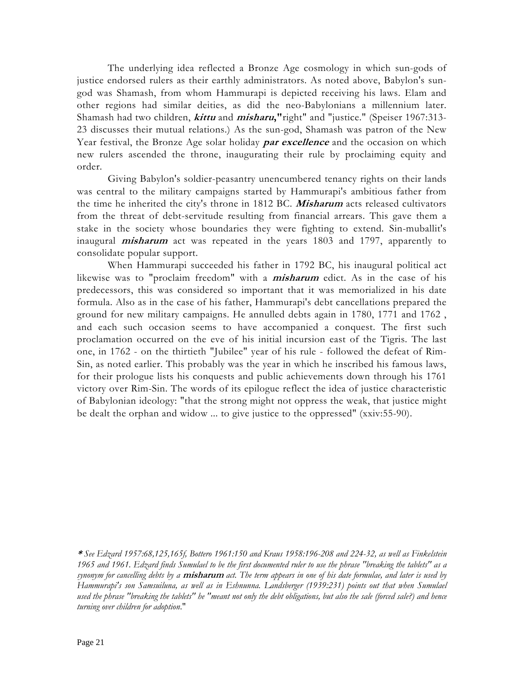The underlying idea reflected a Bronze Age cosmology in which sun-gods of justice endorsed rulers as their earthly administrators. As noted above, Babylon's sungod was Shamash, from whom Hammurapi is depicted receiving his laws. Elam and other regions had similar deities, as did the neo-Babylonians a millennium later. Shamash had two children, **kittu** and **misharu,"**right" and "justice." (Speiser 1967:313- 23 discusses their mutual relations.) As the sun-god, Shamash was patron of the New Year festival, the Bronze Age solar holiday **par excellence** and the occasion on which new rulers ascended the throne, inaugurating their rule by proclaiming equity and order.

Giving Babylon's soldier-peasantry unencumbered tenancy rights on their lands was central to the military campaigns started by Hammurapi's ambitious father from the time he inherited the city's throne in 1812 BC. **Misharum** acts released cultivators from the threat of debt-servitude resulting from financial arrears. This gave them a stake in the society whose boundaries they were fighting to extend. Sin-muballit's inaugural **misharum** act was repeated in the years 1803 and 1797, apparently to consolidate popular support.

When Hammurapi succeeded his father in 1792 BC, his inaugural political act likewise was to "proclaim freedom" with a **misharum** edict. As in the case of his predecessors, this was considered so important that it was memorialized in his date formula. Also as in the case of his father, Hammurapi's debt cancellations prepared the ground for new military campaigns. He annulled debts again in 1780, 1771 and 1762 , and each such occasion seems to have accompanied a conquest. The first such proclamation occurred on the eve of his initial incursion east of the Tigris. The last one, in 1762 - on the thirtieth "Jubilee" year of his rule - followed the defeat of Rim-Sin, as noted earlier. This probably was the year in which he inscribed his famous laws, for their prologue lists his conquests and public achievements down through his 1761 victory over Rim-Sin. The words of its epilogue reflect the idea of justice characteristic of Babylonian ideology: "that the strong might not oppress the weak, that justice might be dealt the orphan and widow ... to give justice to the oppressed" (xxiv:55-90).

**<sup>\*</sup>** *See Edzard 1957:68,125,165f, Bottero 1961:150 and Kraus 1958:196-208 and 224-32, as well as Finkelstein 1965 and 1961. Edzard finds Sumulael to be the first documented ruler to use the phrase "breaking the tablets" as a synonym for cancelling debts by a* **misharum** *act. The term appears in one of his date formulae, and later is used by Hammurapi's son Samsuiluna, as well as in Eshnunna. Landsberger (1939:231) points out that when Sumulael used the phrase "breaking the tablets" he "meant not only the debt obligations, but also the sale (forced sale?) and hence turning over children for adoption*."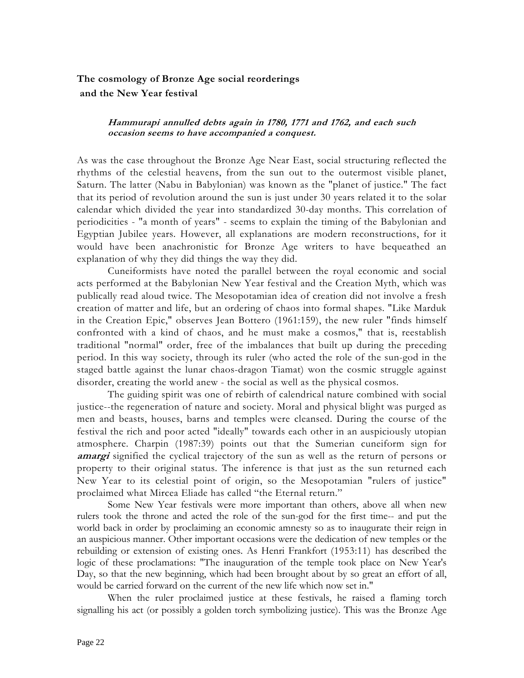## **The cosmology of Bronze Age social reorderings and the New Year festival**

#### **Hammurapi annulled debts again in 1780, 1771 and 1762, and each such occasion seems to have accompanied a conquest.**

As was the case throughout the Bronze Age Near East, social structuring reflected the rhythms of the celestial heavens, from the sun out to the outermost visible planet, Saturn. The latter (Nabu in Babylonian) was known as the "planet of justice." The fact that its period of revolution around the sun is just under 30 years related it to the solar calendar which divided the year into standardized 30-day months. This correlation of periodicities - "a month of years" - seems to explain the timing of the Babylonian and Egyptian Jubilee years. However, all explanations are modern reconstructions, for it would have been anachronistic for Bronze Age writers to have bequeathed an explanation of why they did things the way they did.

Cuneiformists have noted the parallel between the royal economic and social acts performed at the Babylonian New Year festival and the Creation Myth, which was publically read aloud twice. The Mesopotamian idea of creation did not involve a fresh creation of matter and life, but an ordering of chaos into formal shapes. "Like Marduk in the Creation Epic," observes Jean Bottero (1961:159), the new ruler "finds himself confronted with a kind of chaos, and he must make a cosmos," that is, reestablish traditional "normal" order, free of the imbalances that built up during the preceding period. In this way society, through its ruler (who acted the role of the sun-god in the staged battle against the lunar chaos-dragon Tiamat) won the cosmic struggle against disorder, creating the world anew - the social as well as the physical cosmos.

The guiding spirit was one of rebirth of calendrical nature combined with social justice--the regeneration of nature and society. Moral and physical blight was purged as men and beasts, houses, barns and temples were cleansed. During the course of the festival the rich and poor acted "ideally" towards each other in an auspiciously utopian atmosphere. Charpin (1987:39) points out that the Sumerian cuneiform sign for **amargi** signified the cyclical trajectory of the sun as well as the return of persons or property to their original status. The inference is that just as the sun returned each New Year to its celestial point of origin, so the Mesopotamian "rulers of justice" proclaimed what Mircea Eliade has called "the Eternal return."

Some New Year festivals were more important than others, above all when new rulers took the throne and acted the role of the sun-god for the first time-- and put the world back in order by proclaiming an economic amnesty so as to inaugurate their reign in an auspicious manner. Other important occasions were the dedication of new temples or the rebuilding or extension of existing ones. As Henri Frankfort (1953:11) has described the logic of these proclamations: "The inauguration of the temple took place on New Year's Day, so that the new beginning, which had been brought about by so great an effort of all, would be carried forward on the current of the new life which now set in."

When the ruler proclaimed justice at these festivals, he raised a flaming torch signalling his act (or possibly a golden torch symbolizing justice). This was the Bronze Age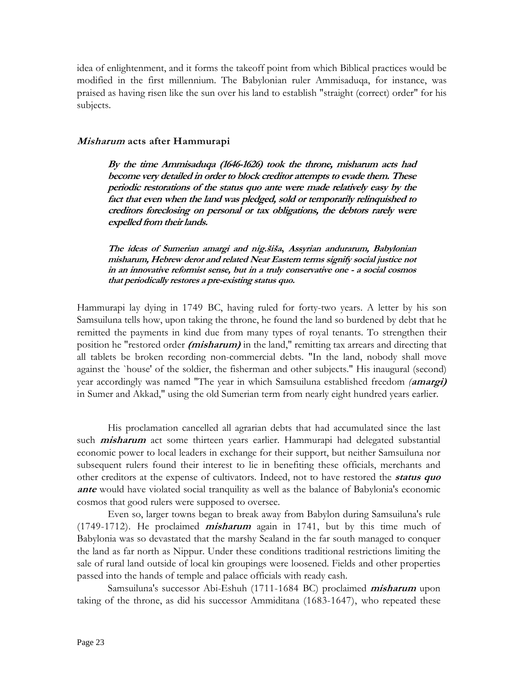idea of enlightenment, and it forms the takeoff point from which Biblical practices would be modified in the first millennium. The Babylonian ruler Ammisaduqa, for instance, was praised as having risen like the sun over his land to establish "straight (correct) order" for his subjects.

#### **Misharum acts after Hammurapi**

**By the time Ammisaduqa (1646-1626) took the throne, misharum acts had**  become very detailed in order to block creditor attempts to evade them. These periodic restorations of the status quo ante were made relatively easy by the **fact that even when the land was pledged, sold or temporarily relinquished to**  creditors foreclosing on personal or tax obligations, the debtors rarely were **expelled from their lands.** 

**The ideas of Sumerian amargi and nig.šiša, Assyrian andurarum, Babylonian misharum, Hebrew deror and related Near Eastern terms signify social justice not in an innovative reformist sense, but in a truly conservative one - a social cosmos that periodically restores a pre-existing status quo.** 

Hammurapi lay dying in 1749 BC, having ruled for forty-two years. A letter by his son Samsuiluna tells how, upon taking the throne, he found the land so burdened by debt that he remitted the payments in kind due from many types of royal tenants. To strengthen their position he "restored order **(misharum)** in the land," remitting tax arrears and directing that all tablets be broken recording non-commercial debts. "In the land, nobody shall move against the `house' of the soldier, the fisherman and other subjects." His inaugural (second) year accordingly was named "The year in which Samsuiluna established freedom *(***amargi)**  in Sumer and Akkad," using the old Sumerian term from nearly eight hundred years earlier.

His proclamation cancelled all agrarian debts that had accumulated since the last such **misharum** act some thirteen years earlier. Hammurapi had delegated substantial economic power to local leaders in exchange for their support, but neither Samsuiluna nor subsequent rulers found their interest to lie in benefiting these officials, merchants and other creditors at the expense of cultivators. Indeed, not to have restored the **status quo** ante would have violated social tranquility as well as the balance of Babylonia's economic cosmos that good rulers were supposed to oversee.

Even so, larger towns began to break away from Babylon during Samsuiluna's rule (1749-1712). He proclaimed **misharum** again in 1741, but by this time much of Babylonia was so devastated that the marshy Sealand in the far south managed to conquer the land as far north as Nippur. Under these conditions traditional restrictions limiting the sale of rural land outside of local kin groupings were loosened. Fields and other properties passed into the hands of temple and palace officials with ready cash.

Samsuiluna's successor Abi-Eshuh (1711-1684 BC) proclaimed **misharum** upon taking of the throne, as did his successor Ammiditana (1683-1647), who repeated these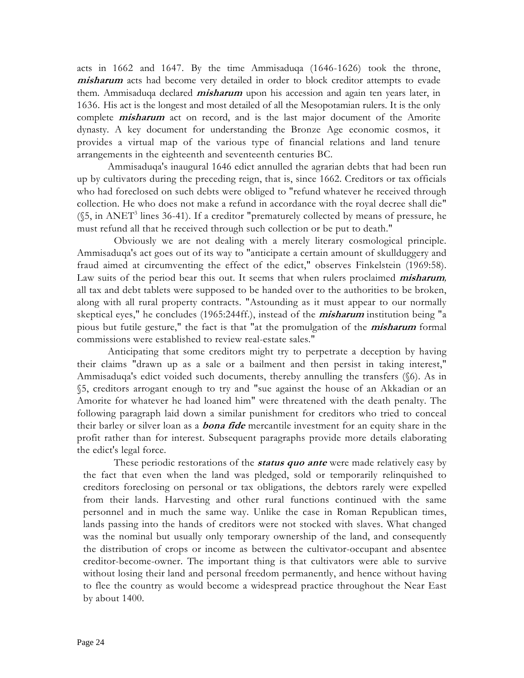acts in 1662 and 1647. By the time Ammisaduqa (1646-1626) took the throne, **misharum** acts had become very detailed in order to block creditor attempts to evade them. Ammisaduqa declared **misharum** upon his accession and again ten years later, in 1636. His act is the longest and most detailed of all the Mesopotamian rulers. It is the only complete *misharum* act on record, and is the last major document of the Amorite dynasty. A key document for understanding the Bronze Age economic cosmos, it provides a virtual map of the various type of financial relations and land tenure arrangements in the eighteenth and seventeenth centuries BC.

Ammisaduqa's inaugural 1646 edict annulled the agrarian debts that had been run up by cultivators during the preceding reign, that is, since 1662. Creditors or tax officials who had foreclosed on such debts were obliged to "refund whatever he received through collection. He who does not make a refund in accordance with the royal decree shall die" (§5, in ANET<sup>3</sup> lines 36-41). If a creditor "prematurely collected by means of pressure, he must refund all that he received through such collection or be put to death."

Obviously we are not dealing with a merely literary cosmological principle. Ammisaduqa's act goes out of its way to "anticipate a certain amount of skullduggery and fraud aimed at circumventing the effect of the edict," observes Finkelstein (1969:58). Law suits of the period bear this out. It seems that when rulers proclaimed **misharum***,*  all tax and debt tablets were supposed to be handed over to the authorities to be broken, along with all rural property contracts. "Astounding as it must appear to our normally skeptical eyes," he concludes (1965:244ff.), instead of the **misharum** institution being "a pious but futile gesture," the fact is that "at the promulgation of the **misharum** formal commissions were established to review real-estate sales."

Anticipating that some creditors might try to perpetrate a deception by having their claims "drawn up as a sale or a bailment and then persist in taking interest," Ammisaduqa's edict voided such documents, thereby annulling the transfers (§6). As in §5, creditors arrogant enough to try and "sue against the house of an Akkadian or an Amorite for whatever he had loaned him" were threatened with the death penalty. The following paragraph laid down a similar punishment for creditors who tried to conceal their barley or silver loan as a **bona fide** mercantile investment for an equity share in the profit rather than for interest. Subsequent paragraphs provide more details elaborating the edict's legal force.

These periodic restorations of the **status quo ante** were made relatively easy by the fact that even when the land was pledged, sold or temporarily relinquished to creditors foreclosing on personal or tax obligations, the debtors rarely were expelled from their lands. Harvesting and other rural functions continued with the same personnel and in much the same way. Unlike the case in Roman Republican times, lands passing into the hands of creditors were not stocked with slaves. What changed was the nominal but usually only temporary ownership of the land, and consequently the distribution of crops or income as between the cultivator-occupant and absentee creditor-become-owner. The important thing is that cultivators were able to survive without losing their land and personal freedom permanently, and hence without having to flee the country as would become a widespread practice throughout the Near East by about 1400.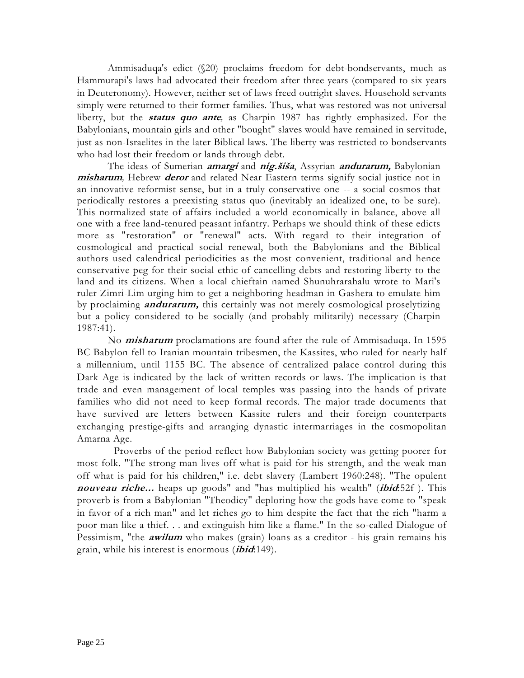Ammisaduqa's edict (§20) proclaims freedom for debt-bondservants, much as Hammurapi's laws had advocated their freedom after three years (compared to six years in Deuteronomy). However, neither set of laws freed outright slaves. Household servants simply were returned to their former families. Thus, what was restored was not universal liberty, but the **status quo ante***,* as Charpin 1987 has rightly emphasized. For the Babylonians, mountain girls and other "bought" slaves would have remained in servitude, just as non-Israelites in the later Biblical laws. The liberty was restricted to bondservants who had lost their freedom or lands through debt.

The ideas of Sumerian **amargi** and **nig.šiša**, Assyrian **andurarum,** Babylonian **misharum***,* Hebrew **deror** and related Near Eastern terms signify social justice not in an innovative reformist sense, but in a truly conservative one -- a social cosmos that periodically restores a preexisting status quo (inevitably an idealized one, to be sure). This normalized state of affairs included a world economically in balance, above all one with a free land-tenured peasant infantry. Perhaps we should think of these edicts more as "restoration" or "renewal" acts. With regard to their integration of cosmological and practical social renewal, both the Babylonians and the Biblical authors used calendrical periodicities as the most convenient, traditional and hence conservative peg for their social ethic of cancelling debts and restoring liberty to the land and its citizens. When a local chieftain named Shunuhrarahalu wrote to Mari's ruler Zimri-Lim urging him to get a neighboring headman in Gashera to emulate him by proclaiming **andurarum,** this certainly was not merely cosmological proselytizing but a policy considered to be socially (and probably militarily) necessary (Charpin 1987:41).

No **misharum** proclamations are found after the rule of Ammisaduqa. In 1595 BC Babylon fell to Iranian mountain tribesmen, the Kassites, who ruled for nearly half a millennium, until 1155 BC. The absence of centralized palace control during this Dark Age is indicated by the lack of written records or laws. The implication is that trade and even management of local temples was passing into the hands of private families who did not need to keep formal records. The major trade documents that have survived are letters between Kassite rulers and their foreign counterparts exchanging prestige-gifts and arranging dynastic intermarriages in the cosmopolitan Amarna Age.

Proverbs of the period reflect how Babylonian society was getting poorer for most folk. "The strong man lives off what is paid for his strength, and the weak man off what is paid for his children," i.e. debt slavery (Lambert 1960:248). "The opulent **nouveau riche...** heaps up goods" and "has multiplied his wealth" (**ibid**:52f). This proverb is from a Babylonian "Theodicy" deploring how the gods have come to "speak in favor of a rich man" and let riches go to him despite the fact that the rich "harm a poor man like a thief. . . and extinguish him like a flame." In the so-called Dialogue of Pessimism, "the **awilum** who makes (grain) loans as a creditor - his grain remains his grain, while his interest is enormous (**ibid**:149).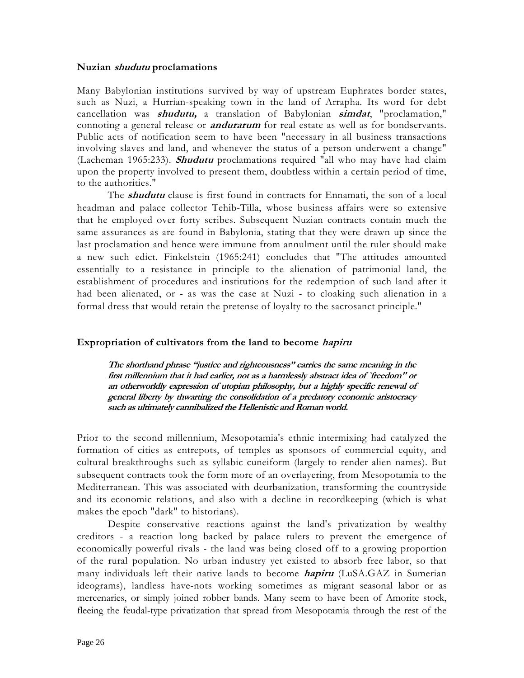#### **Nuzian shudutu proclamations**

Many Babylonian institutions survived by way of upstream Euphrates border states, such as Nuzi, a Hurrian-speaking town in the land of Arrapha. Its word for debt cancellation was **shudutu,** a translation of Babylonian **simdat**, "proclamation," connoting a general release or **andurarum** for real estate as well as for bondservants. Public acts of notification seem to have been "necessary in all business transactions involving slaves and land, and whenever the status of a person underwent a change" (Lacheman 1965:233). **Shudutu** proclamations required "all who may have had claim upon the property involved to present them, doubtless within a certain period of time, to the authorities."

The **shudutu** clause is first found in contracts for Ennamati, the son of a local headman and palace collector Tehib-Tilla, whose business affairs were so extensive that he employed over forty scribes. Subsequent Nuzian contracts contain much the same assurances as are found in Babylonia, stating that they were drawn up since the last proclamation and hence were immune from annulment until the ruler should make a new such edict. Finkelstein (1965:241) concludes that "The attitudes amounted essentially to a resistance in principle to the alienation of patrimonial land, the establishment of procedures and institutions for the redemption of such land after it had been alienated, or - as was the case at Nuzi - to cloaking such alienation in a formal dress that would retain the pretense of loyalty to the sacrosanct principle."

#### **Expropriation of cultivators from the land to become hapiru**

The shorthand phrase "justice and righteousness" carries the same meaning in the first millennium that it had earlier, not as a harmlessly abstract idea of `freedom'' or an otherworldly expression of utopian philosophy, but a highly specific renewal of **general liberty by thwarting the consolidation of a predatory economic aristocracy such as ultimately cannibalized the Hellenistic and Roman world.** 

Prior to the second millennium, Mesopotamia's ethnic intermixing had catalyzed the formation of cities as entrepots, of temples as sponsors of commercial equity, and cultural breakthroughs such as syllabic cuneiform (largely to render alien names). But subsequent contracts took the form more of an overlayering, from Mesopotamia to the Mediterranean. This was associated with deurbanization, transforming the countryside and its economic relations, and also with a decline in recordkeeping (which is what makes the epoch "dark" to historians).

Despite conservative reactions against the land's privatization by wealthy creditors - a reaction long backed by palace rulers to prevent the emergence of economically powerful rivals - the land was being closed off to a growing proportion of the rural population. No urban industry yet existed to absorb free labor, so that many individuals left their native lands to become **hapiru** (LuSA.GAZ in Sumerian ideograms), landless have-nots working sometimes as migrant seasonal labor or as mercenaries, or simply joined robber bands. Many seem to have been of Amorite stock, fleeing the feudal-type privatization that spread from Mesopotamia through the rest of the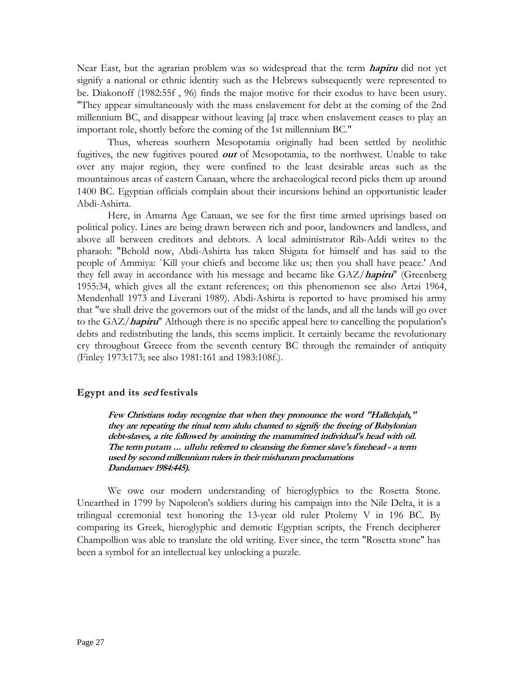Near East, but the agrarian problem was so widespread that the term **hapiru** did not yet signify a national or ethnic identity such as the Hebrews subsequently were represented to be. Diakonoff (1982:55f , 96) finds the major motive for their exodus to have been usury. "They appear simultaneously with the mass enslavement for debt at the coming of the 2nd millennium BC, and disappear without leaving [a] trace when enslavement ceases to play an important role, shortly before the coming of the 1st millennium BC."

Thus, whereas southern Mesopotamia originally had been settled by neolithic fugitives, the new fugitives poured **out** of Mesopotamia, to the northwest. Unable to take over any major region, they were confined to the least desirable areas such as the mountainous areas of eastern Canaan, where the archaeological record picks them up around 1400 BC. Egyptian officials complain about their incursions behind an opportunistic leader Abdi-Ashirta.

Here, in Amarna Age Canaan, we see for the first time armed uprisings based on political policy. Lines are being drawn between rich and poor, landowners and landless, and above all between creditors and debtors. A local administrator Rib-Addi writes to the pharaoh: "Behold now, Abdi-Ashirta has taken Shigata for himself and has said to the people of Ammiya: `Kill your chiefs and become like us; then you shall have peace.' And they fell away in accordance with his message and became like GAZ/**hapiru**" (Greenberg 1955:34, which gives all the extant references; on this phenomenon see also Artzi 1964, Mendenhall 1973 and Liverani 1989). Abdi-Ashirta is reported to have promised his army that "we shall drive the governors out of the midst of the lands, and all the lands will go over to the GAZ/**hapiru**" Although there is no specific appeal here to cancelling the population's debts and redistributing the lands, this seems implicit. It certainly became the revolutionary cry throughout Greece from the seventh century BC through the remainder of antiquity (Finley 1973:173; see also 1981:161 and 1983:108f.).

#### **Egypt and its sed festivals**

Few Christians today recognize that when they pronounce the word "Hallelujah," they are repeating the ritual term alulu chanted to signify the freeing of Babylonian **debt-slaves, a rite followed by anointing the manumitted individual's head with oil.** *The term putam ... ullulu referred to cleansing the former slave's forehead - a term* used by second millennium rulers in their misharum proclamations **Dandamaev 1984:445).** 

We owe our modern understanding of hieroglyphics to the Rosetta Stone. Unearthed in 1799 by Napoleon's soldiers during his campaign into the Nile Delta, it is a trilingual ceremonial text honoring the 13-year old ruler Ptolemy V in 196 BC. By comparing its Greek, hieroglyphic and demotic Egyptian scripts, the French decipherer Champollion was able to translate the old writing. Ever since, the term "Rosetta stone" has been a symbol for an intellectual key unlocking a puzzle.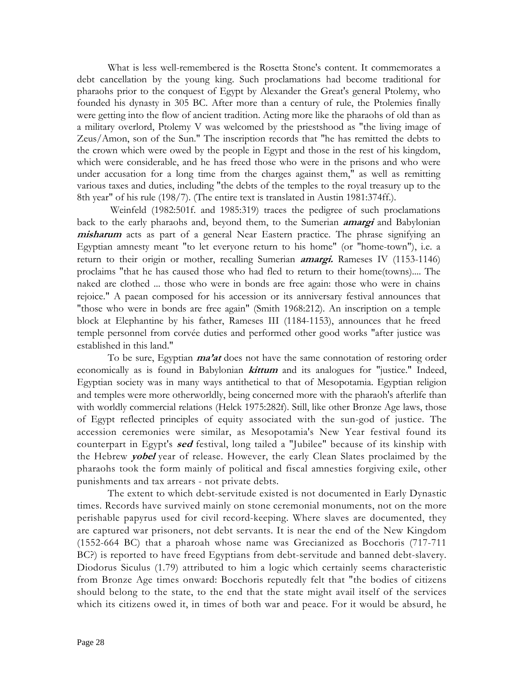What is less well-remembered is the Rosetta Stone's content. It commemorates a debt cancellation by the young king. Such proclamations had become traditional for pharaohs prior to the conquest of Egypt by Alexander the Great's general Ptolemy, who founded his dynasty in 305 BC. After more than a century of rule, the Ptolemies finally were getting into the flow of ancient tradition. Acting more like the pharaohs of old than as a military overlord, Ptolemy V was welcomed by the priestshood as "the living image of Zeus/Amon, son of the Sun." The inscription records that "he has remitted the debts to the crown which were owed by the people in Egypt and those in the rest of his kingdom, which were considerable, and he has freed those who were in the prisons and who were under accusation for a long time from the charges against them," as well as remitting various taxes and duties, including "the debts of the temples to the royal treasury up to the 8th year" of his rule (198/7). (The entire text is translated in Austin 1981:374ff.).

Weinfeld (1982:501f. and 1985:319) traces the pedigree of such proclamations back to the early pharaohs and, beyond them, to the Sumerian **amargi** and Babylonian **misharum** acts as part of a general Near Eastern practice. The phrase signifying an Egyptian amnesty meant "to let everyone return to his home" (or "home-town"), i.e. a return to their origin or mother, recalling Sumerian **amargi.** Rameses IV (1153-1146) proclaims "that he has caused those who had fled to return to their home(towns).... The naked are clothed ... those who were in bonds are free again: those who were in chains rejoice." A paean composed for his accession or its anniversary festival announces that "those who were in bonds are free again" (Smith 1968:212). An inscription on a temple block at Elephantine by his father, Rameses III (1184-1153), announces that he freed temple personnel from corvée duties and performed other good works "after justice was established in this land."

To be sure, Egyptian **ma'at** does not have the same connotation of restoring order economically as is found in Babylonian **kittum** and its analogues for "justice." Indeed, Egyptian society was in many ways antithetical to that of Mesopotamia. Egyptian religion and temples were more otherworldly, being concerned more with the pharaoh's afterlife than with worldly commercial relations (Helck 1975:282f). Still, like other Bronze Age laws, those of Egypt reflected principles of equity associated with the sun-god of justice. The accession ceremonies were similar, as Mesopotamia's New Year festival found its counterpart in Egypt's **sed** festival, long tailed a "Jubilee" because of its kinship with the Hebrew **yobel** year of release. However, the early Clean Slates proclaimed by the pharaohs took the form mainly of political and fiscal amnesties forgiving exile, other punishments and tax arrears - not private debts.

The extent to which debt-servitude existed is not documented in Early Dynastic times. Records have survived mainly on stone ceremonial monuments, not on the more perishable papyrus used for civil record-keeping. Where slaves are documented, they are captured war prisoners, not debt servants. It is near the end of the New Kingdom (1552-664 BC) that a pharoah whose name was Grecianized as Bocchoris (717-711 BC?) is reported to have freed Egyptians from debt-servitude and banned debt-slavery. Diodorus Siculus (1.79) attributed to him a logic which certainly seems characteristic from Bronze Age times onward: Bocchoris reputedly felt that "the bodies of citizens should belong to the state, to the end that the state might avail itself of the services which its citizens owed it, in times of both war and peace. For it would be absurd, he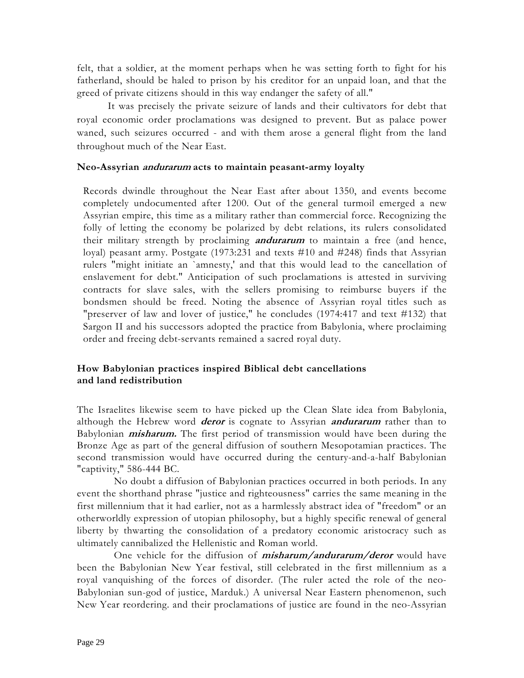felt, that a soldier, at the moment perhaps when he was setting forth to fight for his fatherland, should be haled to prison by his creditor for an unpaid loan, and that the greed of private citizens should in this way endanger the safety of all."

It was precisely the private seizure of lands and their cultivators for debt that royal economic order proclamations was designed to prevent. But as palace power waned, such seizures occurred - and with them arose a general flight from the land throughout much of the Near East.

#### **Neo-Assyrian andurarum acts to maintain peasant-army loyalty**

Records dwindle throughout the Near East after about 1350, and events become completely undocumented after 1200. Out of the general turmoil emerged a new Assyrian empire, this time as a military rather than commercial force. Recognizing the folly of letting the economy be polarized by debt relations, its rulers consolidated their military strength by proclaiming **andurarum** to maintain a free (and hence, loyal) peasant army. Postgate (1973:231 and texts #10 and #248) finds that Assyrian rulers "might initiate an `amnesty,' and that this would lead to the cancellation of enslavement for debt." Anticipation of such proclamations is attested in surviving contracts for slave sales, with the sellers promising to reimburse buyers if the bondsmen should be freed. Noting the absence of Assyrian royal titles such as "preserver of law and lover of justice," he concludes (1974:417 and text #132) that Sargon II and his successors adopted the practice from Babylonia, where proclaiming order and freeing debt-servants remained a sacred royal duty.

## **How Babylonian practices inspired Biblical debt cancellations and land redistribution**

The Israelites likewise seem to have picked up the Clean Slate idea from Babylonia, although the Hebrew word **deror** is cognate to Assyrian **andurarum** rather than to Babylonian **misharum.** The first period of transmission would have been during the Bronze Age as part of the general diffusion of southern Mesopotamian practices. The second transmission would have occurred during the century-and-a-half Babylonian "captivity," 586-444 BC.

No doubt a diffusion of Babylonian practices occurred in both periods. In any event the shorthand phrase "justice and righteousness" carries the same meaning in the first millennium that it had earlier, not as a harmlessly abstract idea of "freedom" or an otherworldly expression of utopian philosophy, but a highly specific renewal of general liberty by thwarting the consolidation of a predatory economic aristocracy such as ultimately cannibalized the Hellenistic and Roman world.

One vehicle for the diffusion of **misharum/andurarum/deror** would have been the Babylonian New Year festival, still celebrated in the first millennium as a royal vanquishing of the forces of disorder. (The ruler acted the role of the neo-Babylonian sun-god of justice, Marduk.) A universal Near Eastern phenomenon, such New Year reordering. and their proclamations of justice are found in the neo-Assyrian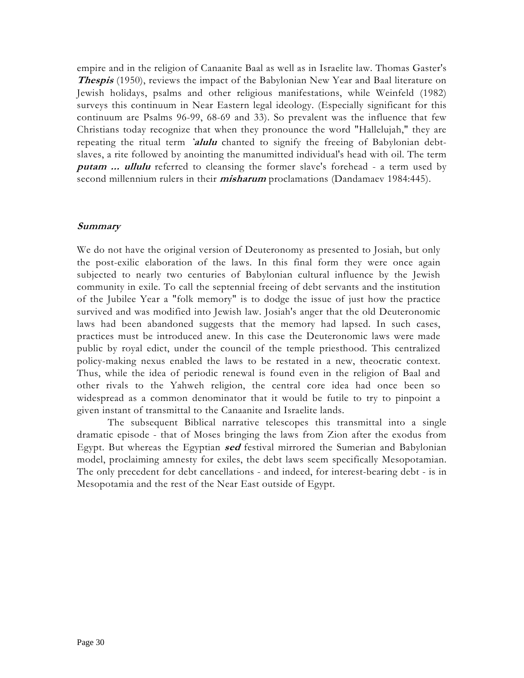empire and in the religion of Canaanite Baal as well as in Israelite law. Thomas Gaster's **Thespis** (1950), reviews the impact of the Babylonian New Year and Baal literature on Jewish holidays, psalms and other religious manifestations, while Weinfeld (1982) surveys this continuum in Near Eastern legal ideology. (Especially significant for this continuum are Psalms 96-99, 68-69 and 33). So prevalent was the influence that few Christians today recognize that when they pronounce the word "Hallelujah," they are repeating the ritual term **`alulu** chanted to signify the freeing of Babylonian debtslaves, a rite followed by anointing the manumitted individual's head with oil. The term *putam* ... ullulu referred to cleansing the former slave's forehead - a term used by second millennium rulers in their **misharum** proclamations (Dandamaev 1984:445).

#### **Summary**

We do not have the original version of Deuteronomy as presented to Josiah, but only the post-exilic elaboration of the laws. In this final form they were once again subjected to nearly two centuries of Babylonian cultural influence by the Jewish community in exile. To call the septennial freeing of debt servants and the institution of the Jubilee Year a "folk memory" is to dodge the issue of just how the practice survived and was modified into Jewish law. Josiah's anger that the old Deuteronomic laws had been abandoned suggests that the memory had lapsed. In such cases, practices must be introduced anew. In this case the Deuteronomic laws were made public by royal edict, under the council of the temple priesthood. This centralized policy-making nexus enabled the laws to be restated in a new, theocratic context. Thus, while the idea of periodic renewal is found even in the religion of Baal and other rivals to the Yahweh religion, the central core idea had once been so widespread as a common denominator that it would be futile to try to pinpoint a given instant of transmittal to the Canaanite and Israelite lands.

The subsequent Biblical narrative telescopes this transmittal into a single dramatic episode - that of Moses bringing the laws from Zion after the exodus from Egypt. But whereas the Egyptian **sed** festival mirrored the Sumerian and Babylonian model, proclaiming amnesty for exiles, the debt laws seem specifically Mesopotamian. The only precedent for debt cancellations - and indeed, for interest-bearing debt - is in Mesopotamia and the rest of the Near East outside of Egypt.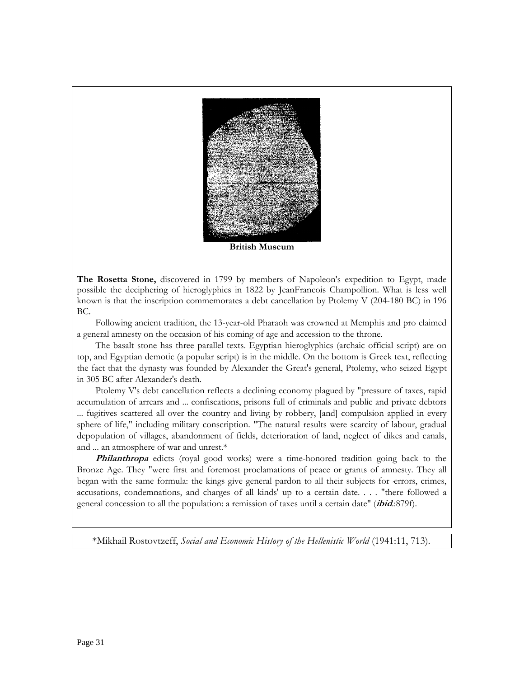

**British Museum** 

**The Rosetta Stone,** discovered in 1799 by members of Napoleon's expedition to Egypt, made possible the deciphering of hieroglyphics in 1822 by JeanFrancois Champollion. What is less well known is that the inscription commemorates a debt cancellation by Ptolemy V (204-180 BC) in 196 BC.

Following ancient tradition, the 13-year-old Pharaoh was crowned at Memphis and pro claimed a general amnesty on the occasion of his coming of age and accession to the throne.

The basalt stone has three parallel texts. Egyptian hieroglyphics (archaic official script) are on top, and Egyptian demotic (a popular script) is in the middle. On the bottom is Greek text, reflecting the fact that the dynasty was founded by Alexander the Great's general, Ptolemy, who seized Egypt in 305 BC after Alexander's death.

Ptolemy V's debt cancellation reflects a declining economy plagued by "pressure of taxes, rapid accumulation of arrears and ... confiscations, prisons full of criminals and public and private debtors ... fugitives scattered all over the country and living by robbery, [and] compulsion applied in every sphere of life," including military conscription. "The natural results were scarcity of labour, gradual depopulation of villages, abandonment of fields, deterioration of land, neglect of dikes and canals, and ... an atmosphere of war and unrest.\*

**Philanthropa** edicts (royal good works) were a time-honored tradition going back to the Bronze Age. They "were first and foremost proclamations of peace or grants of amnesty. They all began with the same formula: the kings give general pardon to all their subjects for errors, crimes, accusations, condemnations, and charges of all kinds' up to a certain date. . . . "there followed a general concession to all the population: a remission of taxes until a certain date" (**ibid**.:879f).

\*Mikhail Rostovtzeff, *Social and Economic History of the Hellenistic World* (1941:11, 713).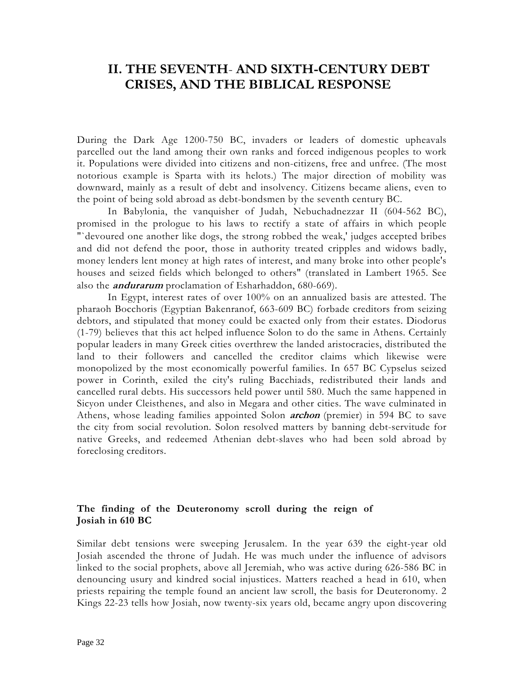## **II. THE SEVENTH**- **AND SIXTH-CENTURY DEBT CRISES, AND THE BIBLICAL RESPONSE**

During the Dark Age 1200-750 BC, invaders or leaders of domestic upheavals parcelled out the land among their own ranks and forced indigenous peoples to work it. Populations were divided into citizens and non-citizens, free and unfree. (The most notorious example is Sparta with its helots.) The major direction of mobility was downward, mainly as a result of debt and insolvency. Citizens became aliens, even to the point of being sold abroad as debt-bondsmen by the seventh century BC.

In Babylonia, the vanquisher of Judah, Nebuchadnezzar II (604-562 BC), promised in the prologue to his laws to rectify a state of affairs in which people "`devoured one another like dogs, the strong robbed the weak,' judges accepted bribes and did not defend the poor, those in authority treated cripples and widows badly, money lenders lent money at high rates of interest, and many broke into other people's houses and seized fields which belonged to others" (translated in Lambert 1965. See also the **andurarum** proclamation of Esharhaddon, 680-669).

In Egypt, interest rates of over 100% on an annualized basis are attested. The pharaoh Bocchoris (Egyptian Bakenranof, 663-609 BC) forbade creditors from seizing debtors, and stipulated that money could be exacted only from their estates. Diodorus (1-79) believes that this act helped influence Solon to do the same in Athens. Certainly popular leaders in many Greek cities overthrew the landed aristocracies, distributed the land to their followers and cancelled the creditor claims which likewise were monopolized by the most economically powerful families. In 657 BC Cypselus seized power in Corinth, exiled the city's ruling Bacchiads, redistributed their lands and cancelled rural debts. His successors held power until 580. Much the same happened in Sicyon under Cleisthenes, and also in Megara and other cities. The wave culminated in Athens, whose leading families appointed Solon **archon** (premier) in 594 BC to save the city from social revolution. Solon resolved matters by banning debt-servitude for native Greeks, and redeemed Athenian debt-slaves who had been sold abroad by foreclosing creditors.

## **The finding of the Deuteronomy scroll during the reign of Josiah in 610 BC**

Similar debt tensions were sweeping Jerusalem. In the year 639 the eight-year old Josiah ascended the throne of Judah. He was much under the influence of advisors linked to the social prophets, above all Jeremiah, who was active during 626-586 BC in denouncing usury and kindred social injustices. Matters reached a head in 610, when priests repairing the temple found an ancient law scroll, the basis for Deuteronomy. 2 Kings 22-23 tells how Josiah, now twenty-six years old, became angry upon discovering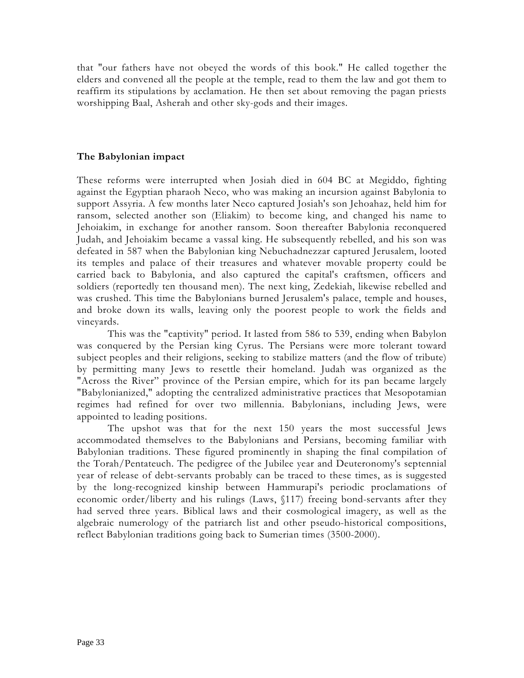that "our fathers have not obeyed the words of this book." He called together the elders and convened all the people at the temple, read to them the law and got them to reaffirm its stipulations by acclamation. He then set about removing the pagan priests worshipping Baal, Asherah and other sky-gods and their images.

#### **The Babylonian impact**

These reforms were interrupted when Josiah died in 604 BC at Megiddo, fighting against the Egyptian pharaoh Neco, who was making an incursion against Babylonia to support Assyria. A few months later Neco captured Josiah's son Jehoahaz, held him for ransom, selected another son (Eliakim) to become king, and changed his name to Jehoiakim, in exchange for another ransom. Soon thereafter Babylonia reconquered Judah, and Jehoiakim became a vassal king. He subsequently rebelled, and his son was defeated in 587 when the Babylonian king Nebuchadnezzar captured Jerusalem, looted its temples and palace of their treasures and whatever movable property could be carried back to Babylonia, and also captured the capital's craftsmen, officers and soldiers (reportedly ten thousand men). The next king, Zedekiah, likewise rebelled and was crushed. This time the Babylonians burned Jerusalem's palace, temple and houses, and broke down its walls, leaving only the poorest people to work the fields and vineyards.

This was the "captivity" period. It lasted from 586 to 539, ending when Babylon was conquered by the Persian king Cyrus. The Persians were more tolerant toward subject peoples and their religions, seeking to stabilize matters (and the flow of tribute) by permitting many Jews to resettle their homeland. Judah was organized as the "Across the River" province of the Persian empire, which for its pan became largely "Babylonianized," adopting the centralized administrative practices that Mesopotamian regimes had refined for over two millennia. Babylonians, including Jews, were appointed to leading positions.

The upshot was that for the next 150 years the most successful Jews accommodated themselves to the Babylonians and Persians, becoming familiar with Babylonian traditions. These figured prominently in shaping the final compilation of the Torah/Pentateuch. The pedigree of the Jubilee year and Deuteronomy's septennial year of release of debt-servants probably can be traced to these times, as is suggested by the long-recognized kinship between Hammurapi's periodic proclamations of economic order/liberty and his rulings (Laws, §117) freeing bond-servants after they had served three years. Biblical laws and their cosmological imagery, as well as the algebraic numerology of the patriarch list and other pseudo-historical compositions, reflect Babylonian traditions going back to Sumerian times (3500-2000).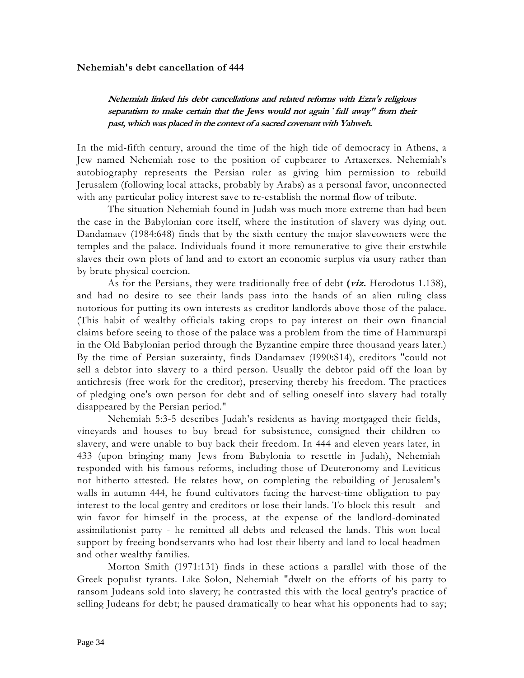#### **Nehemiah's debt cancellation of 444**

 $\blacksquare$  *Nehemiah linked his debt cancellations and related reforms with Ezra's religious* separatism to make certain that the Jews would not again `fall away" from their past, which was placed in the context of a sacred covenant with Yahweh.

In the mid-fifth century, around the time of the high tide of democracy in Athens, a Jew named Nehemiah rose to the position of cupbearer to Artaxerxes. Nehemiah's autobiography represents the Persian ruler as giving him permission to rebuild Jerusalem (following local attacks, probably by Arabs) as a personal favor, unconnected with any particular policy interest save to re-establish the normal flow of tribute.

The situation Nehemiah found in Judah was much more extreme than had been the case in the Babylonian core itself, where the institution of slavery was dying out. Dandamaev (1984:648) finds that by the sixth century the major slaveowners were the temples and the palace. Individuals found it more remunerative to give their erstwhile slaves their own plots of land and to extort an economic surplus via usury rather than by brute physical coercion.

As for the Persians, they were traditionally free of debt **(viz.** Herodotus 1.138), and had no desire to see their lands pass into the hands of an alien ruling class notorious for putting its own interests as creditor-landlords above those of the palace. (This habit of wealthy officials taking crops to pay interest on their own financial claims before seeing to those of the palace was a problem from the time of Hammurapi in the Old Babylonian period through the Byzantine empire three thousand years later.) By the time of Persian suzerainty, finds Dandamaev (I990:S14), creditors "could not sell a debtor into slavery to a third person. Usually the debtor paid off the loan by antichresis (free work for the creditor), preserving thereby his freedom. The practices of pledging one's own person for debt and of selling oneself into slavery had totally disappeared by the Persian period."

Nehemiah 5:3-5 describes Judah's residents as having mortgaged their fields, vineyards and houses to buy bread for subsistence, consigned their children to slavery, and were unable to buy back their freedom. In 444 and eleven years later, in 433 (upon bringing many Jews from Babylonia to resettle in Judah), Nehemiah responded with his famous reforms, including those of Deuteronomy and Leviticus not hitherto attested. He relates how, on completing the rebuilding of Jerusalem's walls in autumn 444, he found cultivators facing the harvest-time obligation to pay interest to the local gentry and creditors or lose their lands. To block this result - and win favor for himself in the process, at the expense of the landlord-dominated assimilationist party - he remitted all debts and released the lands. This won local support by freeing bondservants who had lost their liberty and land to local headmen and other wealthy families.

Morton Smith (1971:131) finds in these actions a parallel with those of the Greek populist tyrants. Like Solon, Nehemiah "dwelt on the efforts of his party to ransom Judeans sold into slavery; he contrasted this with the local gentry's practice of selling Judeans for debt; he paused dramatically to hear what his opponents had to say;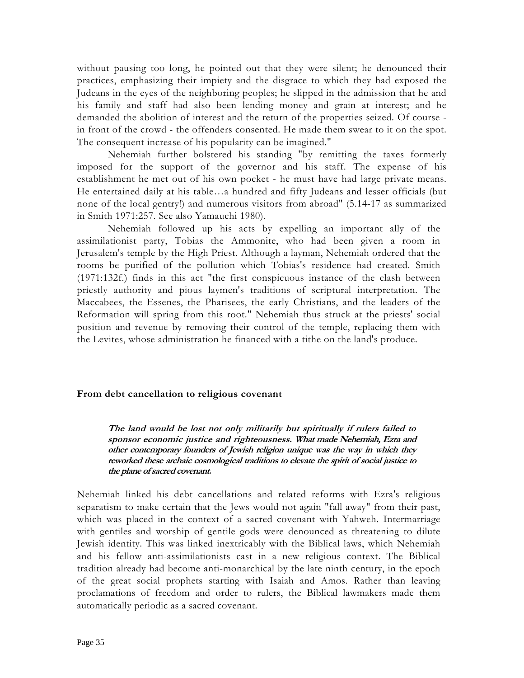without pausing too long, he pointed out that they were silent; he denounced their practices, emphasizing their impiety and the disgrace to which they had exposed the Judeans in the eyes of the neighboring peoples; he slipped in the admission that he and his family and staff had also been lending money and grain at interest; and he demanded the abolition of interest and the return of the properties seized. Of course in front of the crowd - the offenders consented. He made them swear to it on the spot. The consequent increase of his popularity can be imagined."

Nehemiah further bolstered his standing "by remitting the taxes formerly imposed for the support of the governor and his staff. The expense of his establishment he met out of his own pocket - he must have had large private means. He entertained daily at his table…a hundred and fifty Judeans and lesser officials (but none of the local gentry!) and numerous visitors from abroad" (5.14-17 as summarized in Smith 1971:257. See also Yamauchi 1980).

Nehemiah followed up his acts by expelling an important ally of the assimilationist party, Tobias the Ammonite, who had been given a room in Jerusalem's temple by the High Priest. Although a layman, Nehemiah ordered that the rooms be purified of the pollution which Tobias's residence had created. Smith (1971:132f.) finds in this act "the first conspicuous instance of the clash between priestly authority and pious laymen's traditions of scriptural interpretation. The Maccabees, the Essenes, the Pharisees, the early Christians, and the leaders of the Reformation will spring from this root." Nehemiah thus struck at the priests' social position and revenue by removing their control of the temple, replacing them with the Levites, whose administration he financed with a tithe on the land's produce.

#### **From debt cancellation to religious covenant**

**The land would be lost not only militarily but spiritually if rulers failed to sponsor economic justice and righteousness. Wha made Nehemiah, Ezra and t other contemporary founders of Jewish eligion unique was the way in which they r reworked these archaic cosmological traditions to elevate the spirit of social justice to the plane of sacred covenant.** 

Nehemiah linked his debt cancellations and related reforms with Ezra's religious separatism to make certain that the Jews would not again "fall away" from their past, which was placed in the context of a sacred covenant with Yahweh. Intermarriage with gentiles and worship of gentile gods were denounced as threatening to dilute Jewish identity. This was linked inextricably with the Biblical laws, which Nehemiah and his fellow anti-assimilationists cast in a new religious context. The Biblical tradition already had become anti-monarchical by the late ninth century, in the epoch of the great social prophets starting with Isaiah and Amos. Rather than leaving proclamations of freedom and order to rulers, the Biblical lawmakers made them automatically periodic as a sacred covenant.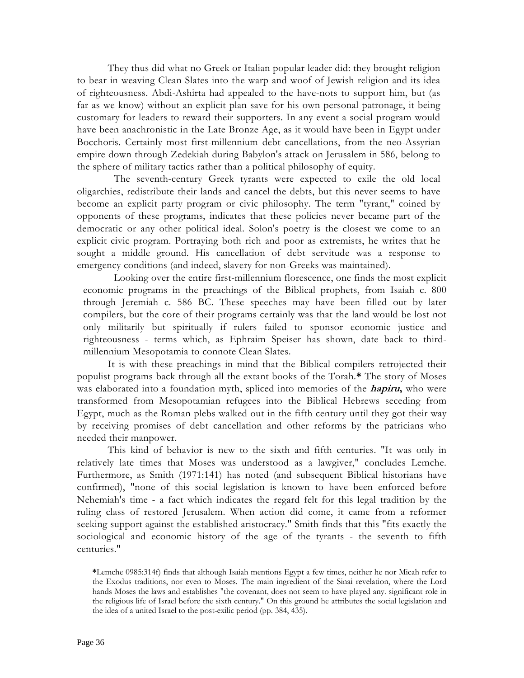They thus did what no Greek or Italian popular leader did: they brought religion to bear in weaving Clean Slates into the warp and woof of Jewish religion and its idea of righteousness. Abdi-Ashirta had appealed to the have-nots to support him, but (as far as we know) without an explicit plan save for his own personal patronage, it being customary for leaders to reward their supporters. In any event a social program would have been anachronistic in the Late Bronze Age, as it would have been in Egypt under Bocchoris. Certainly most first-millennium debt cancellations, from the neo-Assyrian empire down through Zedekiah during Babylon's attack on Jerusalem in 586, belong to the sphere of military tactics rather than a political philosophy of equity.

The seventh-century Greek tyrants were expected to exile the old local oligarchies, redistribute their lands and cancel the debts, but this never seems to have become an explicit party program or civic philosophy. The term "tyrant," coined by opponents of these programs, indicates that these policies never became part of the democratic or any other political ideal. Solon's poetry is the closest we come to an explicit civic program. Portraying both rich and poor as extremists, he writes that he sought a middle ground. His cancellation of debt servitude was a response to emergency conditions (and indeed, slavery for non-Greeks was maintained).

Looking over the entire first-millennium florescence, one finds the most explicit economic programs in the preachings of the Biblical prophets, from Isaiah c. 800 through Jeremiah c. 586 BC. These speeches may have been filled out by later compilers, but the core of their programs certainly was that the land would be lost not only militarily but spiritually if rulers failed to sponsor economic justice and righteousness - terms which, as Ephraim Speiser has shown, date back to thirdmillennium Mesopotamia to connote Clean Slates.

It is with these preachings in mind that the Biblical compilers retrojected their populist programs back through all the extant books of the Torah.**\*** The story of Moses was elaborated into a foundation myth, spliced into memories of the **hapiru,** who were transformed from Mesopotamian refugees into the Biblical Hebrews seceding from Egypt, much as the Roman plebs walked out in the fifth century until they got their way by receiving promises of debt cancellation and other reforms by the patricians who needed their manpower.

This kind of behavior is new to the sixth and fifth centuries. "It was only in relatively late times that Moses was understood as a lawgiver," concludes Lemche. Furthermore, as Smith (1971:141) has noted (and subsequent Biblical historians have confirmed), "none of this social legislation is known to have been enforced before Nehemiah's time - a fact which indicates the regard felt for this legal tradition by the ruling class of restored Jerusalem. When action did come, it came from a reformer seeking support against the established aristocracy*.*" Smith finds that this "fits exactly the sociological and economic history of the age of the tyrants - the seventh to fifth centuries."

**<sup>\*</sup>**Lemche 0985:314f) finds that although Isaiah mentions Egypt a few times, neither he nor Micah refer to the Exodus traditions, nor even to Moses. The main ingredient of the Sinai revelation, where the Lord hands Moses the laws and establishes "the covenant, does not seem to have played any. significant role in the religious life of Israel before the sixth century." On this ground he attributes the social legislation and the idea of a united Israel to the post-exilic period (pp. 384, 435).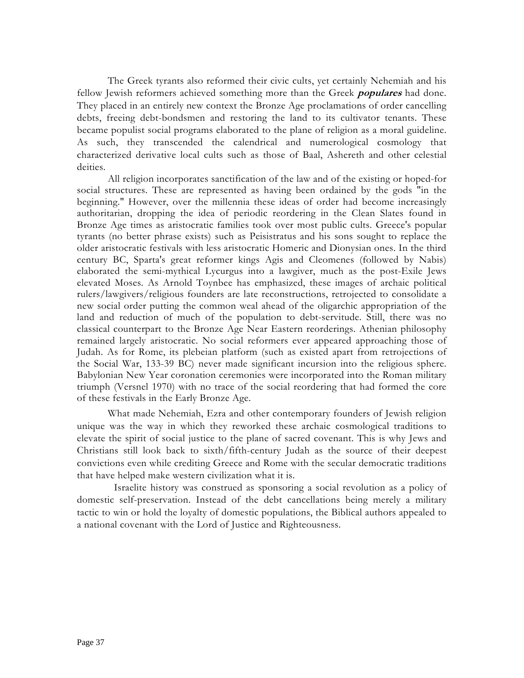The Greek tyrants also reformed their civic cults, yet certainly Nehemiah and his fellow Jewish reformers achieved something more than the Greek **populares** had done. They placed in an entirely new context the Bronze Age proclamations of order cancelling debts, freeing debt-bondsmen and restoring the land to its cultivator tenants. These became populist social programs elaborated to the plane of religion as a moral guideline. As such, they transcended the calendrical and numerological cosmology that characterized derivative local cults such as those of Baal, Ashereth and other celestial deities.

All religion incorporates sanctification of the law and of the existing or hoped-for social structures. These are represented as having been ordained by the gods "in the beginning." However, over the millennia these ideas of order had become increasingly authoritarian, dropping the idea of periodic reordering in the Clean Slates found in Bronze Age times as aristocratic families took over most public cults. Greece's popular tyrants (no better phrase exists) such as Peisistratus and his sons sought to replace the older aristocratic festivals with less aristocratic Homeric and Dionysian ones. In the third century BC, Sparta's great reformer kings Agis and Cleomenes (followed by Nabis) elaborated the semi-mythical Lycurgus into a lawgiver, much as the post-Exile Jews elevated Moses. As Arnold Toynbee has emphasized, these images of archaic political rulers/lawgivers/religious founders are late reconstructions, retrojected to consolidate a new social order putting the common weal ahead of the oligarchic appropriation of the land and reduction of much of the population to debt-servitude. Still, there was no classical counterpart to the Bronze Age Near Eastern reorderings. Athenian philosophy remained largely aristocratic. No social reformers ever appeared approaching those of Judah. As for Rome, its plebeian platform (such as existed apart from retrojections of the Social War, 133-39 BC) never made significant incursion into the religious sphere. Babylonian New Year coronation ceremonies were incorporated into the Roman military triumph (Versnel 1970) with no trace of the social reordering that had formed the core of these festivals in the Early Bronze Age.

What made Nehemiah, Ezra and other contemporary founders of Jewish religion unique was the way in which they reworked these archaic cosmological traditions to elevate the spirit of social justice to the plane of sacred covenant. This is why Jews and Christians still look back to sixth/fifth-century Judah as the source of their deepest convictions even while crediting Greece and Rome with the secular democratic traditions that have helped make western civilization what it is.

Israelite history was construed as sponsoring a social revolution as a policy of domestic self-preservation. Instead of the debt cancellations being merely a military tactic to win or hold the loyalty of domestic populations, the Biblical authors appealed to a national covenant with the Lord of Justice and Righteousness.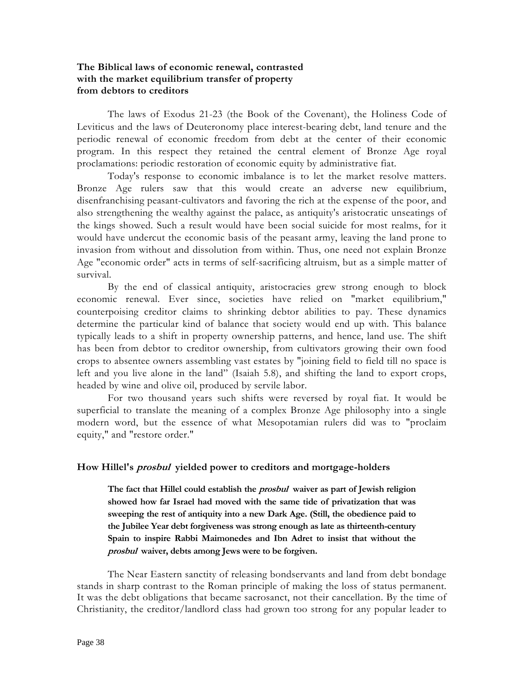## **The Biblical laws of economic renewal, contrasted with the market equilibrium transfer of property from debtors to creditors**

The laws of Exodus 21-23 (the Book of the Covenant), the Holiness Code of Leviticus and the laws of Deuteronomy place interest-bearing debt, land tenure and the periodic renewal of economic freedom from debt at the center of their economic program. In this respect they retained the central element of Bronze Age royal proclamations: periodic restoration of economic equity by administrative fiat.

Today's response to economic imbalance is to let the market resolve matters. Bronze Age rulers saw that this would create an adverse new equilibrium, disenfranchising peasant-cultivators and favoring the rich at the expense of the poor, and also strengthening the wealthy against the palace, as antiquity's aristocratic unseatings of the kings showed. Such a result would have been social suicide for most realms, for it would have undercut the economic basis of the peasant army, leaving the land prone to invasion from without and dissolution from within. Thus, one need not explain Bronze Age "economic order" acts in terms of self-sacrificing altruism, but as a simple matter of survival.

By the end of classical antiquity, aristocracies grew strong enough to block economic renewal. Ever since, societies have relied on "market equilibrium," counterpoising creditor claims to shrinking debtor abilities to pay. These dynamics determine the particular kind of balance that society would end up with. This balance typically leads to a shift in property ownership patterns, and hence, land use. The shift has been from debtor to creditor ownership, from cultivators growing their own food crops to absentee owners assembling vast estates by "joining field to field till no space is left and you live alone in the land" (Isaiah 5.8), and shifting the land to export crops, headed by wine and olive oil, produced by servile labor.

For two thousand years such shifts were reversed by royal fiat. It would be superficial to translate the meaning of a complex Bronze Age philosophy into a single modern word, but the essence of what Mesopotamian rulers did was to "proclaim equity," and "restore order."

## **How Hillel's prosbul yielded power to creditors and mortgage-holders**

**The fact that Hillel could establish the prosbul waiver as part of Jewish religion showed how far Israel had moved with the same tide of privatization that was sweeping the rest of antiquity into a new Dark Age. (Still, the obedience paid to the Jubilee Year debt forgiveness was strong enough as late as thirteenth-century Spain to inspire Rabbi Maimonedes and Ibn Adret to insist that without the prosbul waiver, debts among Jews were to be forgiven.** 

The Near Eastern sanctity of releasing bondservants and land from debt bondage stands in sharp contrast to the Roman principle of making the loss of status permanent. It was the debt obligations that became sacrosanct, not their cancellation. By the time of Christianity, the creditor/landlord class had grown too strong for any popular leader to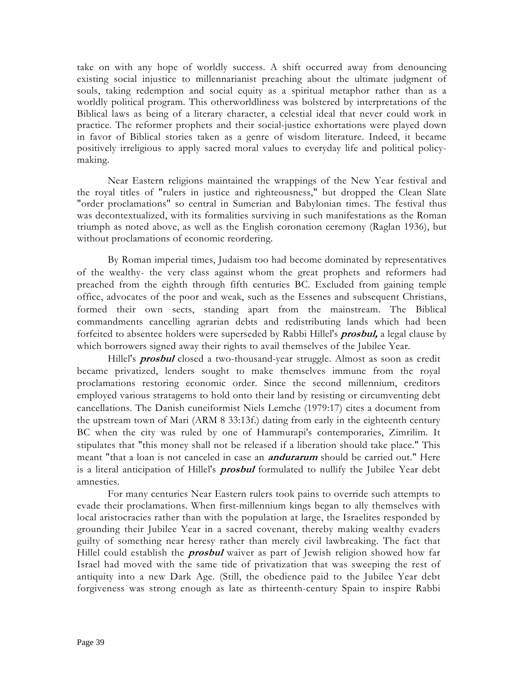take on with any hope of worldly success. A shift occurred away from denouncing existing social injustice to millennarianist preaching about the ultimate judgment of souls, taking redemption and social equity as a spiritual metaphor rather than as a worldly political program. This otherworldliness was bolstered by interpretations of the Biblical laws as being of a literary character, a celestial ideal that never could work in practice. The reformer prophets and their social-justice exhortations were played down in favor of Biblical stories taken as a genre of wisdom literature. Indeed, it became positively irreligious to apply sacred moral values to everyday life and political policymaking.

Near Eastern religions maintained the wrappings of the New Year festival and the royal titles of "rulers in justice and righteousness," but dropped the Clean Slate "order proclamations" so central in Sumerian and Babylonian times. The festival thus was decontextualized, with its formalities surviving in such manifestations as the Roman triumph as noted above, as well as the English coronation ceremony (Raglan 1936), but without proclamations of economic reordering.

By Roman imperial times, Judaism too had become dominated by representatives of the wealthy- the very class against whom the great prophets and reformers had preached from the eighth through fifth centuries BC. Excluded from gaining temple office, advocates of the poor and weak, such as the Essenes and subsequent Christians, formed their own sects, standing apart from the mainstream. The Biblical commandments cancelling agrarian debts and redistributing lands which had been forfeited to absentee holders were superseded by Rabbi Hillel's **prosbul,** a legal clause by which borrowers signed away their rights to avail themselves of the Jubilee Year.

Hillel's **prosbul** closed a two-thousand-year struggle. Almost as soon as credit became privatized, lenders sought to make themselves immune from the royal proclamations restoring economic order. Since the second millennium, creditors employed various stratagems to hold onto their land by resisting or circumventing debt cancellations. The Danish cuneiformist Niels Lemche (1979:17) cites a document from the upstream town of Mari (ARM 8 33:13f.) dating from early in the eighteenth century BC when the city was ruled by one of Hammurapi's contemporaries, Zimrilim. It stipulates that "this money shall not be released if a liberation should take place." This meant "that a loan is not canceled in case an **andurarum** should be carried out." Here is a literal anticipation of Hillel's **prosbul** formulated to nullify the Jubilee Year debt amnesties.

For many centuries Near Eastern rulers took pains to override such attempts to evade their proclamations. When first-millennium kings began to ally themselves with local aristocracies rather than with the population at large, the Israelites responded by grounding their Jubilee Year in a sacred covenant, thereby making wealthy evaders guilty of something near heresy rather than merely civil lawbreaking. The fact that Hillel could establish the **prosbul** waiver as part of Jewish religion showed how far Israel had moved with the same tide of privatization that was sweeping the rest of antiquity into a new Dark Age. (Still, the obedience paid to the Jubilee Year debt forgiveness was strong enough as late as thirteenth-century Spain to inspire Rabbi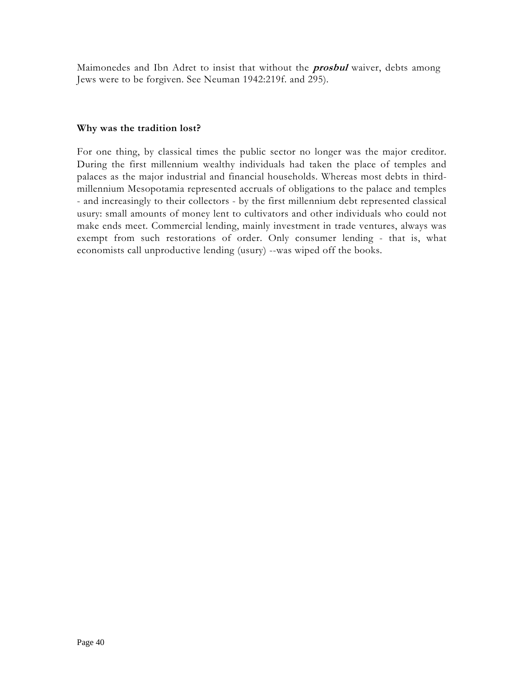Maimonedes and Ibn Adret to insist that without the **prosbul** waiver, debts among Jews were to be forgiven. See Neuman 1942:219f. and 295).

## **Why was the tradition lost?**

For one thing, by classical times the public sector no longer was the major creditor. During the first millennium wealthy individuals had taken the place of temples and palaces as the major industrial and financial households. Whereas most debts in thirdmillennium Mesopotamia represented accruals of obligations to the palace and temples - and increasingly to their collectors - by the first millennium debt represented classical usury: small amounts of money lent to cultivators and other individuals who could not make ends meet. Commercial lending, mainly investment in trade ventures, always was exempt from such restorations of order. Only consumer lending - that is, what economists call unproductive lending (usury) --was wiped off the books.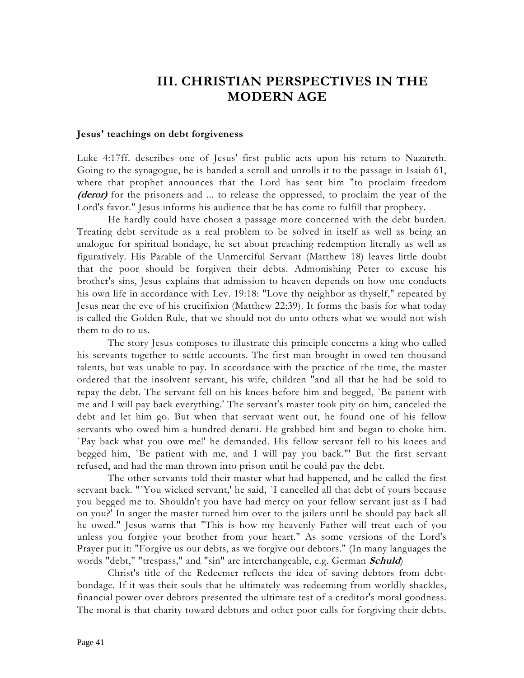# **III. CHRISTIAN PERSPECTIVES IN THE MODERN AGE**

#### **Jesus' teachings on debt forgiveness**

Luke 4:17ff. describes one of Jesus' first public acts upon his return to Nazareth. Going to the synagogue, he is handed a scroll and unrolls it to the passage in Isaiah 61, where that prophet announces that the Lord has sent him "to proclaim freedom **(deror)** for the prisoners and ... to release the oppressed, to proclaim the year of the Lord's favor." Jesus informs his audience that he has come to fulfill that prophecy.

He hardly could have chosen a passage more concerned with the debt burden. Treating debt servitude as a real problem to be solved in itself as well as being an analogue for spiritual bondage, he set about preaching redemption literally as well as figuratively. His Parable of the Unmerciful Servant (Matthew 18) leaves little doubt that the poor should be forgiven their debts. Admonishing Peter to excuse his brother's sins, Jesus explains that admission to heaven depends on how one conducts his own life in accordance with Lev. 19:18: "Love thy neighbor as thyself," repeated by Jesus near the eve of his crucifixion (Matthew 22:39). It forms the basis for what today is called the Golden Rule, that we should not do unto others what we would not wish them to do to us.

The story Jesus composes to illustrate this principle concerns a king who called his servants together to settle accounts. The first man brought in owed ten thousand talents, but was unable to pay. In accordance with the practice of the time, the master ordered that the insolvent servant, his wife, children "and all that he had be sold to repay the debt. The servant fell on his knees before him and begged, `Be patient with me and I will pay back everything.' The servant's master took pity on him, canceled the debt and let him go. But when that servant went out, he found one of his fellow servants who owed him a hundred denarii. He grabbed him and began to choke him. `Pay back what you owe me!' he demanded. His fellow servant fell to his knees and begged him, `Be patient with me, and I will pay you back."' But the first servant refused, and had the man thrown into prison until he could pay the debt.

The other servants told their master what had happened, and he called the first servant back. "`You wicked servant,' he said, `I cancelled all that debt of yours because you begged me to. Shouldn't you have had mercy on your fellow servant just as I had on you?' In anger the master turned him over to the jailers until he should pay back all he owed." Jesus warns that "This is how my heavenly Father will treat each of you unless you forgive your brother from your heart." As some versions of the Lord's Prayer put it: "Forgive us our debts, as we forgive our debtors." (In many languages the words "debt," "trespass," and "sin" are interchangeable, e.g. German **Schuld**)

Christ's title of the Redeemer reflects the idea of saving debtors from debtbondage. If it was their souls that he ultimately was redeeming from worldly shackles, financial power over debtors presented the ultimate test of a creditor's moral goodness. The moral is that charity toward debtors and other poor calls for forgiving their debts.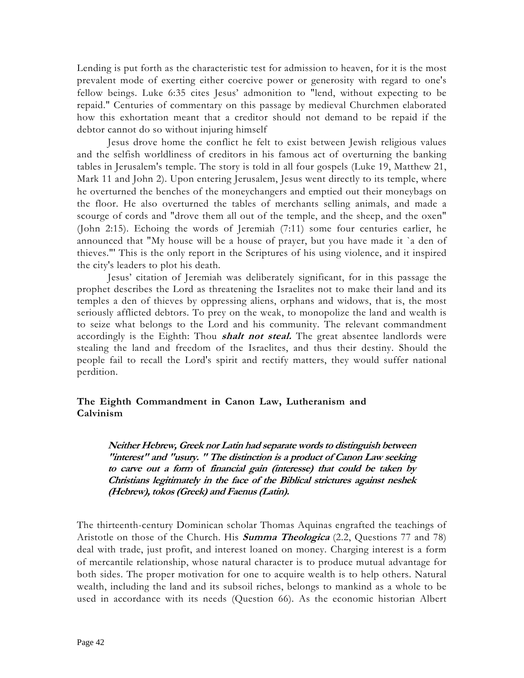Lending is put forth as the characteristic test for admission to heaven, for it is the most prevalent mode of exerting either coercive power or generosity with regard to one's fellow beings. Luke 6:35 cites Jesus' admonition to "lend, without expecting to be repaid." Centuries of commentary on this passage by medieval Churchmen elaborated how this exhortation meant that a creditor should not demand to be repaid if the debtor cannot do so without injuring himself

Jesus drove home the conflict he felt to exist between Jewish religious values and the selfish worldliness of creditors in his famous act of overturning the banking tables in Jerusalem's temple. The story is told in all four gospels (Luke 19, Matthew 21, Mark 11 and John 2). Upon entering Jerusalem, Jesus went directly to its temple, where he overturned the benches of the moneychangers and emptied out their moneybags on the floor. He also overturned the tables of merchants selling animals, and made a scourge of cords and "drove them all out of the temple, and the sheep, and the oxen" (John 2:15). Echoing the words of Jeremiah (7:11) some four centuries earlier, he announced that "My house will be a house of prayer, but you have made it `a den of thieves."' This is the only report in the Scriptures of his using violence, and it inspired the city's leaders to plot his death.

Jesus' citation of Jeremiah was deliberately significant, for in this passage the prophet describes the Lord as threatening the Israelites not to make their land and its temples a den of thieves by oppressing aliens, orphans and widows, that is, the most seriously afflicted debtors. To prey on the weak, to monopolize the land and wealth is to seize what belongs to the Lord and his community. The relevant commandment accordingly is the Eighth: Thou **shalt not steal.** The great absentee landlords were stealing the land and freedom of the Israelites, and thus their destiny. Should the people fail to recall the Lord's spirit and rectify matters, they would suffer national perdition.

## **The Eighth Commandment in Canon Law, Lutheranism and Calvinism**

**Neither Hebrew, Greek nor Latin had separate words to dis inguish between t** "interest" and "usury. " The distinction is a product of Canon Law seeking to carve out a form of financial gain (interesse) that could be taken by **Christians legitimately in the face of the Biblical strictures against neshek (Hebrew), tokos (Greek) and Faenus (Latin).** 

The thirteenth-century Dominican scholar Thomas Aquinas engrafted the teachings of Aristotle on those of the Church. His **Summa Theologica** (2.2, Questions 77 and 78) deal with trade, just profit, and interest loaned on money. Charging interest is a form of mercantile relationship, whose natural character is to produce mutual advantage for both sides. The proper motivation for one to acquire wealth is to help others. Natural wealth, including the land and its subsoil riches, belongs to mankind as a whole to be used in accordance with its needs (Question 66). As the economic historian Albert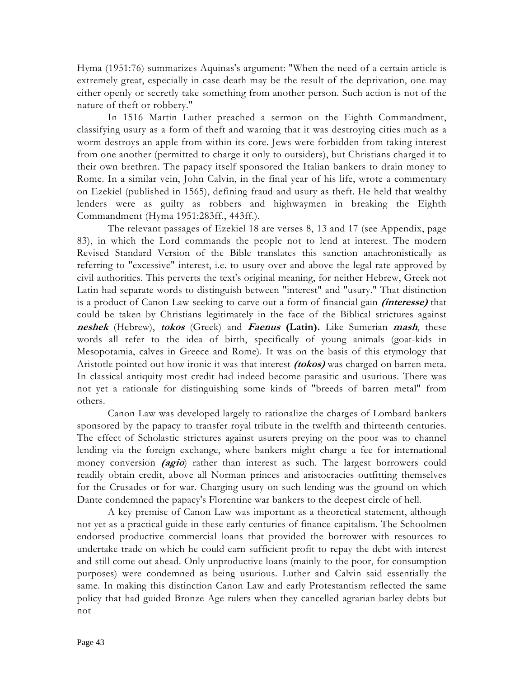Hyma (1951:76) summarizes Aquinas's argument: "When the need of a certain article is extremely great, especially in case death may be the result of the deprivation, one may either openly or secretly take something from another person. Such action is not of the nature of theft or robbery."

In 1516 Martin Luther preached a sermon on the Eighth Commandment, classifying usury as a form of theft and warning that it was destroying cities much as a worm destroys an apple from within its core. Jews were forbidden from taking interest from one another (permitted to charge it only to outsiders), but Christians charged it to their own brethren. The papacy itself sponsored the Italian bankers to drain money to Rome. In a similar vein, John Calvin, in the final year of his life, wrote a commentary on Ezekiel (published in 1565), defining fraud and usury as theft. He held that wealthy lenders were as guilty as robbers and highwaymen in breaking the Eighth Commandment (Hyma 1951:283ff., 443ff.).

The relevant passages of Ezekiel 18 are verses 8, 13 and 17 (see Appendix, page 83), in which the Lord commands the people not to lend at interest. The modern Revised Standard Version of the Bible translates this sanction anachronistically as referring to "excessive" interest, i.e. to usury over and above the legal rate approved by civil authorities. This perverts the text's original meaning, for neither Hebrew, Greek not Latin had separate words to distinguish between "interest" and "usury." That distinction is a product of Canon Law seeking to carve out a form of financial gain **(interesse)** that could be taken by Christians legitimately in the face of the Biblical strictures against **neshek** (Hebrew), **tokos** (Greek) and **Faenus (Latin).** Like Sumerian **mash**, these words all refer to the idea of birth, specifically of young animals (goat-kids in Mesopotamia, calves in Greece and Rome). It was on the basis of this etymology that Aristotle pointed out how ironic it was that interest **(tokos)** was charged on barren meta. In classical antiquity most credit had indeed become parasitic and usurious. There was not yet a rationale for distinguishing some kinds of "breeds of barren metal" from others.

Canon Law was developed largely to rationalize the charges of Lombard bankers sponsored by the papacy to transfer royal tribute in the twelfth and thirteenth centuries. The effect of Scholastic strictures against usurers preying on the poor was to channel lending via the foreign exchange, where bankers might charge a fee for international money conversion **(agio**) rather than interest as such. The largest borrowers could readily obtain credit, above all Norman princes and aristocracies outfitting themselves for the Crusades or for war. Charging usury on such lending was the ground on which Dante condemned the papacy's Florentine war bankers to the deepest circle of hell.

A key premise of Canon Law was important as a theoretical statement, although not yet as a practical guide in these early centuries of finance-capitalism. The Schoolmen endorsed productive commercial loans that provided the borrower with resources to undertake trade on which he could earn sufficient profit to repay the debt with interest and still come out ahead. Only unproductive loans (mainly to the poor, for consumption purposes) were condemned as being usurious. Luther and Calvin said essentially the same. In making this distinction Canon Law and early Protestantism reflected the same policy that had guided Bronze Age rulers when they cancelled agrarian barley debts but not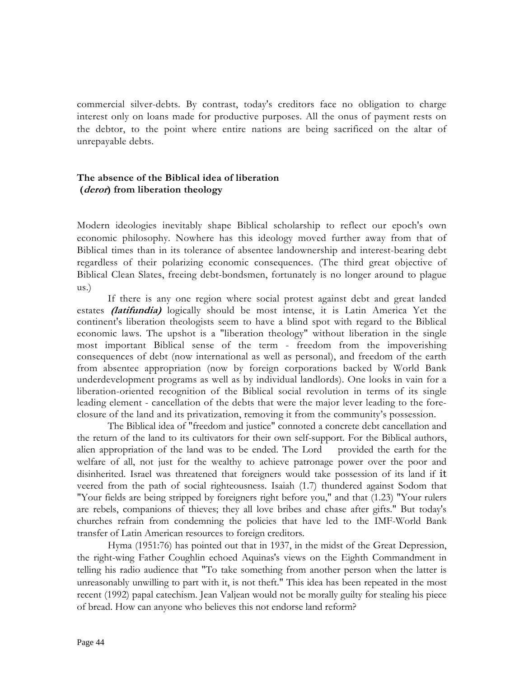commercial silver-debts. By contrast, today's creditors face no obligation to charge interest only on loans made for productive purposes. All the onus of payment rests on the debtor, to the point where entire nations are being sacrificed on the altar of unrepayable debts.

## **The absence of the Biblical idea of liberation (deror) from liberation theology**

Modern ideologies inevitably shape Biblical scholarship to reflect our epoch's own economic philosophy. Nowhere has this ideology moved further away from that of Biblical times than in its tolerance of absentee landownership and interest-bearing debt regardless of their polarizing economic consequences. (The third great objective of Biblical Clean Slates, freeing debt-bondsmen, fortunately is no longer around to plague us.)

If there is any one region where social protest against debt and great landed estates **(latifundia)** logically should be most intense, it is Latin America Yet the continent's liberation theologists seem to have a blind spot with regard to the Biblical economic laws. The upshot is a "liberation theology" without liberation in the single most important Biblical sense of the term - freedom from the impoverishing consequences of debt (now international as well as personal), and freedom of the earth from absentee appropriation (now by foreign corporations backed by World Bank underdevelopment programs as well as by individual landlords). One looks in vain for a liberation-oriented recognition of the Biblical social revolution in terms of its single leading element - cancellation of the debts that were the major lever leading to the foreclosure of the land and its privatization, removing it from the community's possession.

The Biblical idea of "freedom and justice" connoted a concrete debt cancellation and the return of the land to its cultivators for their own self-support. For the Biblical authors, alien appropriation of the land was to be ended. The Lord provided the earth for the welfare of all, not just for the wealthy to achieve patronage power over the poor and disinherited. Israel was threatened that foreigners would take possession of its land if it veered from the path of social righteousness. Isaiah (1.7) thundered against Sodom that "Your fields are being stripped by foreigners right before you," and that (1.23) "Your rulers are rebels, companions of thieves; they all love bribes and chase after gifts." But today's churches refrain from condemning the policies that have led to the IMF-World Bank transfer of Latin American resources to foreign creditors.

Hyma (1951:76) has pointed out that in 1937, in the midst of the Great Depression, the right-wing Father Coughlin echoed Aquinas's views on the Eighth Commandment in telling his radio audience that "To take something from another person when the latter is unreasonably unwilling to part with it, is not theft." This idea has been repeated in the most recent (1992) papal catechism. Jean Valjean would not be morally guilty for stealing his piece of bread. How can anyone who believes this not endorse land reform?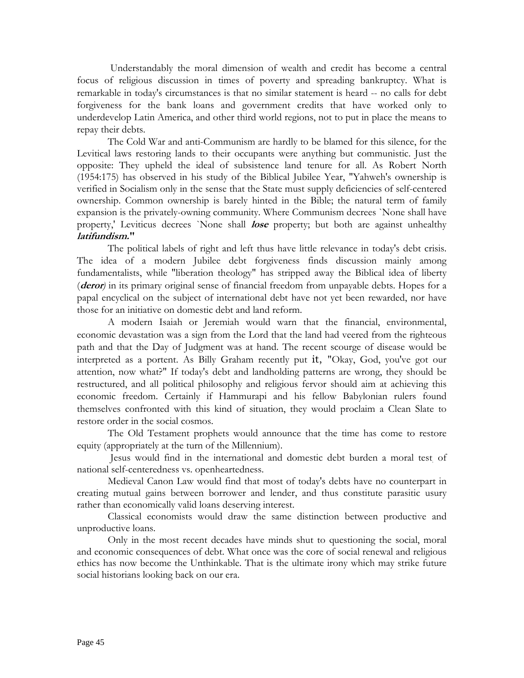Understandably the moral dimension of wealth and credit has become a central focus of religious discussion in times of poverty and spreading bankruptcy. What is remarkable in today's circumstances is that no similar statement is heard -- no calls for debt forgiveness for the bank loans and government credits that have worked only to underdevelop Latin America, and other third world regions, not to put in place the means to repay their debts.

The Cold War and anti-Communism are hardly to be blamed for this silence, for the Levitical laws restoring lands to their occupants were anything but communistic. Just the opposite: They upheld the ideal of subsistence land tenure for all. As Robert North (1954:175) has observed in his study of the Biblical Jubilee Year, "Yahweh's ownership is verified in Socialism only in the sense that the State must supply deficiencies of self-centered ownership. Common ownership is barely hinted in the Bible; the natural term of family expansion is the privately-owning community. Where Communism decrees `None shall have property,' Leviticus decrees `None shall **lose** property; but both are against unhealthy **latifundism."**

The political labels of right and left thus have little relevance in today's debt crisis. The idea of a modern Jubilee debt forgiveness finds discussion mainly among fundamentalists, while "liberation theology" has stripped away the Biblical idea of liberty (**deror***)* in its primary original sense of financial freedom from unpayable debts. Hopes for a papal encyclical on the subject of international debt have not yet been rewarded, nor have those for an initiative on domestic debt and land reform.

A modern Isaiah or Jeremiah would warn that the financial, environmental, economic devastation was a sign from the Lord that the land had veered from the righteous path and that the Day of Judgment was at hand. The recent scourge of disease would be interpreted as a portent. As Billy Graham recently put it, "Okay, God, you've got our attention, now what?" If today's debt and landholding patterns are wrong, they should be restructured, and all political philosophy and religious fervor should aim at achieving this economic freedom. Certainly if Hammurapi and his fellow Babylonian rulers found themselves confronted with this kind of situation, they would proclaim a Clean Slate to restore order in the social cosmos.

The Old Testament prophets would announce that the time has come to restore equity (appropriately at the turn of the Millennium).

Jesus would find in the international and domestic debt burden a moral test of national self-centeredness vs. openheartedness.

Medieval Canon Law would find that most of today's debts have no counterpart in creating mutual gains between borrower and lender, and thus constitute parasitic usury rather than economically valid loans deserving interest.

Classical economists would draw the same distinction between productive and unproductive loans.

Only in the most recent decades have minds shut to questioning the social, moral and economic consequences of debt. What once was the core of social renewal and religious ethics has now become the Unthinkable. That is the ultimate irony which may strike future social historians looking back on our era.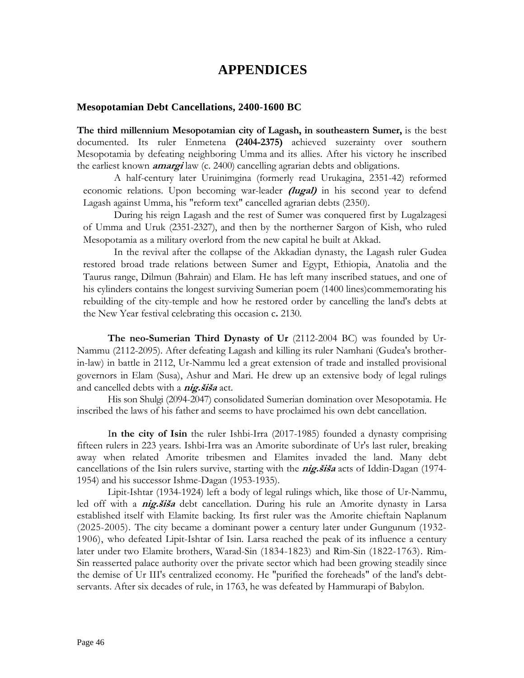# **APPENDICES**

#### **Mesopotamian Debt Cancellations, 2400-1600 BC**

**The third millennium Mesopotamian city of Lagash, in southeastern Sumer,** is the best documented. Its ruler Enmetena **(2404-2375)** achieved suzerainty over southern Mesopotamia by defeating neighboring Umma and its allies. After his victory he inscribed the earliest known **amargi** law (c. 2400) cancelling agrarian debts and obligations.

A half-century later Uruinimgina (formerly read Urukagina, 2351-42) reformed economic relations. Upon becoming war-leader **(lugal)** in his second year to defend Lagash against Umma, his "reform text" cancelled agrarian debts (2350).

During his reign Lagash and the rest of Sumer was conquered first by Lugalzagesi of Umma and Uruk (2351-2327), and then by the northerner Sargon of Kish, who ruled Mesopotamia as a military overlord from the new capital he built at Akkad.

In the revival after the collapse of the Akkadian dynasty, the Lagash ruler Gudea restored broad trade relations between Sumer and Egypt, Ethiopia, Anatolia and the Taurus range, Dilmun (Bahrain) and Elam. He has left many inscribed statues, and one of his cylinders contains the longest surviving Sumerian poem (1400 lines)commemorating his rebuilding of the city-temple and how he restored order by cancelling the land's debts at the New Year festival celebrating this occasion c**.** 2130.

**The neo-Sumerian Third Dynasty of Ur** (2112-2004 BC) was founded by Ur-Nammu (2112-2095). After defeating Lagash and killing its ruler Namhani (Gudea's brotherin-law) in battle in 2112, Ur-Nammu led a great extension of trade and installed provisional governors in Elam (Susa), Ashur and Mari. He drew up an extensive body of legal rulings and cancelled debts with a **nig.šiša** act.

His son Shulgi (2094-2047) consolidated Sumerian domination over Mesopotamia. He inscribed the laws of his father and seems to have proclaimed his own debt cancellation.

I**n the city of Isin** the ruler Ishbi-Irra (2017-1985) founded a dynasty comprising fifteen rulers in 223 years. Ishbi-Irra was an Amorite subordinate of Ur's last ruler, breaking away when related Amorite tribesmen and Elamites invaded the land. Many debt cancellations of the Isin rulers survive, starting with the **nig.šiša** acts of Iddin-Dagan (1974- 1954) and his successor Ishme-Dagan (1953-1935).

Lipit-Ishtar (1934-1924) left a body of legal rulings which, like those of Ur-Nammu, led off with a **nig.šiša** debt cancellation. During his rule an Amorite dynasty in Larsa established itself with Elamite backing. Its first ruler was the Amorite chieftain Naplanum (2025-2005). The city became a dominant power a century later under Gungunum (1932- 1906), who defeated Lipit-Ishtar of Isin. Larsa reached the peak of its influence a century later under two Elamite brothers, Warad-Sin (1834-1823) and Rim-Sin (1822-1763). Rim-Sin reasserted palace authority over the private sector which had been growing steadily since the demise of Ur III's centralized economy. He "purified the foreheads" of the land's debtservants. After six decades of rule, in 1763, he was defeated by Hammurapi of Babylon.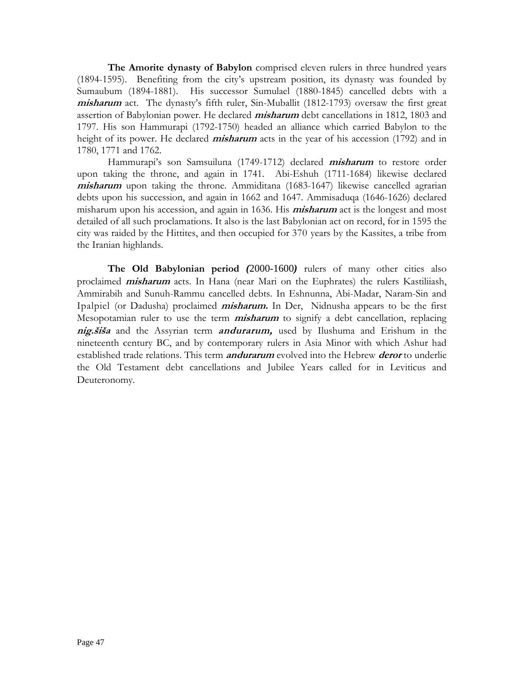**The Amorite dynasty of Babylon** comprised eleven rulers in three hundred years (1894-1595). Benefiting from the city's upstream position, its dynasty was founded by Sumaubum (1894-1881). His successor Sumulael (1880-1845) cancelled debts with a **misharum** act. The dynasty's fifth ruler, Sin-Muballit (1812-1793) oversaw the first great assertion of Babylonian power. He declared **misharum** debt cancellations in 1812, 1803 and 1797. His son Hammurapi (1792-1750) headed an alliance which carried Babylon to the height of its power. He declared **misharum** acts in the year of his accession (1792) and in 1780, 1771 and 1762.

Hammurapi's son Samsuiluna (1749-1712) declared **misharum** to restore order upon taking the throne, and again in 1741. Abi-Eshuh (1711-1684) likewise declared **misharum** upon taking the throne. Ammiditana (1683-1647) likewise cancelled agrarian debts upon his succession, and again in 1662 and 1647. Ammisaduqa (1646-1626) declared misharum upon his accession, and again in 1636. His **misharum** act is the longest and most detailed of all such proclamations. It also is the last Babylonian act on record, for in 1595 the city was raided by the Hittites, and then occupied for 370 years by the Kassites, a tribe from the Iranian highlands.

**The Old Babylonian period** *(*2000-1600*)* rulers of many other cities also proclaimed **misharum** acts. In Hana (near Mari on the Euphrates) the rulers Kastiliiash, Ammirabih and Sunuh-Rammu cancelled debts. In Eshnunna, Abi-Madar, Naram-Sin and Ipalpiel (or Dadusha) proclaimed **misharum.** In Der, Nidnusha appears to be the first Mesopotamian ruler to use the term **misharum** to signify a debt cancellation, replacing **nig.šiša** and the Assyrian term **andurarum,** used by Ilushuma and Erishum in the nineteenth century BC, and by contemporary rulers in Asia Minor with which Ashur had established trade relations. This term **andurarum** evolved into the Hebrew **deror** to underlie the Old Testament debt cancellations and Jubilee Years called for in Leviticus and Deuteronomy.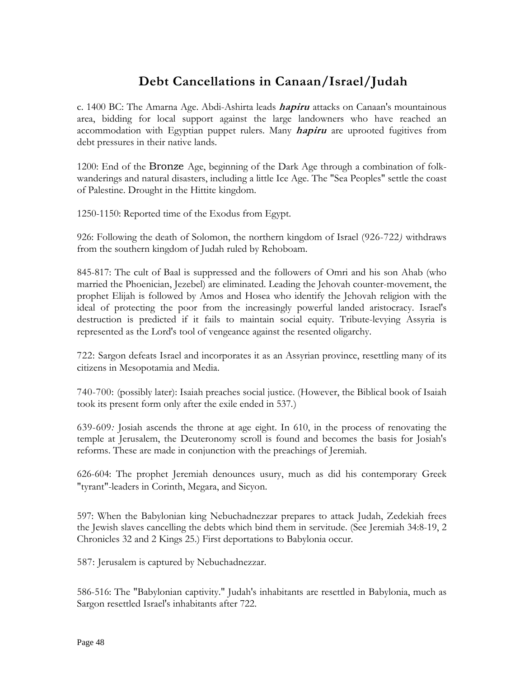# **Debt Cancellations in Canaan/Israel/Judah**

c. 1400 BC: The Amarna Age. Abdi-Ashirta leads **hapiru** attacks on Canaan's mountainous area, bidding for local support against the large landowners who have reached an accommodation with Egyptian puppet rulers. Many **hapiru** are uprooted fugitives from debt pressures in their native lands.

1200: End of the Bronze Age, beginning of the Dark Age through a combination of folkwanderings and natural disasters, including a little Ice Age. The "Sea Peoples" settle the coast of Palestine. Drought in the Hittite kingdom.

1250-1150: Reported time of the Exodus from Egypt.

926: Following the death of Solomon, the northern kingdom of Israel (926-722*)* withdraws from the southern kingdom of Judah ruled by Rehoboam.

845-817: The cult of Baal is suppressed and the followers of Omri and his son Ahab (who married the Phoenician, Jezebel) are eliminated. Leading the Jehovah counter-movement, the prophet Elijah is followed by Amos and Hosea who identify the Jehovah religion with the ideal of protecting the poor from the increasingly powerful landed aristocracy. Israel's destruction is predicted if it fails to maintain social equity. Tribute-levying Assyria is represented as the Lord's tool of vengeance against the resented oligarchy.

722: Sargon defeats Israel and incorporates it as an Assyrian province, resettling many of its citizens in Mesopotamia and Media.

740-700: (possibly later): Isaiah preaches social justice. (However, the Biblical book of Isaiah took its present form only after the exile ended in 537*.*)

639-609*:* Josiah ascends the throne at age eight. In 610, in the process of renovating the temple at Jerusalem, the Deuteronomy scroll is found and becomes the basis for Josiah's reforms. These are made in conjunction with the preachings of Jeremiah.

626-604: The prophet Jeremiah denounces usury, much as did his contemporary Greek "tyrant"-leaders in Corinth, Megara, and Sicyon.

597: When the Babylonian king Nebuchadnezzar prepares to attack Judah, Zedekiah frees the Jewish slaves cancelling the debts which bind them in servitude. (See Jeremiah 34:8-19, 2 Chronicles 32 and 2 Kings 25.) First deportations to Babylonia occur.

587: Jerusalem is captured by Nebuchadnezzar.

586-516: The "Babylonian captivity." Judah's inhabitants are resettled in Babylonia, much as Sargon resettled Israel's inhabitants after 722.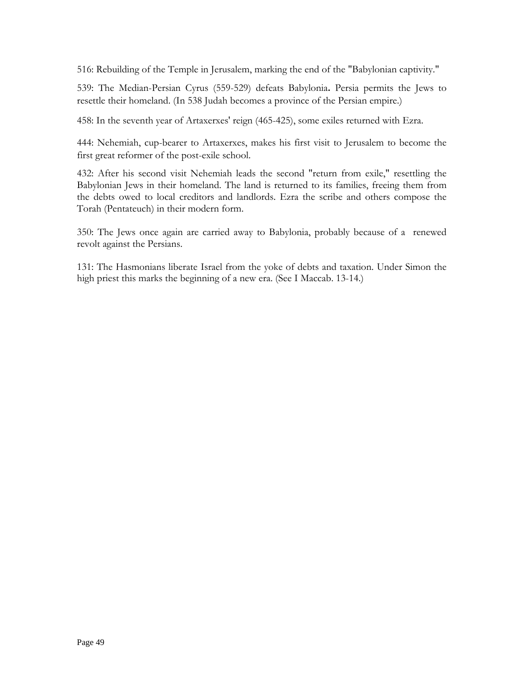516: Rebuilding of the Temple in Jerusalem, marking the end of the "Babylonian captivity."

539: The Median-Persian Cyrus (559-529) defeats Babylonia**.** Persia permits the Jews to resettle their homeland. (In 538 Judah becomes a province of the Persian empire.)

458: In the seventh year of Artaxerxes' reign (465-425), some exiles returned with Ezra.

444: Nehemiah, cup-bearer to Artaxerxes, makes his first visit to Jerusalem to become the first great reformer of the post-exile school.

432: After his second visit Nehemiah leads the second "return from exile," resettling the Babylonian Jews in their homeland. The land is returned to its families, freeing them from the debts owed to local creditors and landlords. Ezra the scribe and others compose the Torah (Pentateuch) in their modern form.

350: The Jews once again are carried away to Babylonia, probably because of a renewed revolt against the Persians.

131: The Hasmonians liberate Israel from the yoke of debts and taxation. Under Simon the high priest this marks the beginning of a new era. (See I Maccab. 13-14.)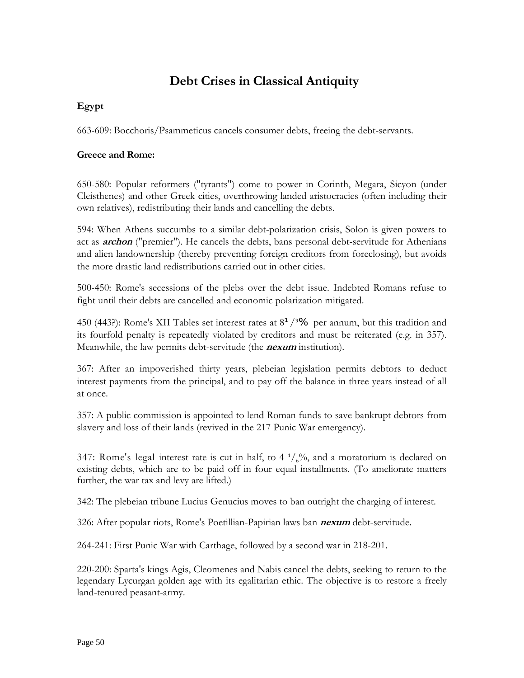# **Debt Crises in Classical Antiquity**

## **Egypt**

663-609: Bocchoris/Psammeticus cancels consumer debts, freeing the debt-servants.

## **Greece and Rome:**

650-580: Popular reformers ("tyrants") come to power in Corinth, Megara, Sicyon (under Cleisthenes) and other Greek cities, overthrowing landed aristocracies (often including their own relatives), redistributing their lands and cancelling the debts.

594: When Athens succumbs to a similar debt-polarization crisis, Solon is given powers to act as **archon** ("premier"). He cancels the debts, bans personal debt-servitude for Athenians and alien landownership (thereby preventing foreign creditors from foreclosing), but avoids the more drastic land redistributions carried out in other cities.

500-450: Rome's secessions of the plebs over the debt issue. Indebted Romans refuse to fight until their debts are cancelled and economic polarization mitigated.

450 (443?): Rome's XII Tables set interest rates at  $8<sup>1</sup>/<sup>3</sup>%$  per annum, but this tradition and its fourfold penalty is repeatedly violated by creditors and must be reiterated (e.g. in 357). Meanwhile, the law permits debt-servitude (the **nexum** institution).

367: After an impoverished thirty years, plebeian legislation permits debtors to deduct interest payments from the principal, and to pay off the balance in three years instead of all at once.

357: A public commission is appointed to lend Roman funds to save bankrupt debtors from slavery and loss of their lands (revived in the 217 Punic War emergency).

347: Rome's legal interest rate is cut in half, to  $4 \frac{1}{6}$ %, and a moratorium is declared on existing debts, which are to be paid off in four equal installments. (To ameliorate matters further, the war tax and levy are lifted.)

342: The plebeian tribune Lucius Genucius moves to ban outright the charging of interest.

326: After popular riots, Rome's Poetillian-Papirian laws ban **nexum** debt-servitude.

264-241: First Punic War with Carthage, followed by a second war in 218-201.

220-200: Sparta's kings Agis, Cleomenes and Nabis cancel the debts, seeking to return to the legendary Lycurgan golden age with its egalitarian ethic. The objective is to restore a freely land-tenured peasant-army.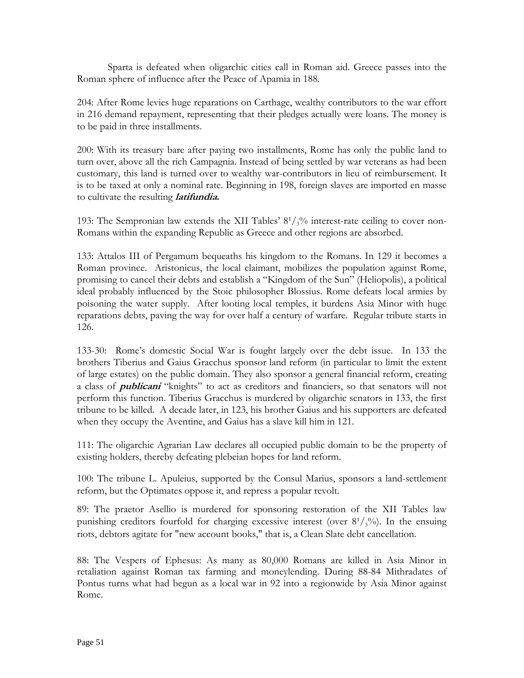Sparta is defeated when oligarchic cities call in Roman aid. Greece passes into the Roman sphere of influence after the Peace of Apamia in 188.

204: After Rome levies huge reparations on Carthage, wealthy contributors to the war effort in 216 demand repayment, representing that their pledges actually were loans. The money is to be paid in three installments.

200: With its treasury bare after paying two installments, Rome has only the public land to turn over, above all the rich Campagnia. Instead of being settled by war veterans as had been customary, this land is turned over to wealthy war-contributors in lieu of reimbursement. It is to be taxed at only a nominal rate. Beginning in 198, foreign slaves are imported en masse to cultivate the resulting **latifundia.**

193: The Sempronian law extends the XII Tables'  $8^{1}/_{3}\%$  interest-rate ceiling to cover non-Romans within the expanding Republic as Greece and other regions are absorbed.

133: Attalos III of Pergamum bequeaths his kingdom to the Romans. In 129 it becomes a Roman province. Aristonicus, the local claimant, mobilizes the population against Rome, promising to cancel their debts and establish a "Kingdom of the Sun" (Heliopolis), a political ideal probably influenced by the Stoic philosopher Blossius. Rome defeats local armies by poisoning the water supply. After looting local temples, it burdens Asia Minor with huge reparations debts, paving the way for over half a century of warfare. Regular tribute starts in 126.

133-30: Rome's domestic Social War is fought largely over the debt issue. In 133 the brothers Tiberius and Gaius Gracchus sponsor land reform (in particular to limit the extent of large estates) on the public domain. They also sponsor a general financial reform, creating a class of **publicani** "knights" to act as creditors and financiers, so that senators will not perform this function. Tiberius Gracchus is murdered by oligarchic senators in 133, the first tribune to be killed. A decade later, in 123, his brother Gaius and his supporters are defeated when they occupy the Aventine, and Gaius has a slave kill him in 121.

111: The oligarchic Agrarian Law declares all occupied public domain to be the property of existing holders, thereby defeating plebeian hopes for land reform.

100: The tribune L. Apuleius, supported by the Consul Marius, sponsors a land-settlement reform, but the Optimates oppose it, and repress a popular revolt.

89: The praetor Asellio is murdered for sponsoring restoration of the XII Tables law punishing creditors fourfold for charging excessive interest (over  $8^{1}/3$ %). In the ensuing riots, debtors agitate for "new account books," that is, a Clean Slate debt cancellation.

88: The Vespers of Ephesus: As many as 80,000 Romans are killed in Asia Minor in retaliation against Roman tax farming and moneylending. During 88-84 Mithradates of Pontus turns what had begun as a local war in 92 into a regionwide by Asia Minor against Rome.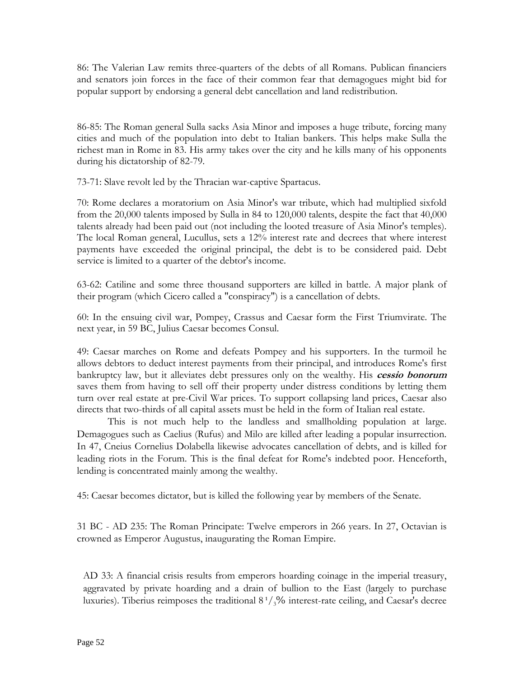86: The Valerian Law remits three-quarters of the debts of all Romans. Publican financiers and senators join forces in the face of their common fear that demagogues might bid for popular support by endorsing a general debt cancellation and land redistribution.

86-85: The Roman general Sulla sacks Asia Minor and imposes a huge tribute, forcing many cities and much of the population into debt to Italian bankers. This helps make Sulla the richest man in Rome in 83. His army takes over the city and he kills many of his opponents during his dictatorship of 82-79.

73-71: Slave revolt led by the Thracian war-captive Spartacus.

70: Rome declares a moratorium on Asia Minor's war tribute, which had multiplied sixfold from the 20,000 talents imposed by Sulla in 84 to 120,000 talents, despite the fact that 40,000 talents already had been paid out (not including the looted treasure of Asia Minor's temples). The local Roman general, Lucullus, sets a 12% interest rate and decrees that where interest payments have exceeded the original principal, the debt is to be considered paid. Debt service is limited to a quarter of the debtor's income.

63-62: Catiline and some three thousand supporters are killed in battle. A major plank of their program (which Cicero called a "conspiracy") is a cancellation of debts.

60: In the ensuing civil war, Pompey, Crassus and Caesar form the First Triumvirate. The next year, in 59 BC, Julius Caesar becomes Consul.

49: Caesar marches on Rome and defeats Pompey and his supporters. In the turmoil he allows debtors to deduct interest payments from their principal, and introduces Rome's first bankruptcy law, but it alleviates debt pressures only on the wealthy. His **cessio bonorum** saves them from having to sell off their property under distress conditions by letting them turn over real estate at pre-Civil War prices. To support collapsing land prices, Caesar also directs that two-thirds of all capital assets must be held in the form of Italian real estate.

This is not much help to the landless and smallholding population at large. Demagogues such as Caelius (Rufus) and Milo are killed after leading a popular insurrection. In 47, Cneius Cornelius Dolabella likewise advocates cancellation of debts, and is killed for leading riots in the Forum. This is the final defeat for Rome's indebted poor. Henceforth, lending is concentrated mainly among the wealthy.

45: Caesar becomes dictator, but is killed the following year by members of the Senate.

31 BC - AD 235: The Roman Principate: Twelve emperors in 266 years. In 27, Octavian is crowned as Emperor Augustus, inaugurating the Roman Empire.

AD 33: A financial crisis results from emperors hoarding coinage in the imperial treasury, aggravated by private hoarding and a drain of bullion to the East (largely to purchase luxuries). Tiberius reimposes the traditional  $8\frac{1}{3}\%$  interest-rate ceiling, and Caesar's decree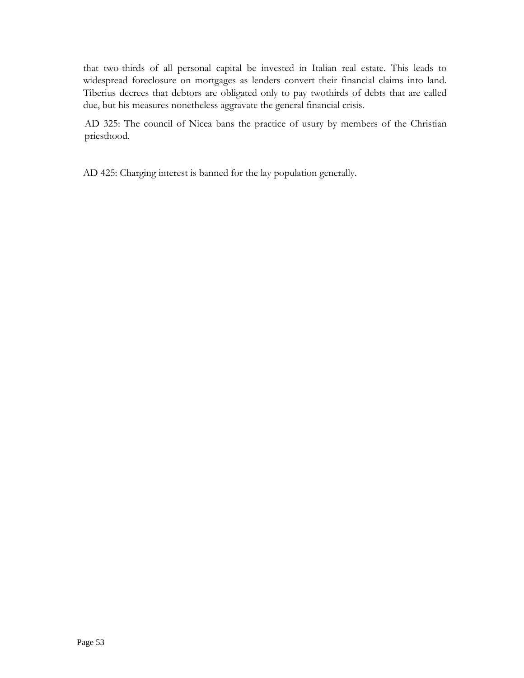that two-thirds of all personal capital be invested in Italian real estate. This leads to widespread foreclosure on mortgages as lenders convert their financial claims into land. Tiberius decrees that debtors are obligated only to pay twothirds of debts that are called due, but his measures nonetheless aggravate the general financial crisis.

AD 325: The council of Nicea bans the practice of usury by members of the Christian priesthood.

AD 425: Charging interest is banned for the lay population generally.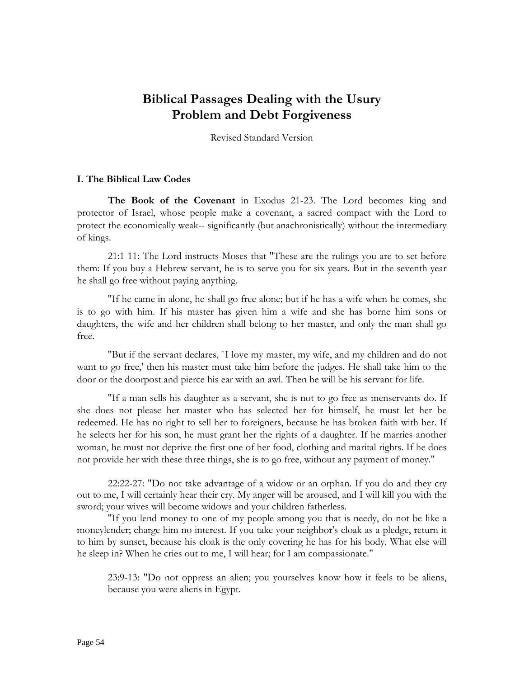# **Biblical Passages Dealing with the Usury Problem and Debt Forgiveness**

Revised Standard Version

### **I. The Biblical Law Codes**

**The Book of the Covenant** in Exodus 21-23. The Lord becomes king and protector of Israel, whose people make a covenant, a sacred compact with the Lord to protect the economically weak-- significantly (but anachronistically) without the intermediary of kings.

21:1-11: The Lord instructs Moses that "These are the rulings you are to set before them: If you buy a Hebrew servant, he is to serve you for six years. But in the seventh year he shall go free without paying anything.

"If he came in alone, he shall go free alone; but if he has a wife when he comes, she is to go with him. If his master has given him a wife and she has borne him sons or daughters, the wife and her children shall belong to her master, and only the man shall go free.

"But if the servant declares, `I love my master, my wife, and my children and do not want to go free,' then his master must take him before the judges. He shall take him to the door or the doorpost and pierce his ear with an awl. Then he will be his servant for life.

"If a man sells his daughter as a servant, she is not to go free as menservants do. If she does not please her master who has selected her for himself, he must let her be redeemed. He has no right to sell her to foreigners, because he has broken faith with her. If he selects her for his son, he must grant her the rights of a daughter. If he marries another woman, he must not deprive the first one of her food, clothing and marital rights. If he does not provide her with these three things, she is to go free, without any payment of money."

22:22-27: "Do not take advantage of a widow or an orphan. If you do and they cry out to me, I will certainly hear their cry. My anger will be aroused, and I will kill you with the sword; your wives will become widows and your children fatherless.

"If you lend money to one of my people among you that is needy, do not be like a moneylender; charge him no interest. If you take your neighbor's cloak as a pledge, return it to him by sunset, because his cloak is the only covering he has for his body. What else will he sleep in? When he cries out to me, I will hear; for I am compassionate."

23:9-13: "Do not oppress an alien; you yourselves know how it feels to be aliens, because you were aliens in Egypt.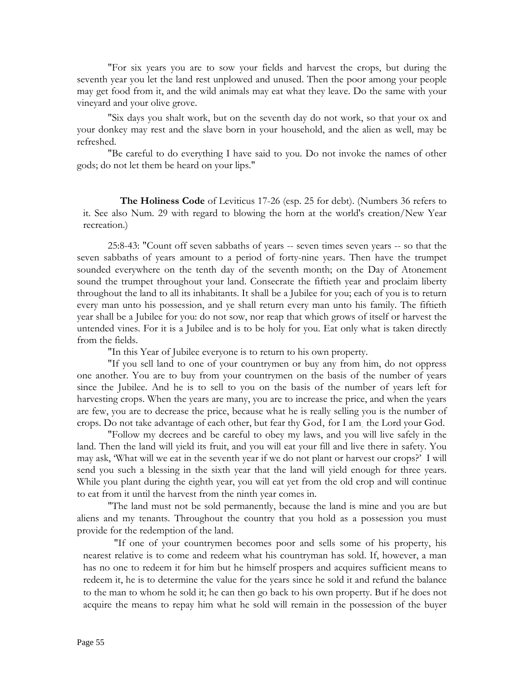"For six years you are to sow your fields and harvest the crops, but during the seventh year you let the land rest unplowed and unused. Then the poor among your people may get food from it, and the wild animals may eat what they leave. Do the same with your vineyard and your olive grove.

"Six days you shalt work, but on the seventh day do not work, so that your ox and your donkey may rest and the slave born in your household, and the alien as well, may be refreshed.

"Be careful to do everything I have said to you. Do not invoke the names of other gods; do not let them be heard on your lips."

**The Holiness Code** of Leviticus 17-26 (esp. 25 for debt). (Numbers 36 refers to it. See also Num. 29 with regard to blowing the horn at the world's creation/New Year recreation.)

25:8-43: "Count off seven sabbaths of years -- seven times seven years -- so that the seven sabbaths of years amount to a period of forty-nine years. Then have the trumpet sounded everywhere on the tenth day of the seventh month; on the Day of Atonement sound the trumpet throughout your land. Consecrate the fiftieth year and proclaim liberty throughout the land to all its inhabitants. It shall be a Jubilee for you; each of you is to return every man unto his possession, and ye shall return every man unto his family. The fiftieth year shall be a Jubilee for you: do not sow, nor reap that which grows of itself or harvest the untended vines. For it is a Jubilee and is to be holy for you. Eat only what is taken directly from the fields.

"In this Year of Jubilee everyone is to return to his own property.

"If you sell land to one of your countrymen or buy any from him, do not oppress one another. You are to buy from your countrymen on the basis of the number of years since the Jubilee. And he is to sell to you on the basis of the number of years left for harvesting crops. When the years are many, you are to increase the price, and when the years are few, you are to decrease the price, because what he is really selling you is the number of crops. Do not take advantage of each other, but fear thy God, for I am- the Lord your God.

"Follow my decrees and be careful to obey my laws, and you will live safely in the land. Then the land will yield its fruit, and you will eat your fill and live there in safety. You may ask, 'What will we eat in the seventh year if we do not plant or harvest our crops?' I will send you such a blessing in the sixth year that the land will yield enough for three years. While you plant during the eighth year, you will eat yet from the old crop and will continue to eat from it until the harvest from the ninth year comes in.

"The land must not be sold permanently, because the land is mine and you are but aliens and my tenants. Throughout the country that you hold as a possession you must provide for the redemption of the land.

"If one of your countrymen becomes poor and sells some of his property, his nearest relative is to come and redeem what his countryman has sold. If, however, a man has no one to redeem it for him but he himself prospers and acquires sufficient means to redeem it, he is to determine the value for the years since he sold it and refund the balance to the man to whom he sold it; he can then go back to his own property. But if he does not acquire the means to repay him what he sold will remain in the possession of the buyer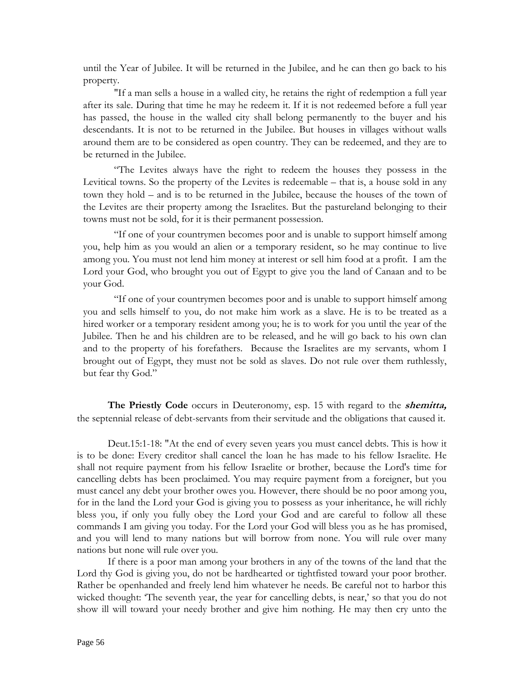until the Year of Jubilee. It will be returned in the Jubilee, and he can then go back to his property.

"If a man sells a house in a walled city, he retains the right of redemption a full year after its sale. During that time he may he redeem it. If it is not redeemed before a full year has passed, the house in the walled city shall belong permanently to the buyer and his descendants. It is not to be returned in the Jubilee. But houses in villages without walls around them are to be considered as open country. They can be redeemed, and they are to be returned in the Jubilee.

"The Levites always have the right to redeem the houses they possess in the Levitical towns. So the property of the Levites is redeemable – that is, a house sold in any town they hold – and is to be returned in the Jubilee, because the houses of the town of the Levites are their property among the Israelites. But the pastureland belonging to their towns must not be sold, for it is their permanent possession.

"If one of your countrymen becomes poor and is unable to support himself among you, help him as you would an alien or a temporary resident, so he may continue to live among you. You must not lend him money at interest or sell him food at a profit. I am the Lord your God, who brought you out of Egypt to give you the land of Canaan and to be your God.

"If one of your countrymen becomes poor and is unable to support himself among you and sells himself to you, do not make him work as a slave. He is to be treated as a hired worker or a temporary resident among you; he is to work for you until the year of the Jubilee. Then he and his children are to be released, and he will go back to his own clan and to the property of his forefathers. Because the Israelites are my servants, whom I brought out of Egypt, they must not be sold as slaves. Do not rule over them ruthlessly, but fear thy God."

**The Priestly Code** occurs in Deuteronomy, esp. 15 with regard to the **shemitta,**  the septennial release of debt-servants from their servitude and the obligations that caused it.

Deut.15:1-18: "At the end of every seven years you must cancel debts. This is how it is to be done: Every creditor shall cancel the loan he has made to his fellow Israelite. He shall not require payment from his fellow Israelite or brother, because the Lord's time for cancelling debts has been proclaimed. You may require payment from a foreigner, but you must cancel any debt your brother owes you. However, there should be no poor among you, for in the land the Lord your God is giving you to possess as your inheritance, he will richly bless you, if only you fully obey the Lord your God and are careful to follow all these commands I am giving you today. For the Lord your God will bless you as he has promised, and you will lend to many nations but will borrow from none. You will rule over many nations but none will rule over you.

If there is a poor man among your brothers in any of the towns of the land that the Lord thy God is giving you, do not be hardhearted or tightfisted toward your poor brother. Rather be openhanded and freely lend him whatever he needs. Be careful not to harbor this wicked thought: 'The seventh year, the year for cancelling debts, is near,' so that you do not show ill will toward your needy brother and give him nothing. He may then cry unto the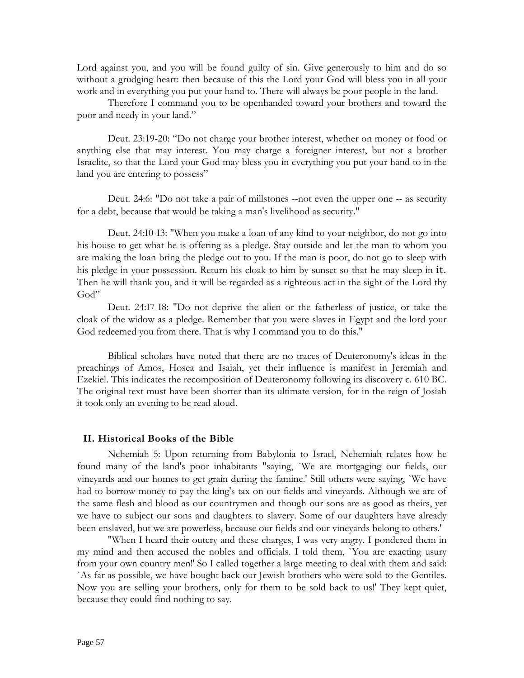Lord against you, and you will be found guilty of sin. Give generously to him and do so without a grudging heart: then because of this the Lord your God will bless you in all your work and in everything you put your hand to. There will always be poor people in the land.

Therefore I command you to be openhanded toward your brothers and toward the poor and needy in your land."

Deut. 23:19-20: "Do not charge your brother interest, whether on money or food or anything else that may interest. You may charge a foreigner interest, but not a brother Israelite, so that the Lord your God may bless you in everything you put your hand to in the land you are entering to possess"

Deut. 24:6: "Do not take a pair of millstones --not even the upper one -- as security for a debt, because that would be taking a man's livelihood as security."

Deut. 24:I0-I3: "When you make a loan of any kind to your neighbor, do not go into his house to get what he is offering as a pledge. Stay outside and let the man to whom you are making the loan bring the pledge out to you. If the man is poor, do not go to sleep with his pledge in your possession. Return his cloak to him by sunset so that he may sleep in it. Then he will thank you, and it will be regarded as a righteous act in the sight of the Lord thy God"

Deut. 24:I7-I8: "Do not deprive the alien or the fatherless of justice, or take the cloak of the widow as a pledge. Remember that you were slaves in Egypt and the lord your God redeemed you from there. That is why I command you to do this."

Biblical scholars have noted that there are no traces of Deuteronomy's ideas in the preachings of Amos, Hosea and Isaiah, yet their influence is manifest in Jeremiah and Ezekiel. This indicates the recomposition of Deuteronomy following its discovery c. 610 BC. The original text must have been shorter than its ultimate version, for in the reign of Josiah it took only an evening to be read aloud.

#### **II. Historical Books of the Bible**

Nehemiah 5: Upon returning from Babylonia to Israel, Nehemiah relates how he found many of the land's poor inhabitants "saying, `We are mortgaging our fields, our vineyards and our homes to get grain during the famine.' Still others were saying, `We have had to borrow money to pay the king's tax on our fields and vineyards. Although we are of the same flesh and blood as our countrymen and though our sons are as good as theirs, yet we have to subject our sons and daughters to slavery. Some of our daughters have already been enslaved, but we are powerless, because our fields and our vineyards belong to others.'

"When I heard their outcry and these charges, I was very angry. I pondered them in my mind and then accused the nobles and officials. I told them, `You are exacting usury from your own country men!' So I called together a large meeting to deal with them and said: `As far as possible, we have bought back our Jewish brothers who were sold to the Gentiles. Now you are selling your brothers, only for them to be sold back to us!' They kept quiet, because they could find nothing to say.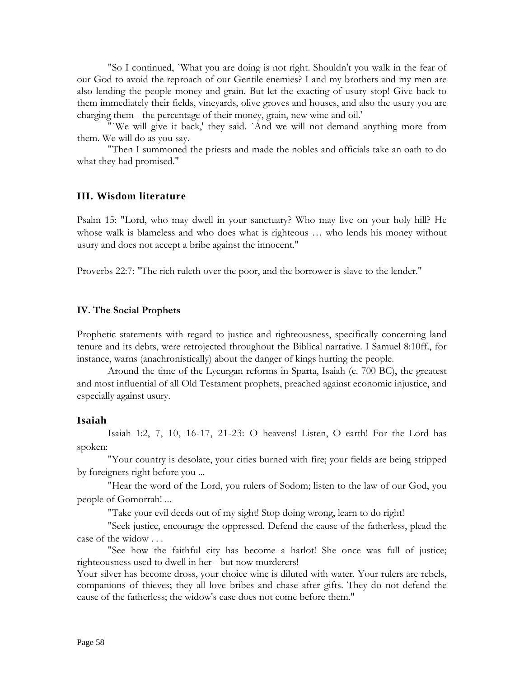"So I continued, `What you are doing is not right. Shouldn't you walk in the fear of our God to avoid the reproach of our Gentile enemies? I and my brothers and my men are also lending the people money and grain. But let the exacting of usury stop! Give back to them immediately their fields, vineyards, olive groves and houses, and also the usury you are charging them - the percentage of their money, grain, new wine and oil.'

"`We will give it back,' they said. `And we will not demand anything more from them. We will do as you say.

"Then I summoned the priests and made the nobles and officials take an oath to do what they had promised."

## **III. Wisdom literature**

Psalm 15: "Lord, who may dwell in your sanctuary? Who may live on your holy hill? He whose walk is blameless and who does what is righteous … who lends his money without usury and does not accept a bribe against the innocent."

Proverbs 22:7: "The rich ruleth over the poor, and the borrower is slave to the lender."

### **IV. The Social Prophets**

Prophetic statements with regard to justice and righteousness, specifically concerning land tenure and its debts, were retrojected throughout the Biblical narrative. I Samuel 8:10ff., for instance, warns (anachronistically) about the danger of kings hurting the people.

Around the time of the Lycurgan reforms in Sparta, Isaiah (c. 700 BC), the greatest and most influential of all Old Testament prophets, preached against economic injustice, and especially against usury.

#### **Isaiah**

Isaiah 1:2, 7, 10, 16-17, 21-23: O heavens! Listen, O earth! For the Lord has spoken:

"Your country is desolate, your cities burned with fire; your fields are being stripped by foreigners right before you ...

"Hear the word of the Lord, you rulers of Sodom; listen to the law of our God, you people of Gomorrah! ...

"Take your evil deeds out of my sight! Stop doing wrong, learn to do right!

"Seek justice, encourage the oppressed. Defend the cause of the fatherless, plead the case of the widow . . .

"See how the faithful city has become a harlot! She once was full of justice; righteousness used to dwell in her - but now murderers!

Your silver has become dross, your choice wine is diluted with water. Your rulers are rebels, companions of thieves; they all love bribes and chase after gifts. They do not defend the cause of the fatherless; the widow's case does not come before them."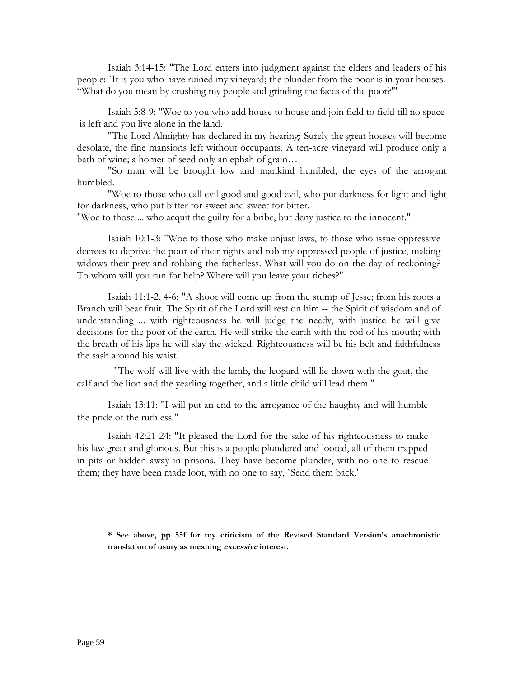Isaiah 3:14-15: "The Lord enters into judgment against the elders and leaders of his people: `It is you who have ruined my vineyard; the plunder from the poor is in your houses. "What do you mean by crushing my people and grinding the faces of the poor?"'

Isaiah 5:8-9: "Woe to you who add house to house and join field to field till no space is left and you live alone in the land.

"The Lord Almighty has declared in my hearing: Surely the great houses will become desolate, the fine mansions left without occupants. A ten-acre vineyard will produce only a bath of wine; a homer of seed only an ephah of grain…

"So man will be brought low and mankind humbled, the eyes of the arrogant humbled.

"Woe to those who call evil good and good evil, who put darkness for light and light for darkness, who put bitter for sweet and sweet for bitter.

"Woe to those ... who acquit the guilty for a bribe, but deny justice to the innocent."

Isaiah 10:1-3: "Woe to those who make unjust laws, to those who issue oppressive decrees to deprive the poor of their rights and rob my oppressed people of justice, making widows their prey and robbing the fatherless. What will you do on the day of reckoning? To whom will you run for help? Where will you leave your riches?"

Isaiah 11:1-2, 4-6: "A shoot will come up from the stump of Jesse; from his roots a Branch will bear fruit. The Spirit of the Lord will rest on him -- the Spirit of wisdom and of understanding ... with righteousness he will judge the needy, with justice he will give decisions for the poor of the earth. He will strike the earth with the rod of his mouth; with the breath of his lips he will slay the wicked. Righteousness will be his belt and faithfulness the sash around his waist.

"The wolf will live with the lamb, the leopard will lie down with the goat, the calf and the lion and the yearling together, and a little child will lead them."

Isaiah 13:11: "I will put an end to the arrogance of the haughty and will humble the pride of the ruthless."

Isaiah 42:21-24: "It pleased the Lord for the sake of his righteousness to make his law great and glorious. But this is a people plundered and looted, all of them trapped in pits or hidden away in prisons. They have become plunder, with no one to rescue them; they have been made loot, with no one to say, `Send them back.'

**\* See above, pp 55f for my criticism of the Revised Standard Version's anachronistic translation of usury as meaning excessive interest.**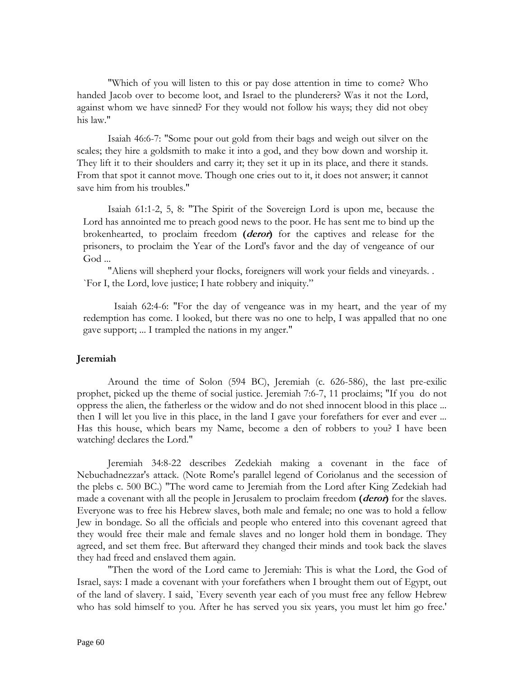"Which of you will listen to this or pay dose attention in time to come? Who handed Jacob over to become loot, and Israel to the plunderers? Was it not the Lord, against whom we have sinned? For they would not follow his ways; they did not obey his law."

Isaiah 46:6-7: "Some pour out gold from their bags and weigh out silver on the scales; they hire a goldsmith to make it into a god, and they bow down and worship it. They lift it to their shoulders and carry it; they set it up in its place, and there it stands. From that spot it cannot move. Though one cries out to it, it does not answer; it cannot save him from his troubles."

Isaiah 61:1-2, 5, 8: "The Spirit of the Sovereign Lord is upon me, because the Lord has annointed me to preach good news to the poor. He has sent me to bind up the brokenhearted, to proclaim freedom **(deror)** for the captives and release for the prisoners, to proclaim the Year of the Lord's favor and the day of vengeance of our God ...

"Aliens will shepherd your flocks, foreigners will work your fields and vineyards. . `For I, the Lord, love justice; I hate robbery and iniquity."

Isaiah 62:4-6: "For the day of vengeance was in my heart, and the year of my redemption has come. I looked, but there was no one to help, I was appalled that no one gave support; ... I trampled the nations in my anger."

### **Jeremiah**

Around the time of Solon (594 BC), Jeremiah (c. 626-586), the last pre-exilic prophet, picked up the theme of social justice. Jeremiah 7:6-7, 11 proclaims; "If you do not oppress the alien, the fatherless or the widow and do not shed innocent blood in this place ... then I will let you live in this place, in the land I gave your forefathers for ever and ever ... Has this house, which bears my Name, become a den of robbers to you? I have been watching! declares the Lord."

Jeremiah 34:8-22 describes Zedekiah making a covenant in the face of Nebuchadnezzar's attack. (Note Rome's parallel legend of Coriolanus and the secession of the plebs c. 500 BC.) "The word came to Jeremiah from the Lord after King Zedekiah had made a covenant with all the people in Jerusalem to proclaim freedom **(deror)** for the slaves. Everyone was to free his Hebrew slaves, both male and female; no one was to hold a fellow Jew in bondage. So all the officials and people who entered into this covenant agreed that they would free their male and female slaves and no longer hold them in bondage. They agreed, and set them free. But afterward they changed their minds and took back the slaves they had freed and enslaved them again.

"Then the word of the Lord came to Jeremiah: This is what the Lord, the God of Israel, says: I made a covenant with your forefathers when I brought them out of Egypt, out of the land of slavery. I said, `Every seventh year each of you must free any fellow Hebrew who has sold himself to you. After he has served you six years, you must let him go free.'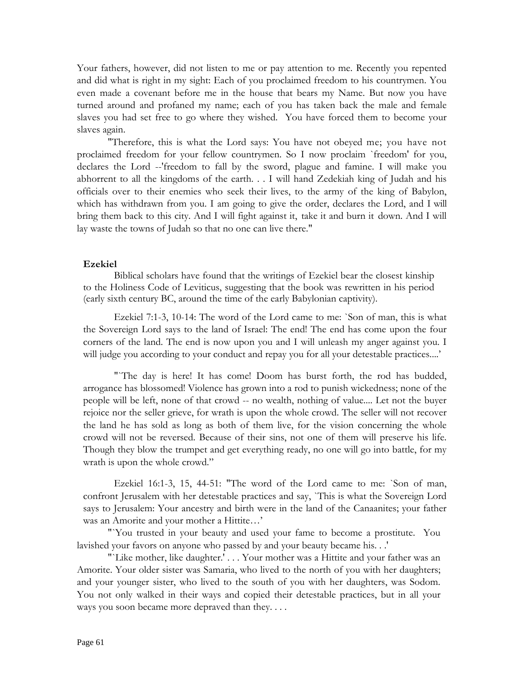Your fathers, however, did not listen to me or pay attention to me. Recently you repented and did what is right in my sight: Each of you proclaimed freedom to his countrymen. You even made a covenant before me in the house that bears my Name. But now you have turned around and profaned my name; each of you has taken back the male and female slaves you had set free to go where they wished. You have forced them to become your slaves again.

"Therefore, this is what the Lord says: You have not obeyed me; you have not proclaimed freedom for your fellow countrymen. So I now proclaim `freedom' for you, declares the Lord --'freedom to fall by the sword, plague and famine. I will make you abhorrent to all the kingdoms of the earth. . . I will hand Zedekiah king of Judah and his officials over to their enemies who seek their lives, to the army of the king of Babylon, which has withdrawn from you. I am going to give the order, declares the Lord, and I will bring them back to this city. And I will fight against it, take it and burn it down. And I will lay waste the towns of Judah so that no one can live there."

### **Ezekiel**

Biblical scholars have found that the writings of Ezekiel bear the closest kinship to the Holiness Code of Leviticus, suggesting that the book was rewritten in his period (early sixth century BC, around the time of the early Babylonian captivity).

Ezekiel 7:1-3, 10-14: The word of the Lord came to me: `Son of man, this is what the Sovereign Lord says to the land of Israel: The end! The end has come upon the four corners of the land. The end is now upon you and I will unleash my anger against you. I will judge you according to your conduct and repay you for all your detestable practices....'

"`The day is here! It has come! Doom has burst forth, the rod has budded, arrogance has blossomed! Violence has grown into a rod to punish wickedness; none of the people will be left, none of that crowd -- no wealth, nothing of value.... Let not the buyer rejoice nor the seller grieve, for wrath is upon the whole crowd. The seller will not recover the land he has sold as long as both of them live, for the vision concerning the whole crowd will not be reversed. Because of their sins, not one of them will preserve his life. Though they blow the trumpet and get everything ready, no one will go into battle, for my wrath is upon the whole crowd."

Ezekiel 16:1-3, 15, 44-51: "The word of the Lord came to me: `Son of man, confront Jerusalem with her detestable practices and say, `This is what the Sovereign Lord says to Jerusalem: Your ancestry and birth were in the land of the Canaanites; your father was an Amorite and your mother a Hittite...'

"`You trusted in your beauty and used your fame to become a prostitute. You lavished your favors on anyone who passed by and your beauty became his. . .'

"`Like mother, like daughter.' . . . Your mother was a Hittite and your father was an Amorite. Your older sister was Samaria, who lived to the north of you with her daughters; and your younger sister, who lived to the south of you with her daughters, was Sodom. You not only walked in their ways and copied their detestable practices, but in all your ways you soon became more depraved than they. . . .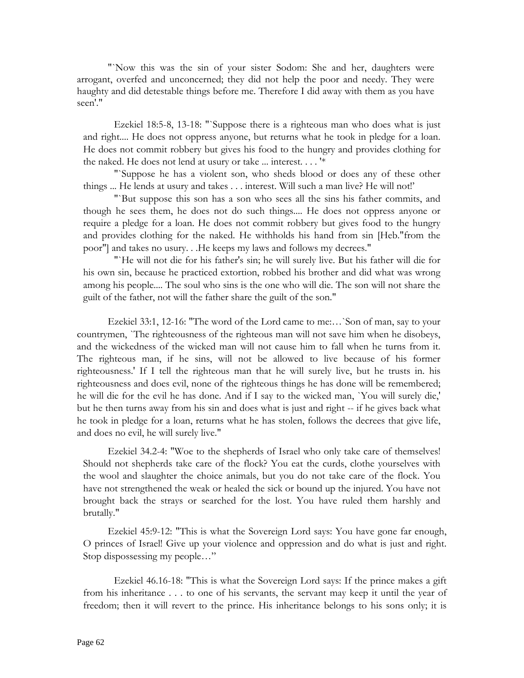"`Now this was the sin of your sister Sodom: She and her, daughters were arrogant, overfed and unconcerned; they did not help the poor and needy. They were haughty and did detestable things before me. Therefore I did away with them as you have seen'."

Ezekiel 18:5-8, 13-18: "`Suppose there is a righteous man who does what is just and right.... He does not oppress anyone, but returns what he took in pledge for a loan. He does not commit robbery but gives his food to the hungry and provides clothing for the naked. He does not lend at usury or take ... interest. . . . '\*

"`Suppose he has a violent son, who sheds blood or does any of these other things ... He lends at usury and takes . . . interest. Will such a man live? He will not!'

"`But suppose this son has a son who sees all the sins his father commits, and though he sees them, he does not do such things.... He does not oppress anyone or require a pledge for a loan. He does not commit robbery but gives food to the hungry and provides clothing for the naked. He withholds his hand from sin [Heb."from the poor"] and takes no usury. . .He keeps my laws and follows my decrees."

"`He will not die for his father's sin; he will surely live. But his father will die for his own sin, because he practiced extortion, robbed his brother and did what was wrong among his people.... The soul who sins is the one who will die. The son will not share the guilt of the father, not will the father share the guilt of the son."

Ezekiel 33:1, 12-16: "The word of the Lord came to me:…`Son of man, say to your countrymen, `The righteousness of the righteous man will not save him when he disobeys, and the wickedness of the wicked man will not cause him to fall when he turns from it. The righteous man, if he sins, will not be allowed to live because of his former righteousness.' If I tell the righteous man that he will surely live, but he trusts in. his righteousness and does evil, none of the righteous things he has done will be remembered; he will die for the evil he has done. And if I say to the wicked man, `You will surely die,' but he then turns away from his sin and does what is just and right -- if he gives back what he took in pledge for a loan, returns what he has stolen, follows the decrees that give life, and does no evil, he will surely live."

Ezekiel 34.2-4: "Woe to the shepherds of Israel who only take care of themselves! Should not shepherds take care of the flock? You eat the curds, clothe yourselves with the wool and slaughter the choice animals, but you do not take care of the flock. You have not strengthened the weak or healed the sick or bound up the injured. You have not brought back the strays or searched for the lost. You have ruled them harshly and brutally."

Ezekiel 45:9-12: "This is what the Sovereign Lord says: You have gone far enough, O princes of Israel! Give up your violence and oppression and do what is just and right. Stop dispossessing my people…"

Ezekiel 46.16-18: "This is what the Sovereign Lord says: If the prince makes a gift from his inheritance . . . to one of his servants, the servant may keep it until the year of freedom; then it will revert to the prince. His inheritance belongs to his sons only; it is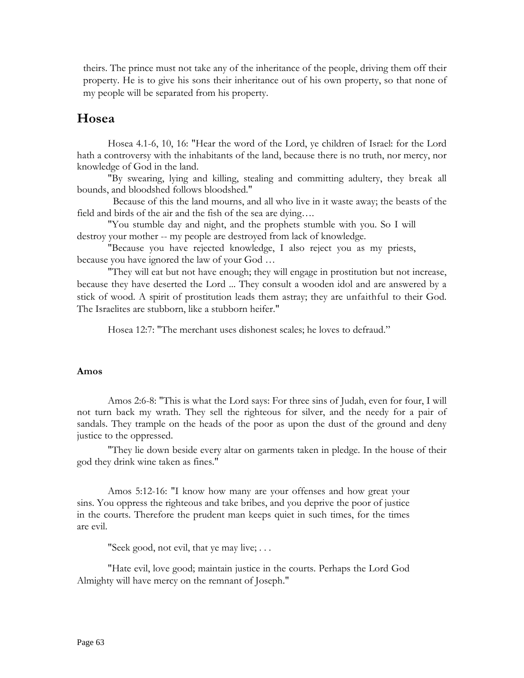theirs. The prince must not take any of the inheritance of the people, driving them off their property. He is to give his sons their inheritance out of his own property, so that none of my people will be separated from his property.

## **Hosea**

Hosea 4.1-6, 10, 16: "Hear the word of the Lord, ye children of Israel: for the Lord hath a controversy with the inhabitants of the land, because there is no truth, nor mercy, nor knowledge of God in the land.

"By swearing, lying and killing, stealing and committing adultery, they break all bounds, and bloodshed follows bloodshed."

Because of this the land mourns, and all who live in it waste away; the beasts of the field and birds of the air and the fish of the sea are dying….

"You stumble day and night, and the prophets stumble with you. So I will destroy your mother -- my people are destroyed from lack of knowledge.

"Because you have rejected knowledge, I also reject you as my priests, because you have ignored the law of your God …

"They will eat but not have enough; they will engage in prostitution but not increase, because they have deserted the Lord ... They consult a wooden idol and are answered by a stick of wood. A spirit of prostitution leads them astray; they are unfaithful to their God. The Israelites are stubborn, like a stubborn heifer."

Hosea 12:7: "The merchant uses dishonest scales; he loves to defraud."

### **Amos**

Amos 2:6-8: "This is what the Lord says: For three sins of Judah, even for four, I will not turn back my wrath. They sell the righteous for silver, and the needy for a pair of sandals. They trample on the heads of the poor as upon the dust of the ground and deny justice to the oppressed.

"They lie down beside every altar on garments taken in pledge. In the house of their god they drink wine taken as fines."

Amos 5:12-16: "I know how many are your offenses and how great your sins. You oppress the righteous and take bribes, and you deprive the poor of justice in the courts. Therefore the prudent man keeps quiet in such times, for the times are evil.

"Seek good, not evil, that ye may live; ...

"Hate evil, love good; maintain justice in the courts. Perhaps the Lord God Almighty will have mercy on the remnant of Joseph."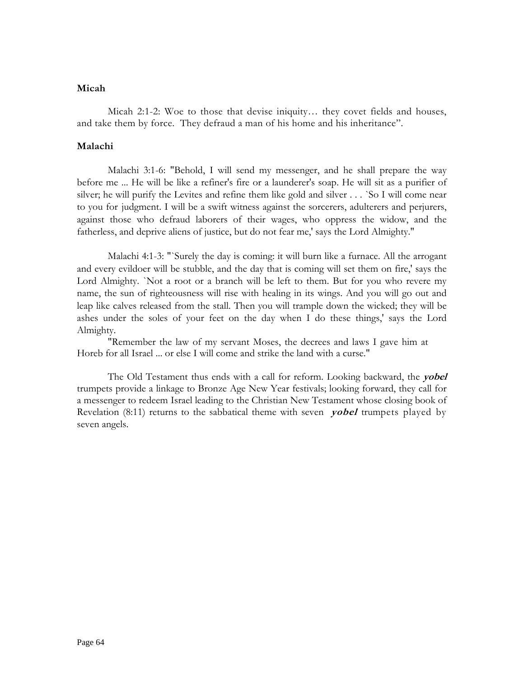#### **Micah**

Micah 2:1-2: Woe to those that devise iniquity… they covet fields and houses, and take them by force. They defraud a man of his home and his inheritance".

#### **Malachi**

Malachi 3:1-6: "Behold, I will send my messenger, and he shall prepare the way before me ... He will be like a refiner's fire or a launderer's soap. He will sit as a purifier of silver; he will purify the Levites and refine them like gold and silver . . . `So I will come near to you for judgment. I will be a swift witness against the sorcerers, adulterers and perjurers, against those who defraud laborers of their wages, who oppress the widow, and the fatherless, and deprive aliens of justice, but do not fear me,' says the Lord Almighty."

Malachi 4:1-3: "`Surely the day is coming: it will burn like a furnace. All the arrogant and every evildoer will be stubble, and the day that is coming will set them on fire,' says the Lord Almighty. `Not a root or a branch will be left to them. But for you who revere my name, the sun of righteousness will rise with healing in its wings. And you will go out and leap like calves released from the stall. Then you will trample down the wicked; they will be ashes under the soles of your feet on the day when I do these things,' says the Lord Almighty.

"Remember the law of my servant Moses, the decrees and laws I gave him at Horeb for all Israel ... or else I will come and strike the land with a curse."

The Old Testament thus ends with a call for reform. Looking backward, the **yobel** trumpets provide a linkage to Bronze Age New Year festivals; looking forward, they call for a messenger to redeem Israel leading to the Christian New Testament whose closing book of Revelation (8:11) returns to the sabbatical theme with seven **yobel** trumpets played by seven angels.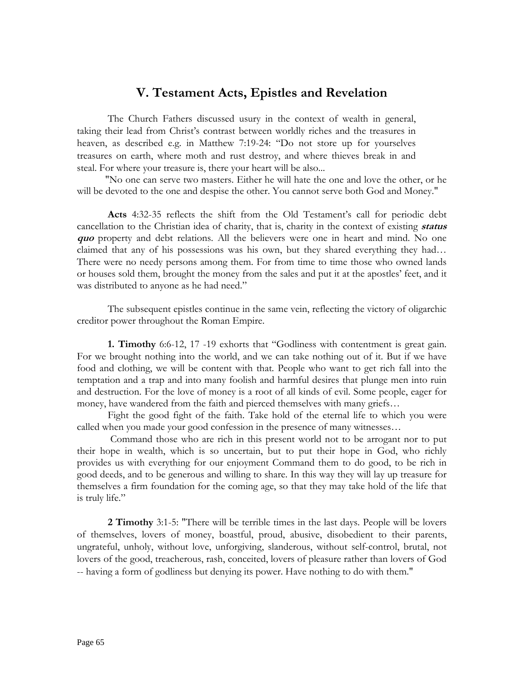## **V. Testament Acts, Epistles and Revelation**

The Church Fathers discussed usury in the context of wealth in general, taking their lead from Christ's contrast between worldly riches and the treasures in heaven, as described e.g. in Matthew 7:19-24: "Do not store up for yourselves treasures on earth, where moth and rust destroy, and where thieves break in and steal. For where your treasure is, there your heart will be also...

 "No one can serve two masters. Either he will hate the one and love the other, or he will be devoted to the one and despise the other. You cannot serve both God and Money."

**Acts** 4:32-35 reflects the shift from the Old Testament's call for periodic debt cancellation to the Christian idea of charity, that is, charity in the context of existing *status* **quo** property and debt relations. All the believers were one in heart and mind. No one claimed that any of his possessions was his own, but they shared everything they had… There were no needy persons among them. For from time to time those who owned lands or houses sold them, brought the money from the sales and put it at the apostles' feet, and it was distributed to anyone as he had need."

The subsequent epistles continue in the same vein, reflecting the victory of oligarchic creditor power throughout the Roman Empire.

**1. Timothy** 6:6-12, 17 -19 exhorts that "Godliness with contentment is great gain. For we brought nothing into the world, and we can take nothing out of it. But if we have food and clothing, we will be content with that. People who want to get rich fall into the temptation and a trap and into many foolish and harmful desires that plunge men into ruin and destruction. For the love of money is a root of all kinds of evil. Some people, eager for money, have wandered from the faith and pierced themselves with many griefs…

Fight the good fight of the faith. Take hold of the eternal life to which you were called when you made your good confession in the presence of many witnesses…

Command those who are rich in this present world not to be arrogant nor to put their hope in wealth, which is so uncertain, but to put their hope in God, who richly provides us with everything for our enjoyment Command them to do good, to be rich in good deeds, and to be generous and willing to share. In this way they will lay up treasure for themselves a firm foundation for the coming age, so that they may take hold of the life that is truly life."

**2 Timothy** 3:1-5: "There will be terrible times in the last days. People will be lovers of themselves, lovers of money, boastful, proud, abusive, disobedient to their parents, ungrateful, unholy, without love, unforgiving, slanderous, without self-control, brutal, not lovers of the good, treacherous, rash, conceited, lovers of pleasure rather than lovers of God -- having a form of godliness but denying its power. Have nothing to do with them."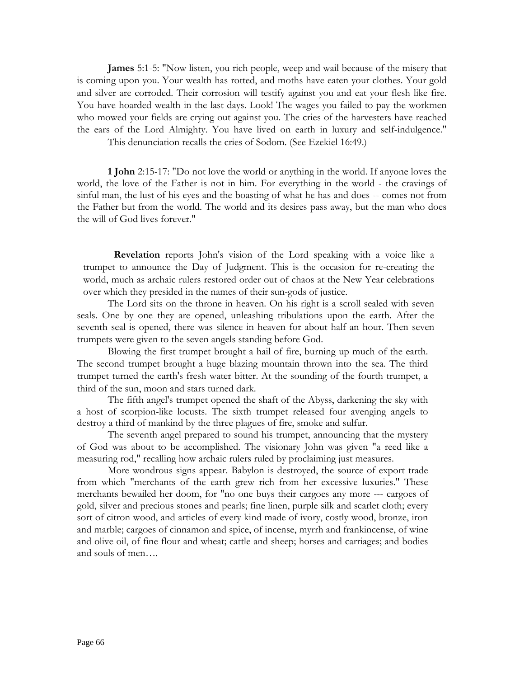**James** 5:1-5: "Now listen, you rich people, weep and wail because of the misery that is coming upon you. Your wealth has rotted, and moths have eaten your clothes. Your gold and silver are corroded. Their corrosion will testify against you and eat your flesh like fire. You have hoarded wealth in the last days. Look! The wages you failed to pay the workmen who mowed your fields are crying out against you. The cries of the harvesters have reached the ears of the Lord Almighty. You have lived on earth in luxury and self-indulgence."

This denunciation recalls the cries of Sodom. (See Ezekiel 16:49.)

**1 John** 2:15-17: "Do not love the world or anything in the world. If anyone loves the world, the love of the Father is not in him. For everything in the world - the cravings of sinful man, the lust of his eyes and the boasting of what he has and does -- comes not from the Father but from the world. The world and its desires pass away, but the man who does the will of God lives forever."

**Revelation** reports John's vision of the Lord speaking with a voice like a trumpet to announce the Day of Judgment. This is the occasion for re-creating the world, much as archaic rulers restored order out of chaos at the New Year celebrations over which they presided in the names of their sun-gods of justice.

The Lord sits on the throne in heaven. On his right is a scroll sealed with seven seals. One by one they are opened, unleashing tribulations upon the earth. After the seventh seal is opened, there was silence in heaven for about half an hour. Then seven trumpets were given to the seven angels standing before God.

Blowing the first trumpet brought a hail of fire, burning up much of the earth. The second trumpet brought a huge blazing mountain thrown into the sea. The third trumpet turned the earth's fresh water bitter. At the sounding of the fourth trumpet, a third of the sun, moon and stars turned dark.

The fifth angel's trumpet opened the shaft of the Abyss, darkening the sky with a host of scorpion-like locusts. The sixth trumpet released four avenging angels to destroy a third of mankind by the three plagues of fire, smoke and sulfur.

The seventh angel prepared to sound his trumpet, announcing that the mystery of God was about to be accomplished. The visionary John was given "a reed like a measuring rod," recalling how archaic rulers ruled by proclaiming just measures.

More wondrous signs appear. Babylon is destroyed, the source of export trade from which "merchants of the earth grew rich from her excessive luxuries." These merchants bewailed her doom, for "no one buys their cargoes any more --- cargoes of gold, silver and precious stones and pearls; fine linen, purple silk and scarlet cloth; every sort of citron wood, and articles of every kind made of ivory, costly wood, bronze, iron and marble; cargoes of cinnamon and spice, of incense, myrrh and frankincense, of wine and olive oil, of fine flour and wheat; cattle and sheep; horses and carriages; and bodies and souls of men….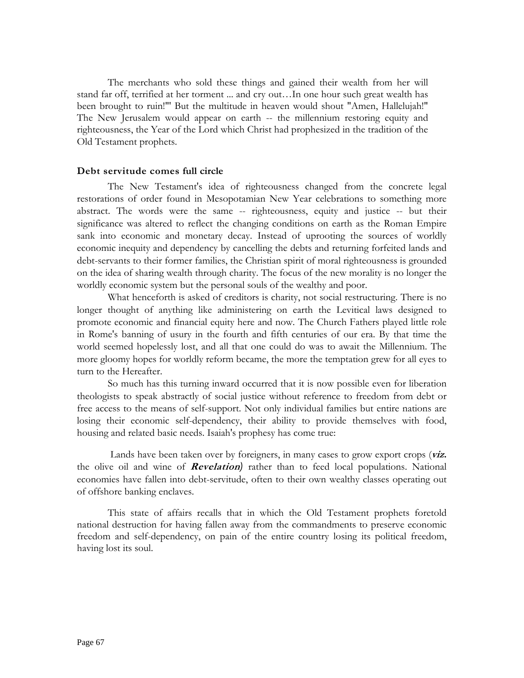The merchants who sold these things and gained their wealth from her will stand far off, terrified at her torment ... and cry out…In one hour such great wealth has been brought to ruin!"' But the multitude in heaven would shout "Amen, Hallelujah!" The New Jerusalem would appear on earth -- the millennium restoring equity and righteousness, the Year of the Lord which Christ had prophesized in the tradition of the Old Testament prophets.

### **Debt servitude comes full circle**

The New Testament's idea of righteousness changed from the concrete legal restorations of order found in Mesopotamian New Year celebrations to something more abstract. The words were the same -- righteousness, equity and justice -- but their significance was altered to reflect the changing conditions on earth as the Roman Empire sank into economic and monetary decay. Instead of uprooting the sources of worldly economic inequity and dependency by cancelling the debts and returning forfeited lands and debt-servants to their former families, the Christian spirit of moral righteousness is grounded on the idea of sharing wealth through charity. The focus of the new morality is no longer the worldly economic system but the personal souls of the wealthy and poor.

What henceforth is asked of creditors is charity, not social restructuring. There is no longer thought of anything like administering on earth the Levitical laws designed to promote economic and financial equity here and now. The Church Fathers played little role in Rome's banning of usury in the fourth and fifth centuries of our era. By that time the world seemed hopelessly lost, and all that one could do was to await the Millennium. The more gloomy hopes for worldly reform became, the more the temptation grew for all eyes to turn to the Hereafter.

So much has this turning inward occurred that it is now possible even for liberation theologists to speak abstractly of social justice without reference to freedom from debt or free access to the means of self-support. Not only individual families but entire nations are losing their economic self-dependency, their ability to provide themselves with food, housing and related basic needs. Isaiah's prophesy has come true:

Lands have been taken over by foreigners, in many cases to grow export crops (**viz.** the olive oil and wine of **Revelation***)* rather than to feed local populations. National economies have fallen into debt-servitude, often to their own wealthy classes operating out of offshore banking enclaves.

This state of affairs recalls that in which the Old Testament prophets foretold national destruction for having fallen away from the commandments to preserve economic freedom and self-dependency, on pain of the entire country losing its political freedom, having lost its soul.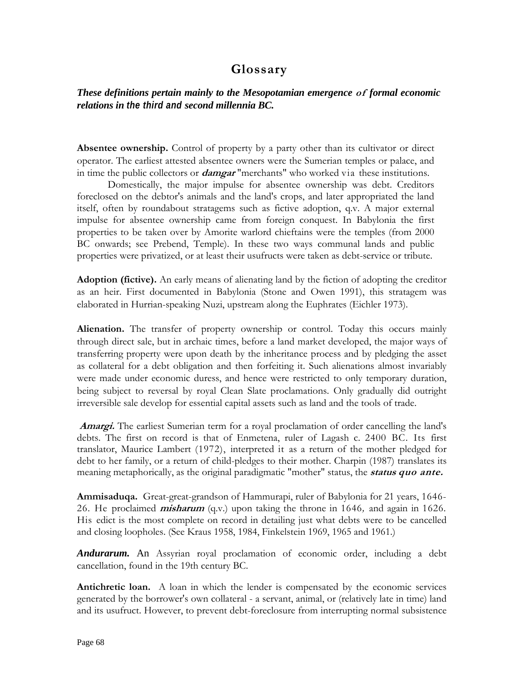# **Glossary**

## *These definitions pertain mainly to the Mesopotamian emergence* **of** *formal economic relations in the third and second millennia BC.*

**Absentee ownership.** Control of property by a party other than its cultivator or direct operator. The earliest attested absentee owners were the Sumerian temples or palace, and in time the public collectors or **damgar** "merchants" who worked via these institutions.

Domestically, the major impulse for absentee ownership was debt. Creditors foreclosed on the debtor's animals and the land's crops, and later appropriated the land itself, often by roundabout stratagems such as fictive adoption, q.v. A major external impulse for absentee ownership came from foreign conquest. In Babylonia the first properties to be taken over by Amorite warlord chieftains were the temples (from 2000 BC onwards; see Prebend, Temple). In these two ways communal lands and public properties were privatized, or at least their usufructs were taken as debt-service or tribute.

**Adoption (fictive).** An early means of alienating land by the fiction of adopting the creditor as an heir. First documented in Babylonia (Stone and Owen 1991), this stratagem was elaborated in Hurrian-speaking Nuzi, upstream along the Euphrates (Eichler 1973).

**Alienation.** The transfer of property ownership or control. Today this occurs mainly through direct sale, but in archaic times, before a land market developed, the major ways of transferring property were upon death by the inheritance process and by pledging the asset as collateral for a debt obligation and then forfeiting it. Such alienations almost invariably were made under economic duress, and hence were restricted to only temporary duration, being subject to reversal by royal Clean Slate proclamations. Only gradually did outright irreversible sale develop for essential capital assets such as land and the tools of trade.

**Amargi.** The earliest Sumerian term for a royal proclamation of order cancelling the land's debts. The first on record is that of Enmetena, ruler of Lagash c. 2400 BC. Its first translator, Maurice Lambert (1972), interpreted it as a return of the mother pledged for debt to her family, or a return of child-pledges to their mother. Charpin (1987) translates its meaning metaphorically, as the original paradigmatic "mother" status, the **status quo ante.**

**Ammisaduqa.** Great-great-grandson of Hammurapi, ruler of Babylonia for 21 years, 1646- 26. He proclaimed **misharum** (q.v.) upon taking the throne in 1646*,* and again in 1626*.*  His edict is the most complete on record in detailing just what debts were to be cancelled and closing loopholes. (See Kraus 1958, 1984, Finkelstein 1969, 1965 and 1961.)

*Andurarum.* An Assyrian royal proclamation of economic order, including a debt cancellation, found in the 19th century BC.

**Antichretic loan.** A loan in which the lender is compensated by the economic services generated by the borrower's own collateral - a servant, animal, or (relatively late in time) land and its usufruct. However, to prevent debt-foreclosure from interrupting normal subsistence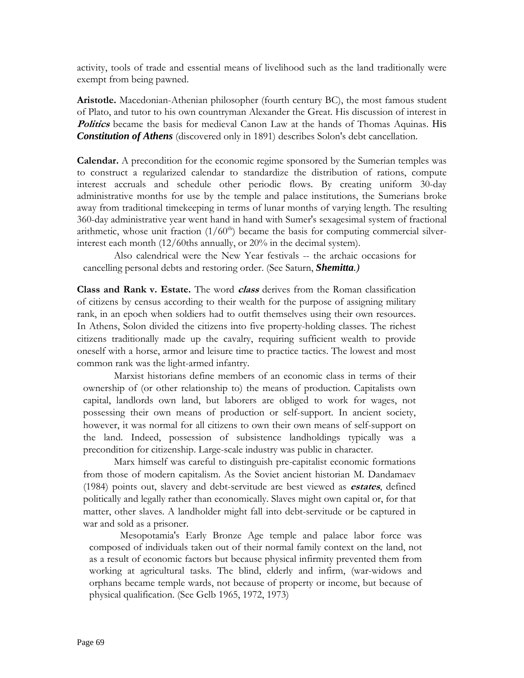activity, tools of trade and essential means of livelihood such as the land traditionally were exempt from being pawned.

**Aristotle.** Macedonian-Athenian philosopher (fourth century BC), the most famous student of Plato, and tutor to his own countryman Alexander the Great. His discussion of interest in **Politics** became the basis for medieval Canon Law at the hands of Thomas Aquinas. His *Constitution of Athens* (discovered only in 1891) describes Solon's debt cancellation.

**Calendar.** A precondition for the economic regime sponsored by the Sumerian temples was to construct a regularized calendar to standardize the distribution of rations, compute interest accruals and schedule other periodic flows. By creating uniform 30-day administrative months for use by the temple and palace institutions, the Sumerians broke away from traditional timekeeping in terms of lunar months of varying length. The resulting 360-day administrative year went hand in hand with Sumer's sexagesimal system of fractional arithmetic, whose unit fraction  $(1/60<sup>th</sup>)$  became the basis for computing commercial silverinterest each month (12/60ths annually, or 20% in the decimal system).

Also calendrical were the New Year festivals -- the archaic occasions for cancelling personal debts and restoring order. (See Saturn, *Shemitta.)*

**Class and Rank v. Estate.** The word **class** derives from the Roman classification of citizens by census according to their wealth for the purpose of assigning military rank, in an epoch when soldiers had to outfit themselves using their own resources. In Athens, Solon divided the citizens into five property-holding classes. The richest citizens traditionally made up the cavalry, requiring sufficient wealth to provide oneself with a horse, armor and leisure time to practice tactics. The lowest and most common rank was the light-armed infantry.

Marxist historians define members of an economic class in terms of their ownership of (or other relationship to) the means of production. Capitalists own capital, landlords own land, but laborers are obliged to work for wages, not possessing their own means of production or self-support. In ancient society, however, it was normal for all citizens to own their own means of self-support on the land. Indeed, possession of subsistence landholdings typically was a precondition for citizenship. Large-scale industry was public in character.

Marx himself was careful to distinguish pre-capitalist economic formations from those of modern capitalism. As the Soviet ancient historian M. Dandamaev (1984) points out, slavery and debt-servitude are best viewed as **estates**, defined politically and legally rather than economically. Slaves might own capital or, for that matter, other slaves. A landholder might fall into debt-servitude or be captured in war and sold as a prisoner.

Mesopotamia's Early Bronze Age temple and palace labor force was composed of individuals taken out of their normal family context on the land, not as a result of economic factors but because physical infirmity prevented them from working at agricultural tasks. The blind, elderly and infirm, (war-widows and orphans became temple wards, not because of property or income, but because of physical qualification. (See Gelb 1965, 1972, 1973)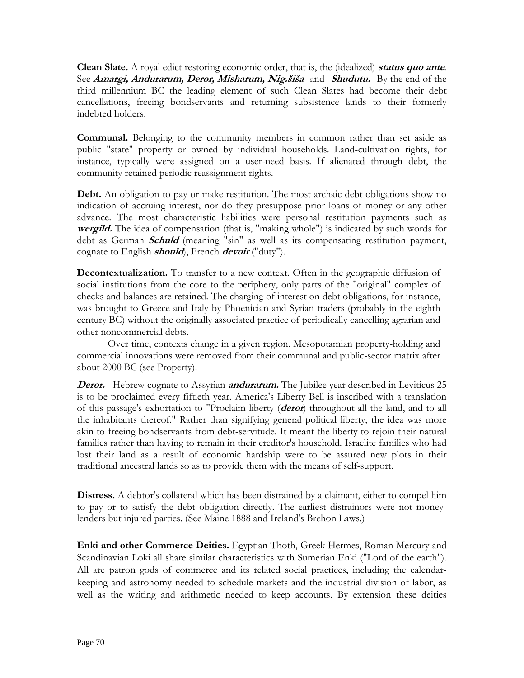**Clean Slate.** A royal edict restoring economic order, that is, the (idealized) **<sup>s</sup> atus quo ante***.* **t** See **Amargi, Andurarum, Deror, Misharum, Nig.šiša** and **Shudutu.** By the end of the third millennium BC the leading element of such Clean Slates had become their debt cancellations, freeing bondservants and returning subsistence lands to their formerly indebted holders.

**Communal.** Belonging to the community members in common rather than set aside as public "state" property or owned by individual households. Land-cultivation rights, for instance, typically were assigned on a user-need basis. If alienated through debt, the community retained periodic reassignment rights.

**Debt.** An obligation to pay or make restitution. The most archaic debt obligations show no indication of accruing interest, nor do they presuppose prior loans of money or any other advance. The most characteristic liabilities were personal restitution payments such as **wergild.** The idea of compensation (that is, "making whole") is indicated by such words for debt as German **Schuld** (meaning "sin" as well as its compensating restitution payment, cognate to English **should**), French **devoir** ("duty").

**Decontextualization.** To transfer to a new context. Often in the geographic diffusion of social institutions from the core to the periphery, only parts of the "original" complex of checks and balances are retained. The charging of interest on debt obligations, for instance, was brought to Greece and Italy by Phoenician and Syrian traders (probably in the eighth century BC) without the originally associated practice of periodically cancelling agrarian and other noncommercial debts.

Over time, contexts change in a given region. Mesopotamian property-holding and commercial innovations were removed from their communal and public-sector matrix after about 2000 BC (see Property).

**Deror.** Hebrew cognate to Assyrian **andurarum.** The Jubilee year described in Leviticus 25 is to be proclaimed every fiftieth year. America's Liberty Bell is inscribed with a translation of this passage's exhortation to "Proclaim liberty (**deror**) throughout all the land, and to all the inhabitants thereof." Rather than signifying general political liberty, the idea was more akin to freeing bondservants from debt-servitude. It meant the liberty to rejoin their natural families rather than having to remain in their creditor's household. Israelite families who had lost their land as a result of economic hardship were to be assured new plots in their traditional ancestral lands so as to provide them with the means of self-support.

**Distress.** A debtor's collateral which has been distrained by a claimant, either to compel him to pay or to satisfy the debt obligation directly. The earliest distrainors were not moneylenders but injured parties. (See Maine 1888 and Ireland's Brehon Laws.)

**Enki and other Commerce Deities.** Egyptian Thoth, Greek Hermes, Roman Mercury and Scandinavian Loki all share similar characteristics with Sumerian Enki ("Lord of the earth"). All are patron gods of commerce and its related social practices, including the calendarkeeping and astronomy needed to schedule markets and the industrial division of labor, as well as the writing and arithmetic needed to keep accounts. By extension these deities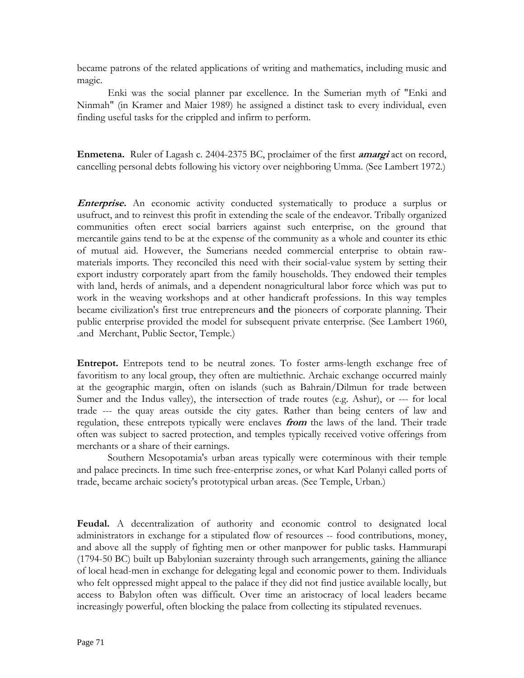became patrons of the related applications of writing and mathematics, including music and magic.

Enki was the social planner par excellence. In the Sumerian myth of "Enki and Ninmah" (in Kramer and Maier 1989) he assigned a distinct task to every individual, even finding useful tasks for the crippled and infirm to perform.

**Enmetena.** Ruler of Lagash c. 2404-2375 BC, proclaimer of the first **amargi** act on record, cancelling personal debts following his victory over neighboring Umma. (See Lambert 1972.)

Enterprise. An economic activity conducted systematically to produce a surplus or usufruct, and to reinvest this profit in extending the scale of the endeavor. Tribally organized communities often erect social barriers against such enterprise, on the ground that mercantile gains tend to be at the expense of the community as a whole and counter its ethic of mutual aid. However, the Sumerians needed commercial enterprise to obtain rawmaterials imports. They reconciled this need with their social-value system by setting their export industry corporately apart from the family households. They endowed their temples with land, herds of animals, and a dependent nonagricultural labor force which was put to work in the weaving workshops and at other handicraft professions. In this way temples became civilization's first true entrepreneurs and the pioneers of corporate planning. Their public enterprise provided the model for subsequent private enterprise. (See Lambert 1960, .and Merchant, Public Sector, Temple.)

**Entrepot.** Entrepots tend to be neutral zones. To foster arms-length exchange free of favoritism to any local group, they often are multiethnic. Archaic exchange occurred mainly at the geographic margin, often on islands (such as Bahrain/Dilmun for trade between Sumer and the Indus valley), the intersection of trade routes (e.g. Ashur), or --- for local trade --- the quay areas outside the city gates. Rather than being centers of law and regulation, these entrepots typically were enclaves **from** the laws of the land. Their trade often was subject to sacred protection, and temples typically received votive offerings from merchants or a share of their earnings.

Southern Mesopotamia's urban areas typically were coterminous with their temple and palace precincts. In time such free-enterprise zones, or what Karl Polanyi called ports of trade, became archaic society's prototypical urban areas. (See Temple, Urban.)

**Feudal.** A decentralization of authority and economic control to designated local administrators in exchange for a stipulated flow of resources -- food contributions, money, and above all the supply of fighting men or other manpower for public tasks. Hammurapi (1794-50 BC) built up Babylonian suzerainty through such arrangements, gaining the alliance of local head-men in exchange for delegating legal and economic power to them. Individuals who felt oppressed might appeal to the palace if they did not find justice available locally, but access to Babylon often was difficult. Over time an aristocracy of local leaders became increasingly powerful, often blocking the palace from collecting its stipulated revenues.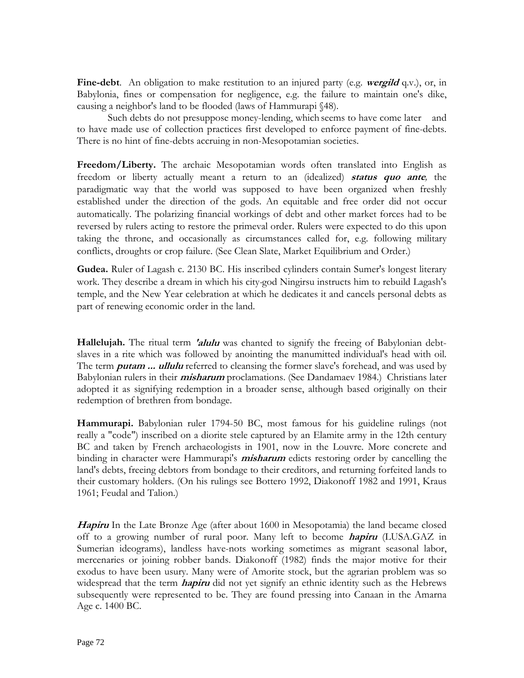**Fine-debt**. An obligation to make restitution to an injured party (e.g. **wergild** q.v.), or, in Babylonia, fines or compensation for negligence, e.g. the failure to maintain one's dike, causing a neighbor's land to be flooded (laws of Hammurapi §48).

Such debts do not presuppose money-lending, which seems to have come later and to have made use of collection practices first developed to enforce payment of fine-debts. There is no hint of fine-debts accruing in non-Mesopotamian societies.

**Freedom/Liberty.** The archaic Mesopotamian words often translated into English as freedom or liberty actually meant a return to an (idealized) **status quo ante***,* the paradigmatic way that the world was supposed to have been organized when freshly established under the direction of the gods. An equitable and free order did not occur automatically. The polarizing financial workings of debt and other market forces had to be reversed by rulers acting to restore the primeval order. Rulers were expected to do this upon taking the throne, and occasionally as circumstances called for, e.g. following military conflicts, droughts or crop failure. (See Clean Slate, Market Equilibrium and Order.)

**Gudea.** Ruler of Lagash c. 2130 BC. His inscribed cylinders contain Sumer's longest literary work. They describe a dream in which his city*-*god Ningirsu instructs him to rebuild Lagash's temple, and the New Year celebration at which he dedicates it and cancels personal debts as part of renewing economic order in the land.

**Hallelujah.** The ritual term **'alulu** was chanted to signify the freeing of Babylonian debtslaves in a rite which was followed by anointing the manumitted individual's head with oil. The term **putam ... ullulu** referred to cleansing the former slave's forehead, and was used by Babylonian rulers in their **misharum** proclamations. (See Dandamaev 1984.) Christians later adopted it as signifying redemption in a broader sense, although based originally on their redemption of brethren from bondage.

**Hammurapi.** Babylonian ruler 1794-50 BC, most famous for his guideline rulings (not really a "code") inscribed on a diorite stele captured by an Elamite army in the 12th century BC and taken by French archaeologists in 1901, now in the Louvre. More concrete and binding in character were Hammurapi's **misharum** edicts restoring order by cancelling the land's debts, freeing debtors from bondage to their creditors, and returning forfeited lands to their customary holders. (On his rulings see Bottero 1992, Diakonoff 1982 and 1991, Kraus 1961; Feudal and Talion.)

**Hapiru** In the Late Bronze Age (after about 1600 in Mesopotamia) the land became closed off to a growing number of rural poor. Many left to become **hapiru** (LUSA.GAZ in Sumerian ideograms), landless have-nots working sometimes as migrant seasonal labor, mercenaries or joining robber bands. Diakonoff (1982) finds the major motive for their exodus to have been usury. Many were of Amorite stock, but the agrarian problem was so widespread that the term **hapiru** did not yet signify an ethnic identity such as the Hebrews subsequently were represented to be. They are found pressing into Canaan in the Amarna Age c. 1400 BC.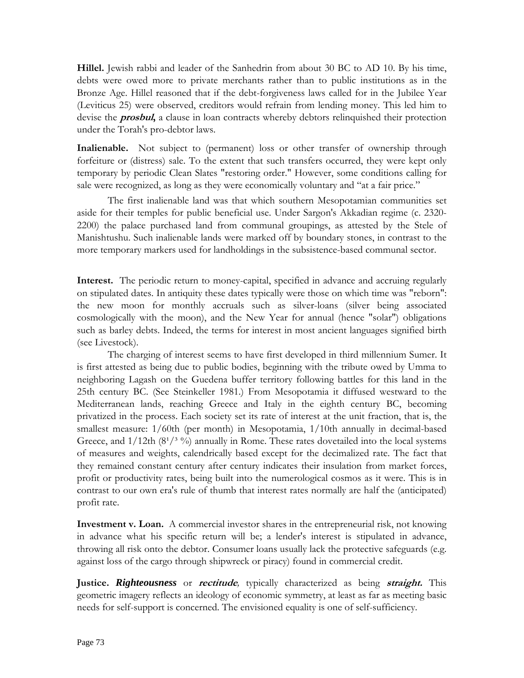**Hillel.** Jewish rabbi and leader of the Sanhedrin from about 30 BC to AD 10. By his time, debts were owed more to private merchants rather than to public institutions as in the Bronze Age. Hillel reasoned that if the debt-forgiveness laws called for in the Jubilee Year (Leviticus 25) were observed, creditors would refrain from lending money. This led him to devise the **prosbul,** a clause in loan contracts whereby debtors relinquished their protection under the Torah's pro-debtor laws.

**Inalienable.** Not subject to (permanent) loss or other transfer of ownership through forfeiture or (distress) sale. To the extent that such transfers occurred, they were kept only temporary by periodic Clean Slates "restoring order." However, some conditions calling for sale were recognized, as long as they were economically voluntary and "at a fair price."

The first inalienable land was that which southern Mesopotamian communities set aside for their temples for public beneficial use. Under Sargon's Akkadian regime (c. 2320- 2200) the palace purchased land from communal groupings, as attested by the Stele of Manishtushu. Such inalienable lands were marked off by boundary stones, in contrast to the more temporary markers used for landholdings in the subsistence-based communal sector.

**Interest.** The periodic return to money-capital, specified in advance and accruing regularly on stipulated dates. In antiquity these dates typically were those on which time was "reborn": the new moon for monthly accruals such as silver-loans (silver being associated cosmologically with the moon), and the New Year for annual (hence "solar") obligations such as barley debts. Indeed, the terms for interest in most ancient languages signified birth (see Livestock).

The charging of interest seems to have first developed in third millennium Sumer. It is first attested as being due to public bodies, beginning with the tribute owed by Umma to neighboring Lagash on the Guedena buffer territory following battles for this land in the 25th century BC. (See Steinkeller 1981.) From Mesopotamia it diffused westward to the Mediterranean lands, reaching Greece and Italy in the eighth century BC, becoming privatized in the process. Each society set its rate of interest at the unit fraction, that is, the smallest measure: 1/60th (per month) in Mesopotamia, 1/10th annually in decimal-based Greece, and  $1/12$ th  $(8^{1/3}$ %) annually in Rome. These rates dovetailed into the local systems of measures and weights, calendrically based except for the decimalized rate. The fact that they remained constant century after century indicates their insulation from market forces, profit or productivity rates, being built into the numerological cosmos as it were. This is in contrast to our own era's rule of thumb that interest rates normally are half the (anticipated) profit rate.

**Investment v. Loan.** A commercial investor shares in the entrepreneurial risk, not knowing in advance what his specific return will be; a lender's interest is stipulated in advance, throwing all risk onto the debtor. Consumer loans usually lack the protective safeguards (e.g. against loss of the cargo through shipwreck or piracy) found in commercial credit.

**Justice.** *Righteousness* or **rectitude***,* typically characterized as being **straight.** This geometric imagery reflects an ideology of economic symmetry, at least as far as meeting basic needs for self-support is concerned. The envisioned equality is one of self-sufficiency.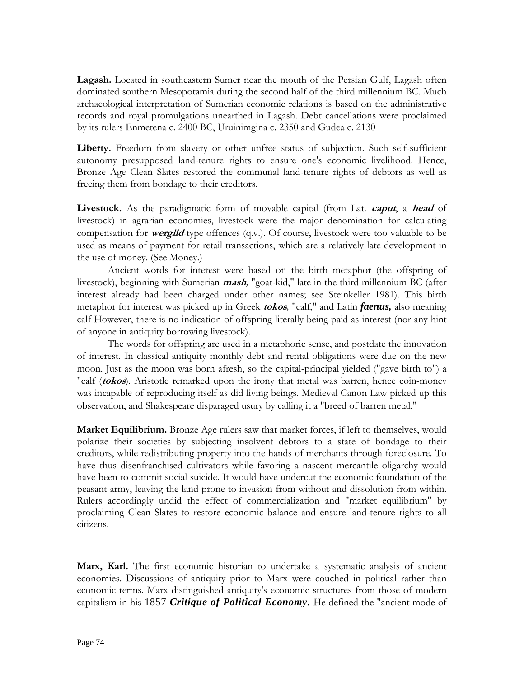**Lagash.** Located in southeastern Sumer near the mouth of the Persian Gulf, Lagash often dominated southern Mesopotamia during the second half of the third millennium BC. Much archaeological interpretation of Sumerian economic relations is based on the administrative records and royal promulgations unearthed in Lagash. Debt cancellations were proclaimed by its rulers Enmetena c. 2400 BC, Uruinimgina c. 2350 and Gudea c. 2130

**Liberty.** Freedom from slavery or other unfree status of subjection. Such self-sufficient autonomy presupposed land-tenure rights to ensure one's economic livelihood. Hence, Bronze Age Clean Slates restored the communal land-tenure rights of debtors as well as freeing them from bondage to their creditors.

**Livestock.** As the paradigmatic form of movable capital (from Lat. **caput**, a **head** of livestock) in agrarian economies, livestock were the major denomination for calculating compensation for **wergild**-type offences (q.v.). Of course, livestock were too valuable to be used as means of payment for retail transactions, which are a relatively late development in the use of money. (See Money.)

Ancient words for interest were based on the birth metaphor (the offspring of livestock), beginning with Sumerian **mash***,* "goat-kid," late in the third millennium BC (after interest already had been charged under other names; see Steinkeller 1981). This birth metaphor for interest was picked up in Greek **tokos***,* "calf," and Latin *faenus,* also meaning calf However, there is no indication of offspring literally being paid as interest (nor any hint of anyone in antiquity borrowing livestock).

The words for offspring are used in a metaphoric sense, and postdate the innovation of interest. In classical antiquity monthly debt and rental obligations were due on the new moon. Just as the moon was born afresh, so the capital-principal yielded ("gave birth to") a "calf (**tokos**). Aristotle remarked upon the irony that metal was barren, hence coin-money was incapable of reproducing itself as did living beings. Medieval Canon Law picked up this observation, and Shakespeare disparaged usury by calling it a "breed of barren metal."

**Market Equilibrium.** Bronze Age rulers saw that market forces, if left to themselves, would polarize their societies by subjecting insolvent debtors to a state of bondage to their creditors, while redistributing property into the hands of merchants through foreclosure. To have thus disenfranchised cultivators while favoring a nascent mercantile oligarchy would have been to commit social suicide. It would have undercut the economic foundation of the peasant-army, leaving the land prone to invasion from without and dissolution from within. Rulers accordingly undid the effect of commercialization and "market equilibrium" by proclaiming Clean Slates to restore economic balance and ensure land-tenure rights to all citizens.

**Marx, Karl.** The first economic historian to undertake a systematic analysis of ancient economies. Discussions of antiquity prior to Marx were couched in political rather than economic terms. Marx distinguished antiquity's economic structures from those of modern capitalism in his 1857 *Critique of Political Economy.* He defined the "ancient mode of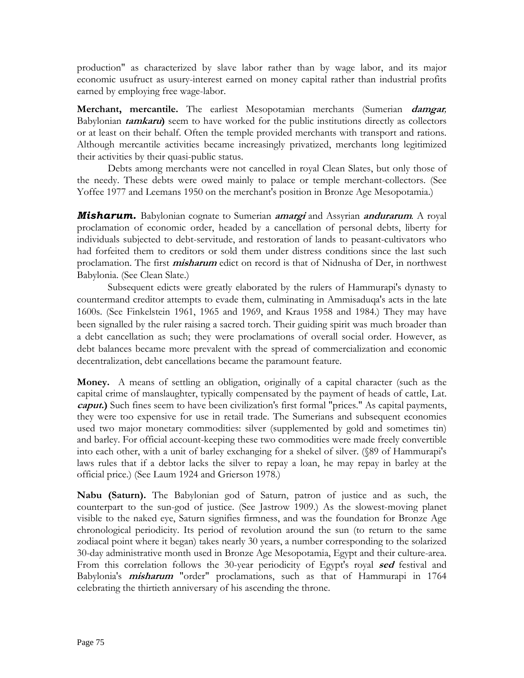production" as characterized by slave labor rather than by wage labor, and its major economic usufruct as usury-interest earned on money capital rather than industrial profits earned by employing free wage-labor.

**Merchant, mercantile.** The earliest Mesopotamian merchants (Sumerian **damgar***,* Babylonian **tamkaru)** seem to have worked for the public institutions directly as collectors or at least on their behalf. Often the temple provided merchants with transport and rations. Although mercantile activities became increasingly privatized, merchants long legitimized their activities by their quasi-public status.

Debts among merchants were not cancelled in royal Clean Slates, but only those of the needy. These debts were owed mainly to palace or temple merchant-collectors. (See Yoffee 1977 and Leemans 1950 on the merchant's position in Bronze Age Mesopotamia.)

*Misharum.* Babylonian cognate to Sumerian **amargi** and Assyrian **andurarum***.* A royal proclamation of economic order, headed by a cancellation of personal debts, liberty for individuals subjected to debt-servitude, and restoration of lands to peasant-cultivators who had forfeited them to creditors or sold them under distress conditions since the last such proclamation. The first **misharum** edict on record is that of Nidnusha of Der, in northwest Babylonia. (See Clean Slate.)

Subsequent edicts were greatly elaborated by the rulers of Hammurapi's dynasty to countermand creditor attempts to evade them, culminating in Ammisaduqa's acts in the late 1600s. (See Finkelstein 1961, 1965 and 1969, and Kraus 1958 and 1984.) They may have been signalled by the ruler raising a sacred torch. Their guiding spirit was much broader than a debt cancellation as such; they were proclamations of overall social order. However, as debt balances became more prevalent with the spread of commercialization and economic decentralization, debt cancellations became the paramount feature.

**Money.** A means of settling an obligation, originally of a capital character (such as the capital crime of manslaughter, typically compensated by the payment of heads of cattle, Lat. **caput.)** Such fines seem to have been civilization's first formal "prices." As capital payments, they were too expensive for use in retail trade. The Sumerians and subsequent economies used two major monetary commodities: silver (supplemented by gold and sometimes tin) and barley. For official account-keeping these two commodities were made freely convertible into each other, with a unit of barley exchanging for a shekel of silver. (§89 of Hammurapi's laws rules that if a debtor lacks the silver to repay a loan, he may repay in barley at the official price.) (See Laum 1924 and Grierson 1978.)

**Nabu (Saturn).** The Babylonian god of Saturn, patron of justice and as such, the counterpart to the sun-god of justice. (See Jastrow 1909.) As the slowest-moving planet visible to the naked eye, Saturn signifies firmness, and was the foundation for Bronze Age chronological periodicity. Its period of revolution around the sun (to return to the same zodiacal point where it began) takes nearly 30 years, a number corresponding to the solarized 30-day administrative month used in Bronze Age Mesopotamia, Egypt and their culture-area. From this correlation follows the 30-year periodicity of Egypt's royal **sed** festival and Babylonia's **misharum** "order" proclamations, such as that of Hammurapi in 1764 celebrating the thirtieth anniversary of his ascending the throne.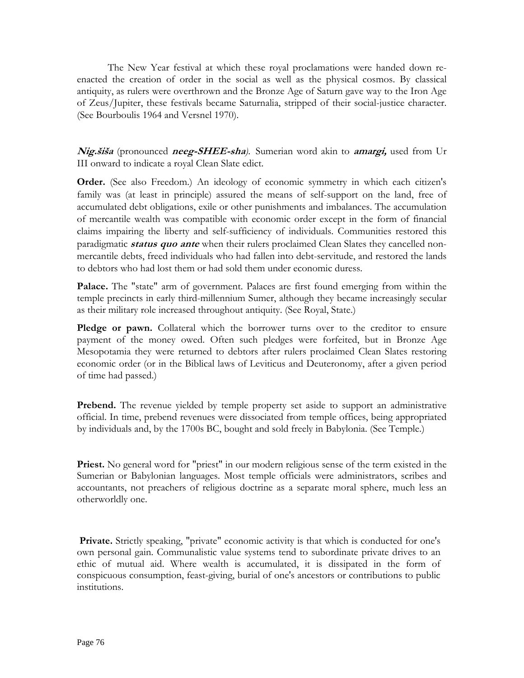The New Year festival at which these royal proclamations were handed down reenacted the creation of order in the social as well as the physical cosmos. By classical antiquity, as rulers were overthrown and the Bronze Age of Saturn gave way to the Iron Age of Zeus/Jupiter, these festivals became Saturnalia, stripped of their social-justice character. (See Bourboulis 1964 and Versnel 1970).

**Nig.šiša** (pronounced **neeg-SHEE-sha***).* Sumerian word akin to **amargi,** used from Ur III onward to indicate a royal Clean Slate edict.

**Order.** (See also Freedom.) An ideology of economic symmetry in which each citizen's family was (at least in principle) assured the means of self-support on the land, free of accumulated debt obligations, exile or other punishments and imbalances. The accumulation of mercantile wealth was compatible with economic order except in the form of financial claims impairing the liberty and self-sufficiency of individuals. Communities restored this paradigmatic **status quo ante** when their rulers proclaimed Clean Slates they cancelled nonmercantile debts, freed individuals who had fallen into debt-servitude, and restored the lands to debtors who had lost them or had sold them under economic duress.

**Palace.** The "state" arm of government. Palaces are first found emerging from within the temple precincts in early third-millennium Sumer, although they became increasingly secular as their military role increased throughout antiquity. (See Royal, State.)

**Pledge or pawn.** Collateral which the borrower turns over to the creditor to ensure payment of the money owed. Often such pledges were forfeited, but in Bronze Age Mesopotamia they were returned to debtors after rulers proclaimed Clean Slates restoring economic order (or in the Biblical laws of Leviticus and Deuteronomy, after a given period of time had passed.)

**Prebend.** The revenue yielded by temple property set aside to support an administrative official. In time, prebend revenues were dissociated from temple offices, being appropriated by individuals and, by the 1700s BC, bought and sold freely in Babylonia. (See Temple.)

Priest. No general word for "priest" in our modern religious sense of the term existed in the Sumerian or Babylonian languages. Most temple officials were administrators, scribes and accountants, not preachers of religious doctrine as a separate moral sphere, much less an otherworldly one.

**Private.** Strictly speaking, "private" economic activity is that which is conducted for one's own personal gain. Communalistic value systems tend to subordinate private drives to an ethic of mutual aid. Where wealth is accumulated, it is dissipated in the form of conspicuous consumption, feast-giving, burial of one's ancestors or contributions to public institutions.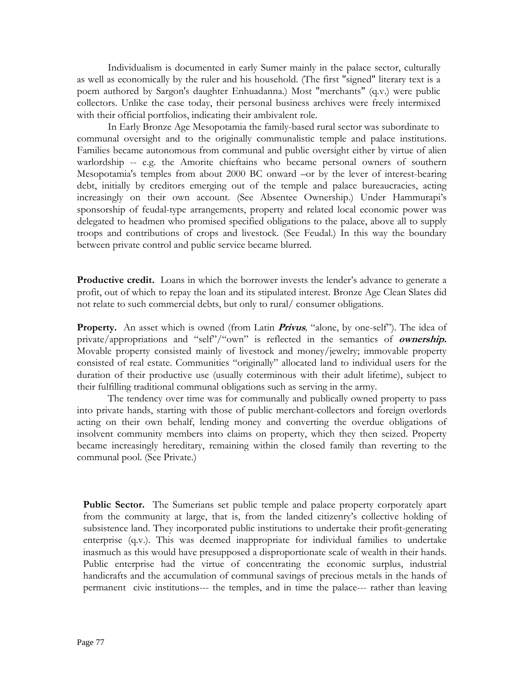Individualism is documented in early Sumer mainly in the palace sector, culturally as well as economically by the ruler and his household. (The first "signed" literary text is a poem authored by Sargon's daughter Enhuadanna.) Most "merchants" (q.v.) were public collectors. Unlike the case today, their personal business archives were freely intermixed with their official portfolios, indicating their ambivalent role.

In Early Bronze Age Mesopotamia the family-based rural sector was subordinate to communal oversight and to the originally communalistic temple and palace institutions. Families became autonomous from communal and public oversight either by virtue of alien warlordship -- e.g. the Amorite chieftains who became personal owners of southern Mesopotamia's temples from about 2000 BC onward –or by the lever of interest-bearing debt, initially by creditors emerging out of the temple and palace bureaucracies, acting increasingly on their own account. (See Absentee Ownership.) Under Hammurapi's sponsorship of feudal-type arrangements, property and related local economic power was delegated to headmen who promised specified obligations to the palace, above all to supply troops and contributions of crops and livestock. (See Feudal.) In this way the boundary between private control and public service became blurred.

**Productive credit.** Loans in which the borrower invests the lender's advance to generate a profit, out of which to repay the loan and its stipulated interest. Bronze Age Clean Slates did not relate to such commercial debts, but only to rural/ consumer obligations.

**Property.** An asset which is owned (from Latin **Privus***,* "alone, by one-self"). The idea of private/appropriations and "self"/"own" is reflected in the semantics of **ownership.** Movable property consisted mainly of livestock and money/jewelry; immovable property consisted of real estate. Communities "originally" allocated land to individual users for the duration of their productive use (usually coterminous with their adult lifetime), subject to their fulfilling traditional communal obligations such as serving in the army.

The tendency over time was for communally and publically owned property to pass into private hands, starting with those of public merchant-collectors and foreign overlords acting on their own behalf, lending money and converting the overdue obligations of insolvent community members into claims on property, which they then seized. Property became increasingly hereditary, remaining within the closed family than reverting to the communal pool. (See Private.)

Public Sector. The Sumerians set public temple and palace property corporately apart from the community at large, that is, from the landed citizenry's collective holding of subsistence land. They incorporated public institutions to undertake their profit-generating enterprise (q.v.). This was deemed inappropriate for individual families to undertake inasmuch as this would have presupposed a disproportionate scale of wealth in their hands. Public enterprise had the virtue of concentrating the economic surplus, industrial handicrafts and the accumulation of communal savings of precious metals in the hands of permanent civic institutions--- the temples, and in time the palace--- rather than leaving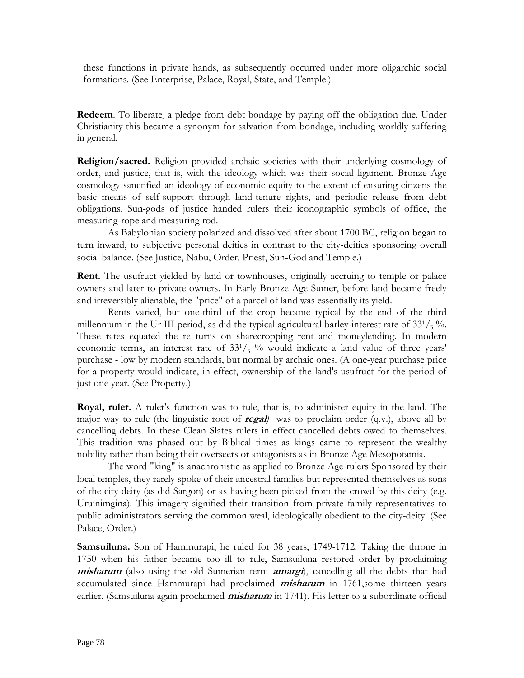these functions in private hands, as subsequently occurred under more oligarchic social formations. (See Enterprise, Palace, Royal, State, and Temple.)

Redeem. To liberate a pledge from debt bondage by paying off the obligation due. Under Christianity this became a synonym for salvation from bondage, including worldly suffering in general.

**Religion/sacred.** Religion provided archaic societies with their underlying cosmology of order, and justice, that is, with the ideology which was their social ligament. Bronze Age cosmology sanctified an ideology of economic equity to the extent of ensuring citizens the basic means of self-support through land-tenure rights, and periodic release from debt obligations. Sun-gods of justice handed rulers their iconographic symbols of office, the measuring-rope and measuring rod.

As Babylonian society polarized and dissolved after about 1700 BC, religion began to turn inward, to subjective personal deities in contrast to the city-deities sponsoring overall social balance. (See Justice, Nabu, Order, Priest, Sun-God and Temple.)

**Rent.** The usufruct yielded by land or townhouses, originally accruing to temple or palace owners and later to private owners. In Early Bronze Age Sumer, before land became freely and irreversibly alienable, the "price" of a parcel of land was essentially its yield.

Rents varied, but one-third of the crop became typical by the end of the third millennium in the Ur III period, as did the typical agricultural barley-interest rate of  $33^{1}/3$ %. These rates equated the re turns on sharecropping rent and moneylending. In modern economic terms, an interest rate of  $33^{1}/_{3}$  % would indicate a land value of three years' purchase - low by modern standards, but normal by archaic ones. (A one-year purchase price for a property would indicate, in effect, ownership of the land's usufruct for the period of just one year. (See Property.)

**Royal, ruler.** A ruler's function was to rule, that is, to administer equity in the land. The major way to rule (the linguistic root of **regal***)* was to proclaim order (q.v.), above all by cancelling debts. In these Clean Slates rulers in effect cancelled debts owed to themselves. This tradition was phased out by Biblical times as kings came to represent the wealthy nobility rather than being their overseers or antagonists as in Bronze Age Mesopotamia.

The word "king" is anachronistic as applied to Bronze Age rulers Sponsored by their local temples, they rarely spoke of their ancestral families but represented themselves as sons of the city-deity (as did Sargon) or as having been picked from the crowd by this deity (e.g. Uruinimgina). This imagery signified their transition from private family representatives to public administrators serving the common weal, ideologically obedient to the city-deity. (See Palace, Order.)

**Samsuiluna.** Son of Hammurapi, he ruled for 38 years, 1749-1712. Taking the throne in 1750 when his father became too ill to rule, Samsuiluna restored order by proclaiming **misharum** (also using the old Sumerian term **amargi**), cancelling all the debts that had accumulated since Hammurapi had proclaimed **misharum** in 1761,some thirteen years earlier. (Samsuiluna again proclaimed **misharum** in 1741). His letter to a subordinate official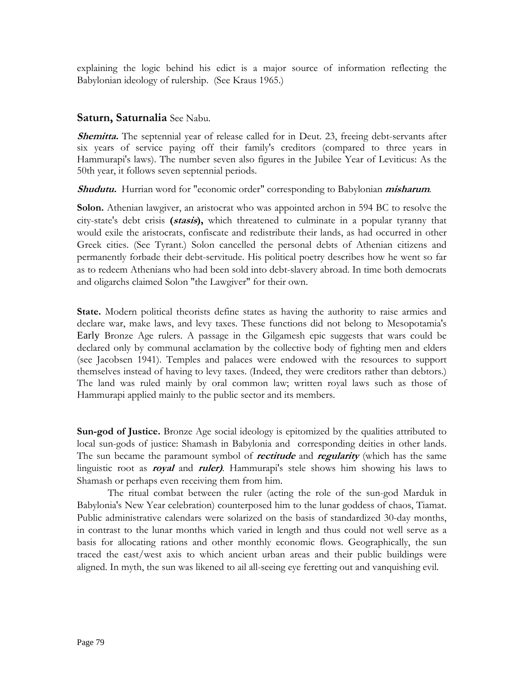explaining the logic behind his edict is a major source of information reflecting the Babylonian ideology of rulership. (See Kraus 1965.)

## **Saturn, Saturnalia** See Nabu.

**Shemitta.** The septennial year of release called for in Deut. 23, freeing debt-servants after six years of service paying off their family's creditors (compared to three years in Hammurapi's laws). The number seven also figures in the Jubilee Year of Leviticus: As the 50th year, it follows seven septennial periods.

**Shudutu.** Hurrian word for "economic order" corresponding to Babylonian **misharum***.* 

**Solon.** Athenian lawgiver, an aristocrat who was appointed archon in 594 BC to resolve the city-state's debt crisis **(stasis),** which threatened to culminate in a popular tyranny that would exile the aristocrats, confiscate and redistribute their lands, as had occurred in other Greek cities. (See Tyrant.) Solon cancelled the personal debts of Athenian citizens and permanently forbade their debt-servitude. His political poetry describes how he went so far as to redeem Athenians who had been sold into debt-slavery abroad. In time both democrats and oligarchs claimed Solon "the Lawgiver" for their own.

**State.** Modern political theorists define states as having the authority to raise armies and declare war, make laws, and levy taxes. These functions did not belong to Mesopotamia's Early Bronze Age rulers. A passage in the Gilgamesh epic suggests that wars could be declared only by communal acclamation by the collective body of fighting men and elders (see Jacobsen 1941). Temples and palaces were endowed with the resources to support themselves instead of having to levy taxes. (Indeed, they were creditors rather than debtors.) The land was ruled mainly by oral common law; written royal laws such as those of Hammurapi applied mainly to the public sector and its members.

**Sun-god of Justice.** Bronze Age social ideology is epitomized by the qualities attributed to local sun-gods of justice: Shamash in Babylonia and corresponding deities in other lands. The sun became the paramount symbol of **rectitude** and **regularity** (which has the same linguistic root as **royal** and **ruler)**. Hammurapi's stele shows him showing his laws to Shamash or perhaps even receiving them from him.

The ritual combat between the ruler (acting the role of the sun-god Marduk in Babylonia's New Year celebration) counterposed him to the lunar goddess of chaos, Tiamat. Public administrative calendars were solarized on the basis of standardized 30-day months, in contrast to the lunar months which varied in length and thus could not well serve as a basis for allocating rations and other monthly economic flows. Geographically, the sun traced the east/west axis to which ancient urban areas and their public buildings were aligned. In myth, the sun was likened to ail all-seeing eye feretting out and vanquishing evil.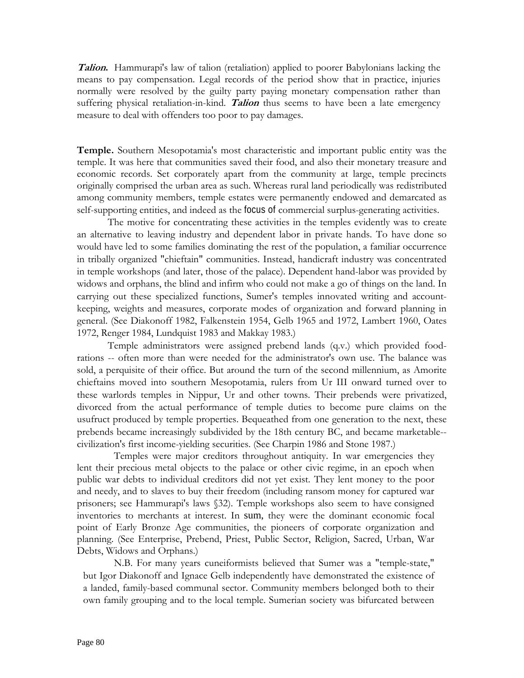**Talion.** Hammurapi's law of talion (retaliation) applied to poorer Babylonians lacking the means to pay compensation. Legal records of the period show that in practice, injuries normally were resolved by the guilty party paying monetary compensation rather than suffering physical retaliation-in-kind. **Talion** thus seems to have been a late emergency measure to deal with offenders too poor to pay damages.

**Temple.** Southern Mesopotamia's most characteristic and important public entity was the temple. It was here that communities saved their food, and also their monetary treasure and economic records. Set corporately apart from the community at large, temple precincts originally comprised the urban area as such. Whereas rural land periodically was redistributed among community members, temple estates were permanently endowed and demarcated as self-supporting entities, and indeed as the focus of commercial surplus-generating activities.

The motive for concentrating these activities in the temples evidently was to create an alternative to leaving industry and dependent labor in private hands. To have done so would have led to some families dominating the rest of the population, a familiar occurrence in tribally organized "chieftain" communities. Instead, handicraft industry was concentrated in temple workshops (and later, those of the palace). Dependent hand-labor was provided by widows and orphans, the blind and infirm who could not make a go of things on the land. In carrying out these specialized functions, Sumer's temples innovated writing and accountkeeping, weights and measures, corporate modes of organization and forward planning in general. (See Diakonoff 1982, Falkenstein 1954, Gelb 1965 and 1972, Lambert 1960, Oates 1972, Renger 1984, Lundquist 1983 and Makkay 1983.)

Temple administrators were assigned prebend lands (q.v.) which provided foodrations -- often more than were needed for the administrator's own use. The balance was sold, a perquisite of their office. But around the turn of the second millennium, as Amorite chieftains moved into southern Mesopotamia, rulers from Ur III onward turned over to these warlords temples in Nippur, Ur and other towns. Their prebends were privatized, divorced from the actual performance of temple duties to become pure claims on the usufruct produced by temple properties. Bequeathed from one generation to the next, these prebends became increasingly subdivided by the 18th century BC, and became marketable- civilization's first income-yielding securities. (See Charpin 1986 and Stone 1987.)

Temples were major creditors throughout antiquity. In war emergencies they lent their precious metal objects to the palace or other civic regime, in an epoch when public war debts to individual creditors did not yet exist. They lent money to the poor and needy, and to slaves to buy their freedom (including ransom money for captured war prisoners; see Hammurapi's laws §32). Temple workshops also seem to have consigned inventories to merchants at interest. In sum, they were the dominant economic focal point of Early Bronze Age communities, the pioneers of corporate organization and planning. (See Enterprise, Prebend, Priest, Public Sector, Religion, Sacred, Urban, War Debts, Widows and Orphans.)

N.B. For many years cuneiformists believed that Sumer was a "temple-state," but Igor Diakonoff and Ignace Gelb independently have demonstrated the existence of a landed, family-based communal sector. Community members belonged both to their own family grouping and to the local temple. Sumerian society was bifurcated between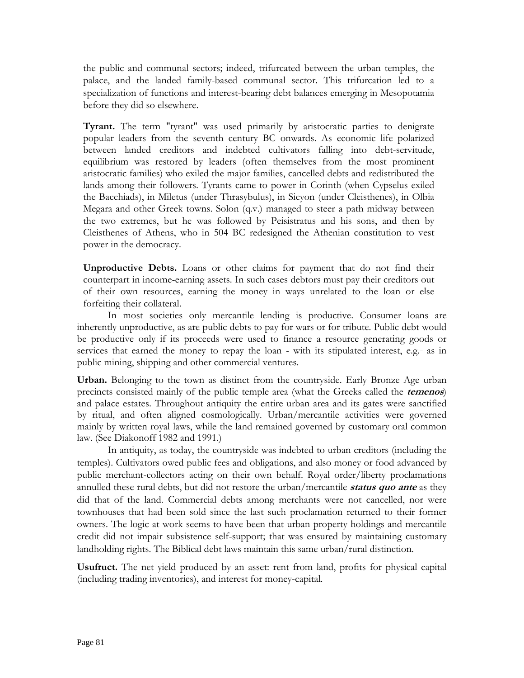the public and communal sectors; indeed, trifurcated between the urban temples, the palace, and the landed family-based communal sector. This trifurcation led to a specialization of functions and interest-bearing debt balances emerging in Mesopotamia before they did so elsewhere.

**Tyrant.** The term "tyrant" was used primarily by aristocratic parties to denigrate popular leaders from the seventh century BC onwards. As economic life polarized between landed creditors and indebted cultivators falling into debt-servitude, equilibrium was restored by leaders (often themselves from the most prominent aristocratic families) who exiled the major families, cancelled debts and redistributed the lands among their followers. Tyrants came to power in Corinth (when Cypselus exiled the Bacchiads), in Miletus (under Thrasybulus), in Sicyon (under Cleisthenes), in Olbia Megara and other Greek towns. Solon (q.v.) managed to steer a path midway between the two extremes, but he was followed by Peisistratus and his sons, and then by Cleisthenes of Athens, who in 504 BC redesigned the Athenian constitution to vest power in the democracy.

**Unproductive Debts.** Loans or other claims for payment that do not find their counterpart in income-earning assets. In such cases debtors must pay their creditors out of their own resources, earning the money in ways unrelated to the loan or else forfeiting their collateral.

In most societies only mercantile lending is productive. Consumer loans are inherently unproductive, as are public debts to pay for wars or for tribute. Public debt would be productive only if its proceeds were used to finance a resource generating goods or services that earned the money to repay the loan - with its stipulated interest, e.g.- as in public mining, shipping and other commercial ventures.

**Urban.** Belonging to the town as distinct from the countryside. Early Bronze Age urban precincts consisted mainly of the public temple area (what the Greeks called the **temenos**) and palace estates. Throughout antiquity the entire urban area and its gates were sanctified by ritual, and often aligned cosmologically. Urban/mercantile activities were governed mainly by written royal laws, while the land remained governed by customary oral common law. (See Diakonoff 1982 and 1991.)

In antiquity, as today, the countryside was indebted to urban creditors (including the temples). Cultivators owed public fees and obligations, and also money or food advanced by public merchant-collectors acting on their own behalf. Royal order/liberty proclamations annulled these rural debts, but did not restore the urban/mercantile **status quo ante** as they did that of the land. Commercial debts among merchants were not cancelled, nor were townhouses that had been sold since the last such proclamation returned to their former owners. The logic at work seems to have been that urban property holdings and mercantile credit did not impair subsistence self-support; that was ensured by maintaining customary landholding rights. The Biblical debt laws maintain this same urban/rural distinction.

**Usufruct.** The net yield produced by an asset: rent from land, profits for physical capital (including trading inventories), and interest for money-capital.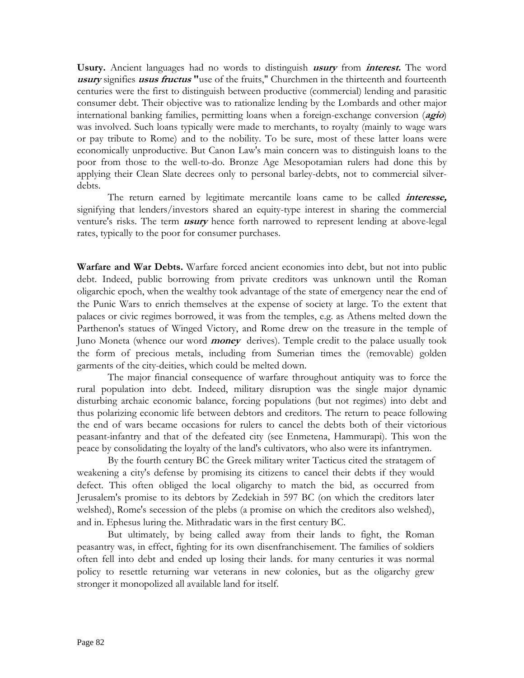**Usury.** Ancient languages had no words to distinguish **usury** from **interest.** The word **usury** signifies **usus fructus "**use of the fruits," Churchmen in the thirteenth and fourteenth centuries were the first to distinguish between productive (commercial) lending and parasitic consumer debt. Their objective was to rationalize lending by the Lombards and other major international banking families, permitting loans when a foreign-exchange conversion (**agio**) was involved. Such loans typically were made to merchants, to royalty (mainly to wage wars or pay tribute to Rome) and to the nobility. To be sure, most of these latter loans were economically unproductive. But Canon Law's main concern was to distinguish loans to the poor from those to the well-to-do. Bronze Age Mesopotamian rulers had done this by applying their Clean Slate decrees only to personal barley-debts, not to commercial silverdebts.

The return earned by legitimate mercantile loans came to be called *interesse*, signifying that lenders/investors shared an equity-type interest in sharing the commercial venture's risks. The term **usury** hence forth narrowed to represent lending at above-legal rates, typically to the poor for consumer purchases.

**Warfare and War Debts.** Warfare forced ancient economies into debt, but not into public debt. Indeed, public borrowing from private creditors was unknown until the Roman oligarchic epoch, when the wealthy took advantage of the state of emergency near the end of the Punic Wars to enrich themselves at the expense of society at large. To the extent that palaces or civic regimes borrowed, it was from the temples, e.g. as Athens melted down the Parthenon's statues of Winged Victory, and Rome drew on the treasure in the temple of Juno Moneta (whence our word **money** derives). Temple credit to the palace usually took the form of precious metals, including from Sumerian times the (removable) golden garments of the city-deities, which could be melted down.

The major financial consequence of warfare throughout antiquity was to force the rural population into debt. Indeed, military disruption was the single major dynamic disturbing archaic economic balance, forcing populations (but not regimes) into debt and thus polarizing economic life between debtors and creditors. The return to peace following the end of wars became occasions for rulers to cancel the debts both of their victorious peasant-infantry and that of the defeated city (see Enmetena, Hammurapi). This won the peace by consolidating the loyalty of the land's cultivators, who also were its infantrymen.

By the fourth century BC the Greek military writer Tacticus cited the stratagem of weakening a city's defense by promising its citizens to cancel their debts if they would defect. This often obliged the local oligarchy to match the bid, as occurred from Jerusalem's promise to its debtors by Zedekiah in 597 BC (on which the creditors later welshed), Rome's secession of the plebs (a promise on which the creditors also welshed), and in. Ephesus luring the. Mithradatic wars in the first century BC.

But ultimately, by being called away from their lands to fight, the Roman peasantry was, in effect, fighting for its own disenfranchisement. The families of soldiers often fell into debt and ended up losing their lands. for many centuries it was normal policy to resettle returning war veterans in new colonies, but as the oligarchy grew stronger it monopolized all available land for itself.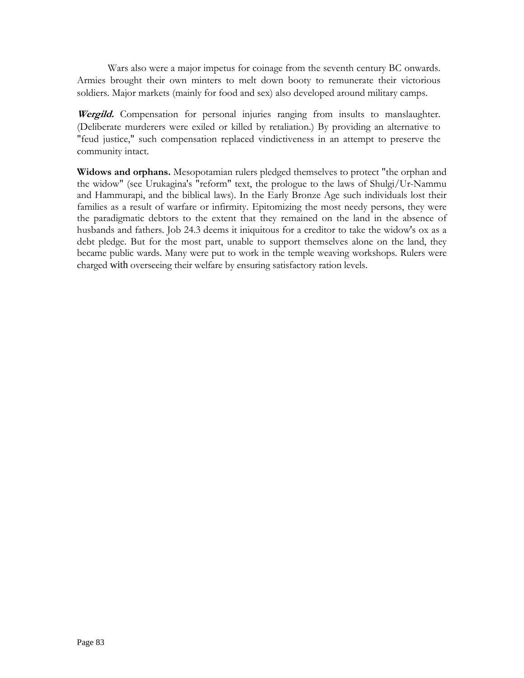Wars also were a major impetus for coinage from the seventh century BC onwards. Armies brought their own minters to melt down booty to remunerate their victorious soldiers. Major markets (mainly for food and sex) also developed around military camps.

**Wergild.** Compensation for personal injuries ranging from insults to manslaughter. (Deliberate murderers were exiled or killed by retaliation.) By providing an alternative to "feud justice," such compensation replaced vindictiveness in an attempt to preserve the community intact.

**Widows and orphans.** Mesopotamian rulers pledged themselves to protect "the orphan and the widow" (see Urukagina's "reform" text, the prologue to the laws of Shulgi/Ur-Nammu and Hammurapi, and the biblical laws). In the Early Bronze Age such individuals lost their families as a result of warfare or infirmity. Epitomizing the most needy persons, they were the paradigmatic debtors to the extent that they remained on the land in the absence of husbands and fathers. Job 24.3 deems it iniquitous for a creditor to take the widow's ox as a debt pledge. But for the most part, unable to support themselves alone on the land, they became public wards. Many were put to work in the temple weaving workshops. Rulers were charged with overseeing their welfare by ensuring satisfactory ration levels.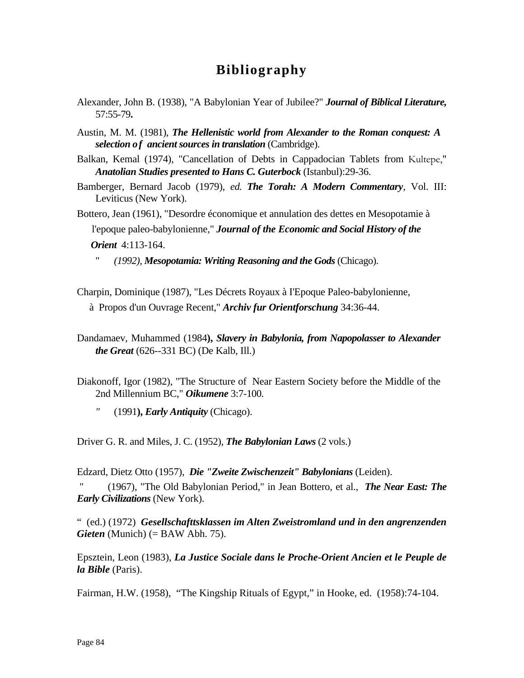## **Bibliography**

- Alexander, John B. (1938), "A Babylonian Year of Jubilee?" *Journal of Biblical Literature,*  57:55-79**.**
- Austin, M. M. (1981), *The Hellenistic world from Alexander to the Roman conquest: A selection of ancient sources in translation* (Cambridge).
- Balkan, Kemal (1974), "Cancellation of Debts in Cappadocian Tablets from Kultepe," *Anatolian Studies presented to Hans C. Guterbock* (Istanbul):29-36.
- Bamberger, Bernard Jacob (1979), *ed. The Torah: A Modern Commentary,* Vol. III: Leviticus (New York).
- Bottero, Jean (1961), "Desordre économique et annulation des dettes en Mesopotamie à l'epoque paleo-babylonienne," *Journal of the Economic and Social History of the Orient* 4:113-164.

" *(1992), Mesopotamia: Writing Reasoning and the Gods* (Chicago).

- Charpin, Dominique (1987), "Les Décrets Royaux à I'Epoque Paleo-babylonienne, à Propos d'un Ouvrage Recent," *Archiv fur Orientforschung* 34:36-44.
- Dandamaev, Muhammed (1984**),** *Slavery in Babylonia, from Napopolasser to Alexander the Great* (626--331 BC) (De Kalb, Ill.)
- Diakonoff, Igor (1982), "The Structure of Near Eastern Society before the Middle of the 2nd Millennium BC," *Oikumene* 3:7-100*.* 
	- *"* (1991**),** *Early Antiquity* (Chicago).

Driver G. R. and Miles, J. C. (1952), *The Babylonian Laws* (2 vols.)

Edzard, Dietz Otto (1957), *Die "Zweite Zwischenzeit" Babylonians* (Leiden).

" (1967), "The Old Babylonian Period," in Jean Bottero, et al., *The Near East: The Early Civilizations* (New York).

" (ed.) (1972) *Gesellschafttsklassen im Alten Zweistromland und in den angrenzenden Gieten* (Munich) (= BAW Abh. 75).

Epsztein, Leon (1983), *La Justice Sociale dans le Proche-Orient Ancien et le Peuple de la Bible* (Paris).

Fairman, H.W. (1958), "The Kingship Rituals of Egypt," in Hooke, ed. (1958):74-104.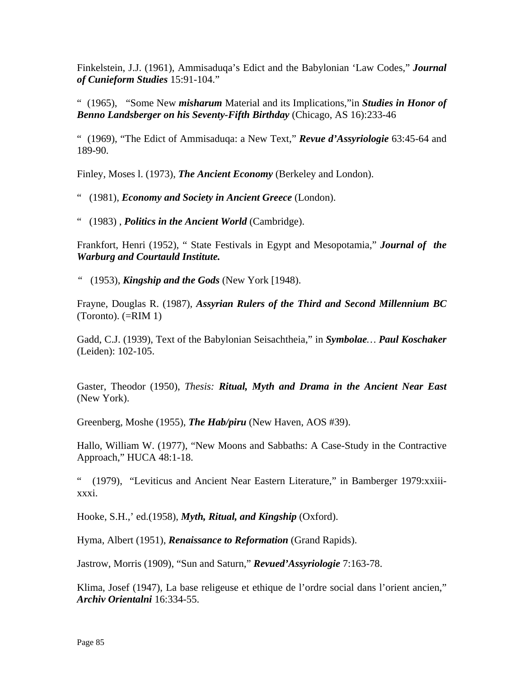Finkelstein, J.J. (1961), Ammisaduqa's Edict and the Babylonian 'Law Codes," *Journal of Cunieform Studies* 15:91-104."

" (1965), "Some New *misharum* Material and its Implications,"in *Studies in Honor of Benno Landsberger on his Seventy-Fifth Birthday* (Chicago, AS 16):233-46

" (1969), "The Edict of Ammisaduqa: a New Text," *Revue d'Assyriologie* 63:45-64 and 189-90.

Finley, Moses l. (1973), *The Ancient Economy* (Berkeley and London).

" (1981), *Economy and Society in Ancient Greece* (London).

" (1983) , *Politics in the Ancient World* (Cambridge).

Frankfort, Henri (1952), " State Festivals in Egypt and Mesopotamia," *Journal of**the Warburg and Courtauld Institute.* 

*"* (1953), *Kingship and the Gods* (New York [1948).

Frayne, Douglas R. (1987), *Assyrian Rulers of the Third and Second Millennium BC*  $(Toronto)$ .  $(=\text{RIM} 1)$ 

Gadd, C.J. (1939), Text of the Babylonian Seisachtheia," in *Symbolae… Paul Koschaker* (Leiden): 102-105.

Gaster, Theodor (1950), *Thesis: Ritual, Myth and Drama in the Ancient Near East* (New York).

Greenberg, Moshe (1955), *The Hab/piru* (New Haven, AOS #39).

Hallo, William W. (1977), "New Moons and Sabbaths: A Case-Study in the Contractive Approach," HUCA 48:1-18.

" (1979), "Leviticus and Ancient Near Eastern Literature," in Bamberger 1979:xxiiixxxi.

Hooke, S.H.,' ed.(1958), *Myth, Ritual, and Kingship* (Oxford).

Hyma, Albert (1951), *Renaissance to Reformation* (Grand Rapids).

Jastrow, Morris (1909), "Sun and Saturn," *Revued'Assyriologie* 7:163-78.

Klima, Josef (1947), La base religeuse et ethique de l'ordre social dans l'orient ancien," *Archiv Orientalni* 16:334-55.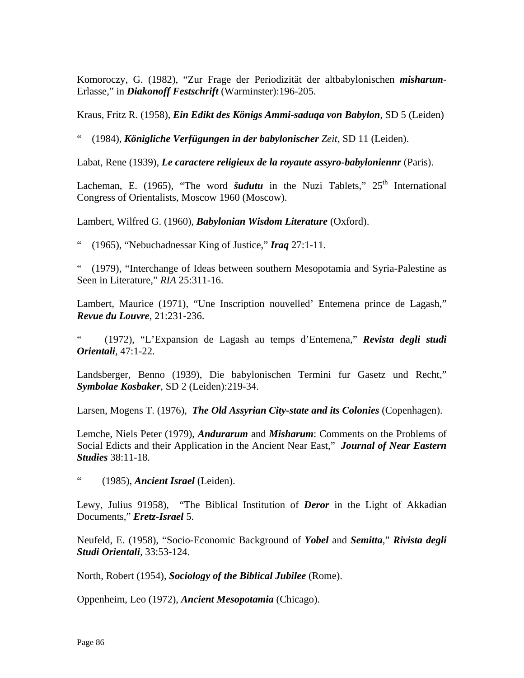Komoroczy, G. (1982), "Zur Frage der Periodizität der altbabylonischen *misharum*-Erlasse," in *Diakonoff Festschrift* (Warminster):196-205.

Kraus, Fritz R. (1958), *Ein Edikt des Königs Ammi-saduqa von Babylon*, SD 5 (Leiden)

" (1984), *Königliche Verfügungen in der babylonischer Zeit,* SD 11 (Leiden).

Labat, Rene (1939), *Le caractere religieux de la royaute assyro-babyloniennr* (Paris).

Lacheman, E. (1965), "The word *šudutu* in the Nuzi Tablets," 25<sup>th</sup> International Congress of Orientalists, Moscow 1960 (Moscow).

Lambert, Wilfred G. (1960), *Babylonian Wisdom Literature* (Oxford).

" (1965), "Nebuchadnessar King of Justice," *Iraq* 27:1-11.

" (1979), "Interchange of Ideas between southern Mesopotamia and Syria-Palestine as Seen in Literature," *RIA* 25:311-16.

Lambert, Maurice (1971), "Une Inscription nouvelled' Entemena prince de Lagash," *Revue du Louvre*, 21:231-236.

" (1972), "L'Expansion de Lagash au temps d'Entemena," *Revista degli studi Orientali,* 47:1-22.

Landsberger, Benno (1939), Die babylonischen Termini fur Gasetz und Recht," *Symbolae Kosbaker*, SD 2 (Leiden):219-34.

Larsen, Mogens T. (1976), *The Old Assyrian City-state and its Colonies* (Copenhagen).

Lemche, Niels Peter (1979), *Andurarum* and *Misharum*: Comments on the Problems of Social Edicts and their Application in the Ancient Near East," *Journal of Near Eastern Studies* 38:11-18.

" (1985), *Ancient Israel* (Leiden).

Lewy, Julius 91958), "The Biblical Institution of *Deror* in the Light of Akkadian Documents," *Eretz-Israel* 5.

Neufeld, E. (1958), "Socio-Economic Background of *Yobel* and *Semitta*," *Rivista degli Studi Orientali,* 33:53-124.

North, Robert (1954), *Sociology of the Biblical Jubilee* (Rome).

Oppenheim, Leo (1972), *Ancient Mesopotamia* (Chicago).